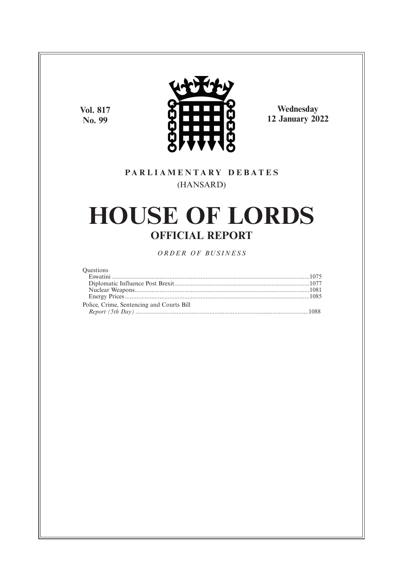**Vol. 817 No. 99**



**Wednesday 12 January 2022**

### **P A R L I A M E N T A R Y D E B A T E S** (HANSARD)

# **HOUSE OF LORDS OFFICIAL REPORT**

*O R D E R O F BU S I N E S S*

#### **Questions**

| Police, Crime, Sentencing and Courts Bill |  |
|-------------------------------------------|--|
|                                           |  |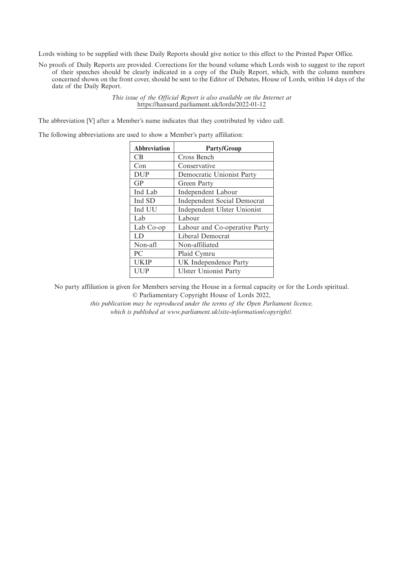Lords wishing to be supplied with these Daily Reports should give notice to this effect to the Printed Paper Office.

No proofs of Daily Reports are provided. Corrections for the bound volume which Lords wish to suggest to the report of their speeches should be clearly indicated in a copy of the Daily Report, which, with the column numbers concerned shown on the front cover, should be sent to the Editor of Debates, House of Lords, within 14 days of the date of the Daily Report.

> *This issue of the Official Report is also available on the Internet at* https://hansard.parliament.uk/lords/2022-01-12

The abbreviation [V] after a Member's name indicates that they contributed by video call.

The following abbreviations are used to show a Member's party affiliation:

| <b>Abbreviation</b> | <b>Party/Group</b>                 |
|---------------------|------------------------------------|
| <b>CB</b>           | Cross Bench                        |
| Con                 | Conservative                       |
| <b>DUP</b>          | Democratic Unionist Party          |
| GP                  | Green Party                        |
| Ind Lab             | Independent Labour                 |
| Ind SD              | <b>Independent Social Democrat</b> |
| Ind UU              | Independent Ulster Unionist        |
| Lab                 | Labour                             |
| Lab Co-op           | Labour and Co-operative Party      |
| LD                  | Liberal Democrat                   |
| Non-afl             | Non-affiliated                     |
| PC.                 | Plaid Cymru                        |
| <b>UKIP</b>         | UK Independence Party              |
| UUP                 | <b>Ulster Unionist Party</b>       |

No party affiliation is given for Members serving the House in a formal capacity or for the Lords spiritual. © Parliamentary Copyright House of Lords 2022,

> *this publication may be reproduced under the terms of the Open Parliament licence, which is published at www.parliament.uk/site-information/copyright/.*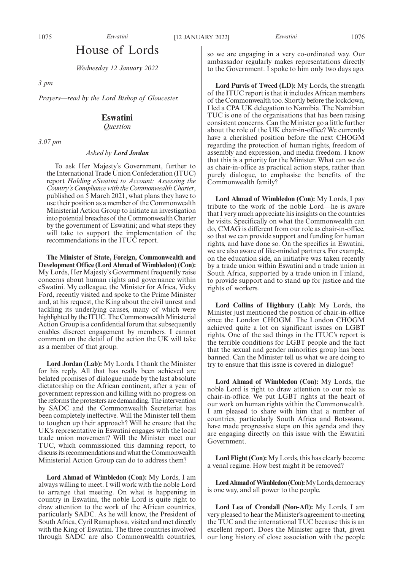### House of Lords

*Wednesday 12 January 2022*

*3 pm*

*Prayers—read by the Lord Bishop of Gloucester.*

### **Eswatini**

*Question*

*3.07 pm*

#### *Asked by Lord Jordan*

To ask Her Majesty's Government, further to the International Trade Union Confederation (ITUC) report *Holding eSwatini to Account: Assessing the Country's Compliance with the Commonwealth Charter*, published on  $\bar{5}$  March 2021, what plans they have to use their position as a member of the Commonwealth Ministerial Action Group to initiate an investigation into potential breaches of the Commonwealth Charter by the government of Eswatini; and what steps they will take to support the implementation of the recommendations in the ITUC report.

**The Minister of State, Foreign, Commonwealth and Development Office (Lord Ahmad of Wimbledon) (Con):** My Lords, Her Majesty's Government frequently raise concerns about human rights and governance within eSwatini. My colleague, the Minister for Africa, Vicky Ford, recently visited and spoke to the Prime Minister and, at his request, the King about the civil unrest and tackling its underlying causes, many of which were highlighted by the ITUC. The Commonwealth Ministerial Action Group is a confidential forum that subsequently enables discreet engagement by members. I cannot comment on the detail of the action the UK will take as a member of that group.

**Lord Jordan (Lab):** My Lords, I thank the Minister for his reply. All that has really been achieved are belated promises of dialogue made by the last absolute dictatorship on the African continent, after a year of government repression and killing with no progress on the reforms the protesters are demanding. The intervention by SADC and the Commonwealth Secretariat has been completely ineffective. Will the Minister tell them to toughen up their approach? Will he ensure that the UK's representative in Eswatini engages with the local trade union movement? Will the Minister meet our TUC, which commissioned this damning report, to discuss its recommendations and what the Commonwealth Ministerial Action Group can do to address them?

**Lord Ahmad of Wimbledon (Con):** My Lords, I am always willing to meet. I will work with the noble Lord to arrange that meeting. On what is happening in country in Eswatini, the noble Lord is quite right to draw attention to the work of the African countries, particularly SADC. As he will know, the President of South Africa, Cyril Ramaphosa, visited and met directly with the King of Eswatini. The three countries involved through SADC are also Commonwealth countries,

so we are engaging in a very co-ordinated way. Our ambassador regularly makes representations directly to the Government. I spoke to him only two days ago.

**Lord Purvis of Tweed (LD):** My Lords, the strength of the ITUC report is that it includes African members of the Commonwealth too. Shortly before the lockdown, I led a CPA UK delegation to Namibia. The Namibian TUC is one of the organisations that has been raising consistent concerns. Can the Minister go a little further about the role of the UK chair-in-office? We currently have a cherished position before the next CHOGM regarding the protection of human rights, freedom of assembly and expression, and media freedom. I know that this is a priority for the Minister. What can we do as chair-in-office as practical action steps, rather than purely dialogue, to emphasise the benefits of the Commonwealth family?

**Lord Ahmad of Wimbledon (Con):** My Lords, I pay tribute to the work of the noble Lord—he is aware that I very much appreciate his insights on the countries he visits. Specifically on what the Commonwealth can do, CMAG is different from our role as chair-in-office, so that we can provide support and funding for human rights, and have done so. On the specifics in Eswatini, we are also aware of like-minded partners. For example, on the education side, an initiative was taken recently by a trade union within Eswatini and a trade union in South Africa, supported by a trade union in Finland, to provide support and to stand up for justice and the rights of workers.

**Lord Collins of Highbury (Lab):** My Lords, the Minister just mentioned the position of chair-in-office since the London CHOGM. The London CHOGM achieved quite a lot on significant issues on LGBT rights. One of the sad things in the ITUC's report is the terrible conditions for LGBT people and the fact that the sexual and gender minorities group has been banned. Can the Minister tell us what we are doing to try to ensure that this issue is covered in dialogue?

**Lord Ahmad of Wimbledon (Con):** My Lords, the noble Lord is right to draw attention to our role as chair-in-office. We put LGBT rights at the heart of our work on human rights within the Commonwealth. I am pleased to share with him that a number of countries, particularly South Africa and Botswana, have made progressive steps on this agenda and they are engaging directly on this issue with the Eswatini Government.

**Lord Flight (Con):** My Lords, this has clearly become a venal regime. How best might it be removed?

Lord Ahmad of Wimbledon (Con): My Lords, democracy is one way, and all power to the people.

**Lord Lea of Crondall (Non-Afl):** My Lords, I am very pleased to hear the Minister's agreement to meeting the TUC and the international TUC because this is an excellent report. Does the Minister agree that, given our long history of close association with the people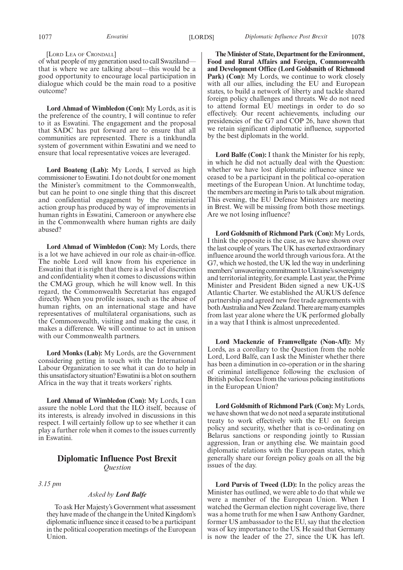[LORD LEA OF CRONDALL]

of what people of my generation used to call Swaziland that is where we are talking about—this would be a good opportunity to encourage local participation in dialogue which could be the main road to a positive outcome?

**Lord Ahmad of Wimbledon (Con):** My Lords, as it is the preference of the country, I will continue to refer to it as Eswatini. The engagement and the proposal that SADC has put forward are to ensure that all communities are represented. There is a tinkhundla system of government within Eswatini and we need to ensure that local representative voices are leveraged.

**Lord Boateng (Lab):** My Lords, I served as high commissioner to Eswatini. I do not doubt for one moment the Minister's commitment to the Commonwealth, but can he point to one single thing that this discreet and confidential engagement by the ministerial action group has produced by way of improvements in human rights in Eswatini, Cameroon or anywhere else in the Commonwealth where human rights are daily abused?

**Lord Ahmad of Wimbledon (Con):** My Lords, there is a lot we have achieved in our role as chair-in-office. The noble Lord will know from his experience in Eswatini that it is right that there is a level of discretion and confidentiality when it comes to discussions within the CMAG group, which he will know well. In this regard, the Commonwealth Secretariat has engaged directly. When you profile issues, such as the abuse of human rights, on an international stage and have representatives of multilateral organisations, such as the Commonwealth, visiting and making the case, it makes a difference. We will continue to act in unison with our Commonwealth partners.

**Lord Monks (Lab):** My Lords, are the Government considering getting in touch with the International Labour Organization to see what it can do to help in this unsatisfactory situation? Eswatini is a blot on southern Africa in the way that it treats workers' rights.

**Lord Ahmad of Wimbledon (Con):** My Lords, I can assure the noble Lord that the ILO itself, because of its interests, is already involved in discussions in this respect. I will certainly follow up to see whether it can play a further role when it comes to the issues currently in Eswatini.

#### **Diplomatic Influence Post Brexit** *Question*

*3.15 pm*

#### *Asked by Lord Balfe*

To ask Her Majesty's Government what assessment they have made of the change in the United Kingdom's diplomatic influence since it ceased to be a participant in the political cooperation meetings of the European Union.

**The Minister of State, Department for the Environment, Food and Rural Affairs and Foreign, Commonwealth and Development Office (Lord Goldsmith of Richmond** Park) (Con): My Lords, we continue to work closely with all our allies, including the EU and European states, to build a network of liberty and tackle shared foreign policy challenges and threats. We do not need to attend formal EU meetings in order to do so effectively. Our recent achievements, including our presidencies of the G7 and COP 26, have shown that we retain significant diplomatic influence, supported by the best diplomats in the world.

**Lord Balfe (Con):** I thank the Minister for his reply, in which he did not actually deal with the Question: whether we have lost diplomatic influence since we ceased to be a participant in the political co-operation meetings of the European Union. At lunchtime today, the members are meeting in Paris to talk about migration. This evening, the EU Defence Ministers are meeting in Brest. We will be missing from both those meetings. Are we not losing influence?

**Lord Goldsmith of Richmond Park (Con):** My Lords, I think the opposite is the case, as we have shown over the last couple of years. The UK has exerted extraordinary influence around the world through various fora. At the G7, which we hosted, the UK led the way in underlining members' unwavering commitment to Ukraine's sovereignty and territorial integrity, for example. Last year, the Prime Minister and President Biden signed a new UK-US Atlantic Charter. We established the AUKUS defence partnership and agreed new free trade agreements with both Australia and New Zealand. There are many examples from last year alone where the UK performed globally in a way that I think is almost unprecedented.

**Lord Mackenzie of Framwellgate (Non-Afl):** My Lords, as a corollary to the Question from the noble Lord, Lord Balfe, can I ask the Minister whether there has been a diminution in co-operation or in the sharing of criminal intelligence following the exclusion of British police forces from the various policing institutions in the European Union?

**Lord Goldsmith of Richmond Park (Con):** My Lords, we have shown that we do not need a separate institutional treaty to work effectively with the EU on foreign policy and security, whether that is co-ordinating on Belarus sanctions or responding jointly to Russian aggression, Iran or anything else. We maintain good diplomatic relations with the European states, which generally share our foreign policy goals on all the big issues of the day.

**Lord Purvis of Tweed (LD):** In the policy areas the Minister has outlined, we were able to do that while we were a member of the European Union. When I watched the German election night coverage live, there was a home truth for me when I saw Anthony Gardner, former US ambassador to the EU, say that the election was of key importance to the US. He said that Germany is now the leader of the 27, since the UK has left.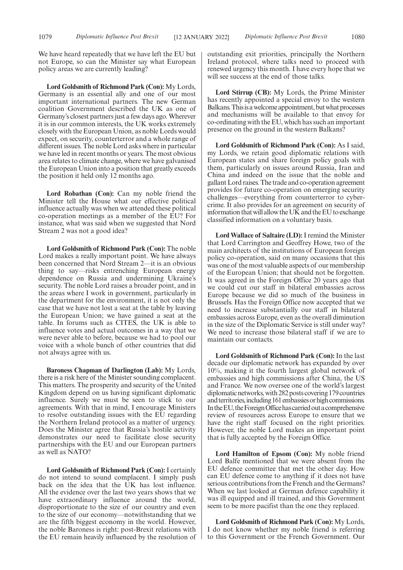We have heard repeatedly that we have left the EU but not Europe, so can the Minister say what European policy areas we are currently leading?

**Lord Goldsmith of Richmond Park (Con):** My Lords, Germany is an essential ally and one of our most important international partners. The new German coalition Government described the UK as one of Germany's closest partners just a few days ago. Wherever it is in our common interests, the UK works extremely closely with the European Union, as noble Lords would expect, on security, counterterror and a whole range of different issues. The noble Lord asks where in particular we have led in recent months or years. The most obvious area relates to climate change, where we have galvanised the European Union into a position that greatly exceeds the position it held only 12 months ago.

**Lord Robathan (Con):** Can my noble friend the Minister tell the House what our effective political influence actually was when we attended these political co-operation meetings as a member of the EU? For instance, what was said when we suggested that Nord Stream 2 was not a good idea?

**Lord Goldsmith of Richmond Park (Con):** The noble Lord makes a really important point. We have always been concerned that Nord Stream 2—it is an obvious thing to say—risks entrenching European energy dependence on Russia and undermining Ukraine's security. The noble Lord raises a broader point, and in the areas where I work in government, particularly in the department for the environment, it is not only the case that we have not lost a seat at the table by leaving the European Union; we have gained a seat at the table. In forums such as CITES, the UK is able to influence votes and actual outcomes in a way that we were never able to before, because we had to pool our voice with a whole bunch of other countries that did not always agree with us.

**Baroness Chapman of Darlington (Lab):** My Lords, there is a risk here of the Minister sounding complacent. This matters. The prosperity and security of the United Kingdom depend on us having significant diplomatic influence. Surely we must be seen to stick to our agreements. With that in mind, I encourage Ministers to resolve outstanding issues with the EU regarding the Northern Ireland protocol as a matter of urgency. Does the Minister agree that Russia's hostile activity demonstrates our need to facilitate close security partnerships with the EU and our European partners as well as NATO?

**Lord Goldsmith of Richmond Park (Con):** I certainly do not intend to sound complacent. I simply push back on the idea that the UK has lost influence. All the evidence over the last two years shows that we have extraordinary influence around the world, disproportionate to the size of our country and even to the size of our economy—notwithstanding that we are the fifth biggest economy in the world. However, the noble Baroness is right: post-Brexit relations with the EU remain heavily influenced by the resolution of outstanding exit priorities, principally the Northern Ireland protocol, where talks need to proceed with renewed urgency this month. I have every hope that we will see success at the end of those talks.

**Lord Stirrup (CB):** My Lords, the Prime Minister has recently appointed a special envoy to the western Balkans. This is a welcome appointment, but what processes and mechanisms will be available to that envoy for co-ordinating with the EU, which has such an important presence on the ground in the western Balkans?

**Lord Goldsmith of Richmond Park (Con):** As I said, my Lords, we retain good diplomatic relations with European states and share foreign policy goals with them, particularly on issues around Russia, Iran and China and indeed on the issue that the noble and gallant Lord raises. The trade and co-operation agreement provides for future co-operation on emerging security challenges—everything from counterterror to cybercrime. It also provides for an agreement on security of information that will allow the UK and the EU to exchange classified information on a voluntary basis.

**Lord Wallace of Saltaire (LD):**I remind the Minister that Lord Carrington and Geoffrey Howe, two of the main architects of the institutions of European foreign policy co-operation, said on many occasions that this was one of the most valuable aspects of our membership of the European Union; that should not be forgotten. It was agreed in the Foreign Office 20 years ago that we could cut our staff in bilateral embassies across Europe because we did so much of the business in Brussels. Has the Foreign Office now accepted that we need to increase substantially our staff in bilateral embassies across Europe, even as the overall diminution in the size of the Diplomatic Service is still under way? We need to increase those bilateral staff if we are to maintain our contacts.

**Lord Goldsmith of Richmond Park (Con):** In the last decade our diplomatic network has expanded by over 10%, making it the fourth largest global network of embassies and high commissions after China, the US and France. We now oversee one of the world's largest diplomatic networks, with 282 posts covering 179 countries and territories, including 161 embassies or high commissions. In the EU, the Foreign Office has carried out a comprehensive review of resources across Europe to ensure that we have the right staff focused on the right priorities. However, the noble Lord makes an important point that is fully accepted by the Foreign Office.

**Lord Hamilton of Epsom (Con):** My noble friend Lord Balfe mentioned that we were absent from the EU defence committee that met the other day. How can EU defence come to anything if it does not have serious contributions from the French and the Germans? When we last looked at German defence capability it was ill equipped and ill trained, and this Government seem to be more pacifist than the one they replaced.

**Lord Goldsmith of Richmond Park (Con):** My Lords, I do not know whether my noble friend is referring to this Government or the French Government. Our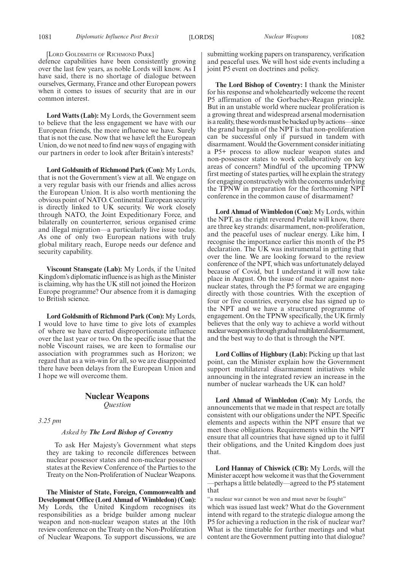[LORD GOLDSMITH OF RICHMOND PARK]

defence capabilities have been consistently growing over the last few years, as noble Lords will know. As I have said, there is no shortage of dialogue between ourselves, Germany, France and other European powers when it comes to issues of security that are in our common interest.

**Lord Watts (Lab):** My Lords, the Government seem to believe that the less engagement we have with our European friends, the more influence we have. Surely that is not the case. Now that we have left the European Union, do we not need to find new ways of engaging with our partners in order to look after Britain's interests?

**Lord Goldsmith of Richmond Park (Con):** My Lords, that is not the Government's view at all. We engage on a very regular basis with our friends and allies across the European Union. It is also worth mentioning the obvious point of NATO. Continental European security is directly linked to UK security. We work closely through NATO, the Joint Expeditionary Force, and bilaterally on counterterror, serious organised crime and illegal migration—a particularly live issue today. As one of only two European nations with truly global military reach, Europe needs our defence and security capability.

**Viscount Stansgate (Lab):** My Lords, if the United Kingdom's diplomatic influence is as high as the Minister is claiming, why has the UK still not joined the Horizon Europe programme? Our absence from it is damaging to British science.

**Lord Goldsmith of Richmond Park (Con):** My Lords, I would love to have time to give lots of examples of where we have exerted disproportionate influence over the last year or two. On the specific issue that the noble Viscount raises, we are keen to formalise our association with programmes such as Horizon; we regard that as a win-win for all, so we are disappointed there have been delays from the European Union and I hope we will overcome them.

### **Nuclear Weapons**

*Question*

*3.25 pm*

#### *Asked by The Lord Bishop of Coventry*

To ask Her Majesty's Government what steps they are taking to reconcile differences between nuclear possessor states and non-nuclear possessor states at the Review Conference of the Parties to the Treaty on the Non-Proliferation of Nuclear Weapons.

**The Minister of State, Foreign, Commonwealth and Development Office (Lord Ahmad of Wimbledon) (Con):** My Lords, the United Kingdom recognises its responsibilities as a bridge builder among nuclear weapon and non-nuclear weapon states at the 10th review conference on the Treaty on the Non-Proliferation of Nuclear Weapons. To support discussions, we are submitting working papers on transparency, verification and peaceful uses. We will host side events including a joint P5 event on doctrines and policy.

**The Lord Bishop of Coventry:** I thank the Minister for his response and wholeheartedly welcome the recent P5 affirmation of the Gorbachev-Reagan principle. But in an unstable world where nuclear proliferation is a growing threat and widespread arsenal modernisation is a reality, these words must be backed up by actions—since the grand bargain of the NPT is that non-proliferation can be successful only if pursued in tandem with disarmament. Would the Government consider initiating a P5+ process to allow nuclear weapon states and non-possessor states to work collaboratively on key areas of concern? Mindful of the upcoming TPNW first meeting of states parties, will he explain the strategy for engaging constructively with the concerns underlying the TPNW in preparation for the forthcoming NPT conference in the common cause of disarmament?

**Lord Ahmad of Wimbledon (Con):** My Lords, within the NPT, as the right reverend Prelate will know, there are three key strands: disarmament, non-proliferation, and the peaceful uses of nuclear energy. Like him, I recognise the importance earlier this month of the P5 declaration. The UK was instrumental in getting that over the line. We are looking forward to the review conference of the NPT, which was unfortunately delayed because of Covid, but I understand it will now take place in August. On the issue of nuclear against nonnuclear states, through the P5 format we are engaging directly with those countries. With the exception of four or five countries, everyone else has signed up to the NPT and we have a structured programme of engagement. On the TPNW specifically, the UK firmly believes that the only way to achieve a world without nuclearweaponsisthroughgradualmultilateraldisarmament, and the best way to do that is through the NPT.

**Lord Collins of Highbury (Lab):** Picking up that last point, can the Minister explain how the Government support multilateral disarmament initiatives while announcing in the integrated review an increase in the number of nuclear warheads the UK can hold?

**Lord Ahmad of Wimbledon (Con):** My Lords, the announcements that we made in that respect are totally consistent with our obligations under the NPT. Specific elements and aspects within the NPT ensure that we meet those obligations. Requirements within the NPT ensure that all countries that have signed up to it fulfil their obligations, and the United Kingdom does just that.

**Lord Hannay of Chiswick (CB):** My Lords, will the Minister accept how welcome it was that the Government —perhaps a little belatedly—agreed to the P5 statement that

"a nuclear war cannot be won and must never be fought" which was issued last week? What do the Government intend with regard to the strategic dialogue among the P5 for achieving a reduction in the risk of nuclear war? What is the timetable for further meetings and what content are the Government putting into that dialogue?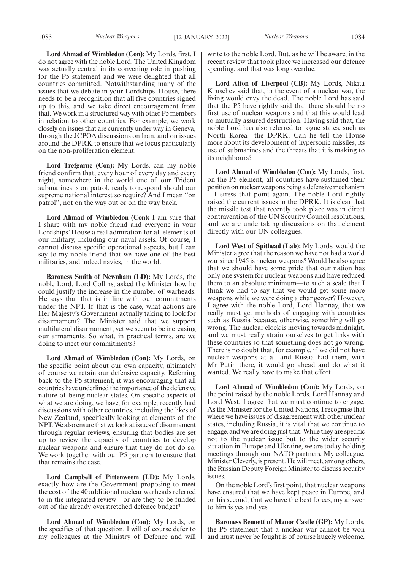**Lord Ahmad of Wimbledon (Con):** My Lords, first, I do not agree with the noble Lord. The United Kingdom was actually central in its convening role in pushing for the P5 statement and we were delighted that all countries committed. Notwithstanding many of the issues that we debate in your Lordships' House, there needs to be a recognition that all five countries signed up to this, and we take direct encouragement from that. We work in a structured way with other P5 members in relation to other countries. For example, we work closely on issues that are currently under way in Geneva, through the JCPOA discussions on Iran, and on issues around the DPRK to ensure that we focus particularly on the non-proliferation element.

**Lord Trefgarne (Con):** My Lords, can my noble friend confirm that, every hour of every day and every night, somewhere in the world one of our Trident submarines is on patrol, ready to respond should our supreme national interest so require? And I mean "on patrol", not on the way out or on the way back.

**Lord Ahmad of Wimbledon (Con):** I am sure that I share with my noble friend and everyone in your Lordships' House a real admiration for all elements of our military, including our naval assets. Of course, I cannot discuss specific operational aspects, but I can say to my noble friend that we have one of the best militaries, and indeed navies, in the world.

**Baroness Smith of Newnham (LD):** My Lords, the noble Lord, Lord Collins, asked the Minister how he could justify the increase in the number of warheads. He says that that is in line with our commitments under the NPT. If that is the case, what actions are Her Majesty's Government actually taking to look for disarmament? The Minister said that we support multilateral disarmament, yet we seem to be increasing our armaments. So what, in practical terms, are we doing to meet our commitments?

**Lord Ahmad of Wimbledon (Con):** My Lords, on the specific point about our own capacity, ultimately of course we retain our defensive capacity. Referring back to the P5 statement, it was encouraging that all countries have underlined the importance of the defensive nature of being nuclear states. On specific aspects of what we are doing, we have, for example, recently had discussions with other countries, including the likes of New Zealand, specifically looking at elements of the NPT. We also ensure that we look at issues of disarmament through regular reviews, ensuring that bodies are set up to review the capacity of countries to develop nuclear weapons and ensure that they do not do so. We work together with our P5 partners to ensure that that remains the case.

**Lord Campbell of Pittenweem (LD):** My Lords, exactly how are the Government proposing to meet the cost of the 40 additional nuclear warheads referred to in the integrated review—or are they to be funded out of the already overstretched defence budget?

**Lord Ahmad of Wimbledon (Con):** My Lords, on the specifics of that question, I will of course defer to my colleagues at the Ministry of Defence and will write to the noble Lord. But, as he will be aware, in the recent review that took place we increased our defence spending, and that was long overdue.

**Lord Alton of Liverpool (CB):** My Lords, Nikita Kruschev said that, in the event of a nuclear war, the living would envy the dead. The noble Lord has said that the P5 have rightly said that there should be no first use of nuclear weapons and that this would lead to mutually assured destruction. Having said that, the noble Lord has also referred to rogue states, such as North Korea—the DPRK. Can he tell the House more about its development of hypersonic missiles, its use of submarines and the threats that it is making to its neighbours?

**Lord Ahmad of Wimbledon (Con):** My Lords, first, on the P5 element, all countries have sustained their position on nuclear weapons being a defensive mechanism —I stress that point again. The noble Lord rightly raised the current issues in the DPRK. It is clear that the missile test that recently took place was in direct contravention of the UN Security Council resolutions, and we are undertaking discussions on that element directly with our UN colleagues.

**Lord West of Spithead (Lab):** My Lords, would the Minister agree that the reason we have not had a world war since 1945 is nuclear weapons? Would he also agree that we should have some pride that our nation has only one system for nuclear weapons and have reduced them to an absolute minimum—to such a scale that I think we had to say that we would get some more weapons while we were doing a changeover? However, I agree with the noble Lord, Lord Hannay, that we really must get methods of engaging with countries such as Russia because, otherwise, something will go wrong. The nuclear clock is moving towards midnight, and we must really strain ourselves to get links with these countries so that something does not go wrong. There is no doubt that, for example, if we did not have nuclear weapons at all and Russia had them, with Mr Putin there, it would go ahead and do what it wanted. We really have to make that effort.

**Lord Ahmad of Wimbledon (Con):** My Lords, on the point raised by the noble Lords, Lord Hannay and Lord West, I agree that we must continue to engage. As the Minister for the United Nations, I recognise that where we have issues of disagreement with other nuclear states, including Russia, it is vital that we continue to engage, and we are doing just that. While they are specific not to the nuclear issue but to the wider security situation in Europe and Ukraine, we are today holding meetings through our NATO partners. My colleague, Minister Cleverly, is present. He will meet, among others, the Russian Deputy Foreign Minister to discuss security issues.

On the noble Lord's first point, that nuclear weapons have ensured that we have kept peace in Europe, and on his second, that we have the best forces, my answer to him is yes and yes.

**Baroness Bennett of Manor Castle (GP):** My Lords, the P5 statement that a nuclear war cannot be won and must never be fought is of course hugely welcome,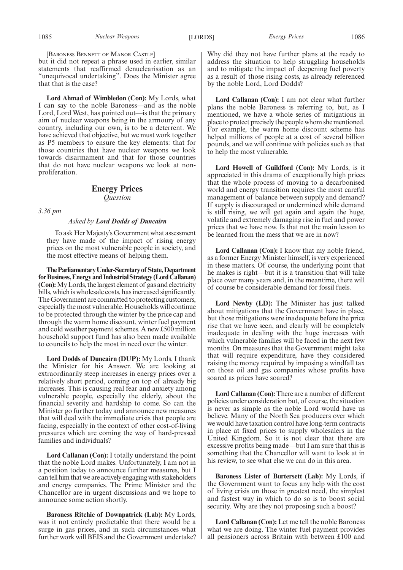[BARONESS BENNETT OF MANOR CASTLE]

but it did not repeat a phrase used in earlier, similar statements that reaffirmed denuclearisation as an "unequivocal undertaking". Does the Minister agree that that is the case?

**Lord Ahmad of Wimbledon (Con):** My Lords, what I can say to the noble Baroness—and as the noble Lord, Lord West, has pointed out—is that the primary aim of nuclear weapons being in the armoury of any country, including our own, is to be a deterrent. We have achieved that objective, but we must work together as P5 members to ensure the key elements: that for those countries that have nuclear weapons we look towards disarmament and that for those countries that do not have nuclear weapons we look at nonproliferation.

#### **Energy Prices** *Question*

*3.36 pm*

#### *Asked by Lord Dodds of Duncairn*

To ask Her Majesty's Government what assessment they have made of the impact of rising energy prices on the most vulnerable people in society, and the most effective means of helping them.

**TheParliamentaryUnder-Secretaryof State,Department** for Business, Energy and Industrial Strategy (Lord Callanan) **(Con):**My Lords, the largest element of gas and electricity bills, which is wholesale costs, has increased significantly. The Government are committed to protecting customers, especially the most vulnerable. Households will continue to be protected through the winter by the price cap and through the warm home discount, winter fuel payment and cold weather payment schemes. A new £500 million household support fund has also been made available to councils to help the most in need over the winter.

**Lord Dodds of Duncairn (DUP):** My Lords, I thank the Minister for his Answer. We are looking at extraordinarily steep increases in energy prices over a relatively short period, coming on top of already big increases. This is causing real fear and anxiety among vulnerable people, especially the elderly, about the financial severity and hardship to come. So can the Minister go further today and announce new measures that will deal with the immediate crisis that people are facing, especially in the context of other cost-of-living pressures which are coming the way of hard-pressed families and individuals?

**Lord Callanan (Con):** I totally understand the point that the noble Lord makes. Unfortunately, I am not in a position today to announce further measures, but I can tell him that we are actively engaging with stakeholders and energy companies. The Prime Minister and the Chancellor are in urgent discussions and we hope to announce some action shortly.

**Baroness Ritchie of Downpatrick (Lab):** My Lords, was it not entirely predictable that there would be a surge in gas prices, and in such circumstances what further work will BEIS and the Government undertake? Why did they not have further plans at the ready to address the situation to help struggling households and to mitigate the impact of deepening fuel poverty as a result of those rising costs, as already referenced by the noble Lord, Lord Dodds?

**Lord Callanan (Con):** I am not clear what further plans the noble Baroness is referring to, but, as I mentioned, we have a whole series of mitigations in place to protect precisely the people whom she mentioned. For example, the warm home discount scheme has helped millions of people at a cost of several billion pounds, and we will continue with policies such as that to help the most vulnerable.

**Lord Howell of Guildford (Con):** My Lords, is it appreciated in this drama of exceptionally high prices that the whole process of moving to a decarbonised world and energy transition requires the most careful management of balance between supply and demand? If supply is discouraged or undermined while demand is still rising, we will get again and again the huge, volatile and extremely damaging rise in fuel and power prices that we have now. Is that not the main lesson to be learned from the mess that we are in now?

**Lord Callanan (Con):** I know that my noble friend, as a former Energy Minister himself, is very experienced in these matters. Of course, the underlying point that he makes is right—but it is a transition that will take place over many years and, in the meantime, there will of course be considerable demand for fossil fuels.

**Lord Newby (LD):** The Minister has just talked about mitigations that the Government have in place, but those mitigations were inadequate before the price rise that we have seen, and clearly will be completely inadequate in dealing with the huge increases with which vulnerable families will be faced in the next few months. On measures that the Government might take that will require expenditure, have they considered raising the money required by imposing a windfall tax on those oil and gas companies whose profits have soared as prices have soared?

**Lord Callanan (Con):** There are a number of different policies under consideration but, of course, the situation is never as simple as the noble Lord would have us believe. Many of the North Sea producers over which we would have taxation control have long-term contracts in place at fixed prices to supply wholesalers in the United Kingdom. So it is not clear that there are excessive profits being made—but I am sure that this is something that the Chancellor will want to look at in his review, to see what else we can do in this area.

**Baroness Lister of Burtersett (Lab):** My Lords, if the Government want to focus any help with the cost of living crisis on those in greatest need, the simplest and fastest way in which to do so is to boost social security. Why are they not proposing such a boost?

**Lord Callanan (Con):** Let me tell the noble Baroness what we are doing. The winter fuel payment provides all pensioners across Britain with between £100 and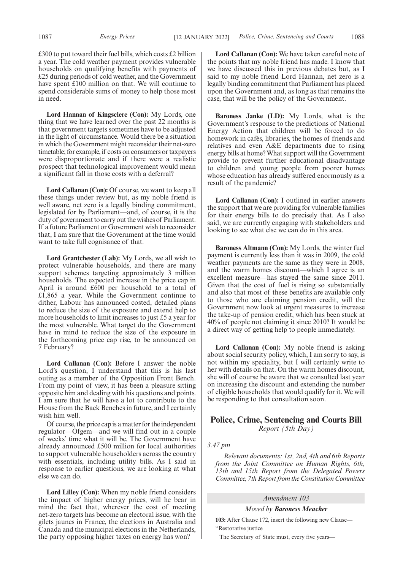£300 to put toward their fuel bills, which costs £2 billion a year. The cold weather payment provides vulnerable households on qualifying benefits with payments of £25 during periods of cold weather, and the Government have spent £100 million on that. We will continue to spend considerable sums of money to help those most in need.

**Lord Hannan of Kingsclere (Con):** My Lords, one thing that we have learned over the past 22 months is that government targets sometimes have to be adjusted in the light of circumstance. Would there be a situation in which the Government might reconsider their net-zero timetable; for example, if costs on consumers or taxpayers were disproportionate and if there were a realistic prospect that technological improvement would mean a significant fall in those costs with a deferral?

**Lord Callanan (Con):** Of course, we want to keep all these things under review but, as my noble friend is well aware, net zero is a legally binding commitment, legislated for by Parliament—and, of course, it is the duty of government to carry out the wishes of Parliament. If a future Parliament or Government wish to reconsider that, I am sure that the Government at the time would want to take full cognisance of that.

**Lord Grantchester (Lab):** My Lords, we all wish to protect vulnerable households, and there are many support schemes targeting approximately 3 million households. The expected increase in the price cap in April is around £600 per household to a total of £1,865 a year. While the Government continue to dither, Labour has announced costed, detailed plans to reduce the size of the exposure and extend help to more households to limit increases to just £5 a year for the most vulnerable. What target do the Government have in mind to reduce the size of the exposure in the forthcoming price cap rise, to be announced on 7 February?

**Lord Callanan (Con):** Before I answer the noble Lord's question, I understand that this is his last outing as a member of the Opposition Front Bench. From my point of view, it has been a pleasure sitting opposite him and dealing with his questions and points. I am sure that he will have a lot to contribute to the House from the Back Benches in future, and I certainly wish him well.

Of course, the price cap is a matter for the independent regulator—Ofgem—and we will find out in a couple of weeks' time what it will be. The Government have already announced £500 million for local authorities to support vulnerable householders across the country with essentials, including utility bills. As I said in response to earlier questions, we are looking at what else we can do.

**Lord Lilley (Con):** When my noble friend considers the impact of higher energy prices, will he bear in mind the fact that, wherever the cost of meeting net-zero targets has become an electoral issue, with the gilets jaunes in France, the elections in Australia and Canada and the municipal elections in the Netherlands, the party opposing higher taxes on energy has won?

**Lord Callanan (Con):** We have taken careful note of the points that my noble friend has made. I know that we have discussed this in previous debates but, as I said to my noble friend Lord Hannan, net zero is a legally binding commitment that Parliament has placed upon the Government and, as long as that remains the case, that will be the policy of the Government.

**Baroness Janke (LD):** My Lords, what is the Government's response to the predictions of National Energy Action that children will be forced to do homework in cafés, libraries, the homes of friends and relatives and even A&E departments due to rising energy bills at home? What support will the Government provide to prevent further educational disadvantage to children and young people from poorer homes whose education has already suffered enormously as a result of the pandemic?

**Lord Callanan (Con):** I outlined in earlier answers the support that we are providing for vulnerable families for their energy bills to do precisely that. As I also said, we are currently engaging with stakeholders and looking to see what else we can do in this area.

**Baroness Altmann (Con):** My Lords, the winter fuel payment is currently less than it was in 2009, the cold weather payments are the same as they were in 2008, and the warm homes discount—which I agree is an excellent measure—has stayed the same since 2011. Given that the cost of fuel is rising so substantially and also that most of these benefits are available only to those who are claiming pension credit, will the Government now look at urgent measures to increase the take-up of pension credit, which has been stuck at 40% of people not claiming it since 2010? It would be a direct way of getting help to people immediately.

Lord Callanan (Con): My noble friend is asking about social security policy, which, I am sorry to say, is not within my speciality, but I will certainly write to her with details on that. On the warm homes discount, she will of course be aware that we consulted last year on increasing the discount and extending the number of eligible households that would qualify for it. We will be responding to that consultation soon.

#### **Police, Crime, Sentencing and Courts Bill** *Report (5th Day)*

*3.47 pm*

*Relevant documents: 1st, 2nd, 4th and 6th Reports from the Joint Committee on Human Rights, 6th, 13th and 15th Report from the Delegated Powers Committee, 7th Report from the Constitution Committee*

#### *Amendment 103*

*Moved by Baroness Meacher*

**103:** After Clause 172, insert the following new Clause— "Restorative justice

The Secretary of State must, every five years—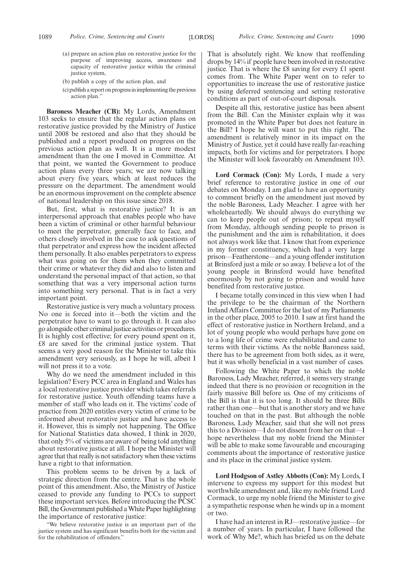- (a) prepare an action plan on restorative justice for the purpose of improving access, awareness and capacity of restorative justice within the criminal justice system,
- (b) publish a copy of the action plan, and
- (c) publish a report on progress in implementing the previous action plan."

**Baroness Meacher (CB):** My Lords, Amendment 103 seeks to ensure that the regular action plans on restorative justice provided by the Ministry of Justice until 2008 be restored and also that they should be published and a report produced on progress on the previous action plan as well. It is a more modest amendment than the one I moved in Committee. At that point, we wanted the Government to produce action plans every three years; we are now talking about every five years, which at least reduces the pressure on the department. The amendment would be an enormous improvement on the complete absence of national leadership on this issue since 2018.

But, first, what is restorative justice? It is an interpersonal approach that enables people who have been a victim of criminal or other harmful behaviour to meet the perpetrator, generally face to face, and others closely involved in the case to ask questions of that perpetrator and express how the incident affected them personally. It also enables perpetrators to express what was going on for them when they committed their crime or whatever they did and also to listen and understand the personal impact of that action, so that something that was a very impersonal action turns into something very personal. That is in fact a very important point.

Restorative justice is very much a voluntary process. No one is forced into it—both the victim and the perpetrator have to want to go through it. It can also go alongside other criminal justice activities or procedures. It is highly cost effective; for every pound spent on it, £8 are saved for the criminal justice system. That seems a very good reason for the Minister to take this amendment very seriously, as I hope he will, albeit I will not press it to a vote.

Why do we need the amendment included in this legislation? Every PCC area in England and Wales has a local restorative justice provider which takes referrals for restorative justice. Youth offending teams have a member of staff who leads on it. The victims' code of practice from 2020 entitles every victim of crime to be informed about restorative justice and have access to it. However, this is simply not happening. The Office for National Statistics data showed, I think in 2020, that only 5% of victims are aware of being told anything about restorative justice at all. I hope the Minister will agree that that really is not satisfactory when these victims have a right to that information.

This problem seems to be driven by a lack of strategic direction from the centre. That is the whole point of this amendment. Also, the Ministry of Justice ceased to provide any funding to PCCs to support these important services. Before introducing the PCSC Bill, the Government published a White Paper highlighting the importance of restorative justice:

"We believe restorative justice is an important part of the justice system and has significant benefits both for the victim and for the rehabilitation of offenders."

That is absolutely right. We know that reoffending drops by 14% if people have been involved in restorative justice. That is where the £8 saving for every £1 spent comes from. The White Paper went on to refer to opportunities to increase the use of restorative justice by using deferred sentencing and setting restorative conditions as part of out-of-court disposals.

Despite all this, restorative justice has been absent from the Bill. Can the Minister explain why it was promoted in the White Paper but does not feature in the Bill? I hope he will want to put this right. The amendment is relatively minor in its impact on the Ministry of Justice, yet it could have really far-reaching impacts, both for victims and for perpetrators. I hope the Minister will look favourably on Amendment 103.

**Lord Cormack (Con):** My Lords, I made a very brief reference to restorative justice in one of our debates on Monday. I am glad to have an opportunity to comment briefly on the amendment just moved by the noble Baroness, Lady Meacher. I agree with her wholeheartedly. We should always do everything we can to keep people out of prison; to repeat myself from Monday, although sending people to prison is the punishment and the aim is rehabilitation, it does not always work like that. I know that from experience in my former constituency, which had a very large prison—Featherstone—and a young offender institution at Brinsford just a mile or so away. I believe a lot of the young people in Brinsford would have benefited enormously by not going to prison and would have benefited from restorative justice.

I became totally convinced in this view when I had the privilege to be the chairman of the Northern Ireland Affairs Committee for the last of my Parliaments in the other place, 2005 to 2010. I saw at first hand the effect of restorative justice in Northern Ireland, and a lot of young people who would perhaps have gone on to a long life of crime were rehabilitated and came to terms with their victims. As the noble Baroness said, there has to be agreement from both sides, as it were, but it was wholly beneficial in a vast number of cases.

Following the White Paper to which the noble Baroness, Lady Meacher, referred, it seems very strange indeed that there is no provision or recognition in the fairly massive Bill before us. One of my criticisms of the Bill is that it is too long. It should be three Bills rather than one—but that is another story and we have touched on that in the past. But although the noble Baroness, Lady Meacher, said that she will not press this to a Division—I do not dissent from her on that—I hope nevertheless that my noble friend the Minister will be able to make some favourable and encouraging comments about the importance of restorative justice and its place in the criminal justice system.

**Lord Hodgson of Astley Abbotts (Con):** My Lords, I intervene to express my support for this modest but worthwhile amendment and, like my noble friend Lord Cormack, to urge my noble friend the Minister to give a sympathetic response when he winds up in a moment or two.

I have had an interest in RJ—restorative justice—for a number of years. In particular, I have followed the work of Why Me?, which has briefed us on the debate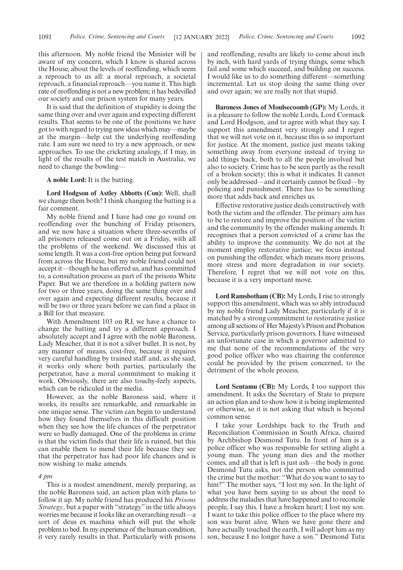this afternoon. My noble friend the Minister will be aware of my concern, which I know is shared across the House, about the levels of reoffending, which seem a reproach to us all: a moral reproach, a societal reproach, a financial reproach—you name it. This high rate of reoffending is not a new problem; it has bedevilled our society and our prison system for many years.

It is said that the definition of stupidity is doing the same thing over and over again and expecting different results. That seems to be one of the positions we have got to with regard to trying new ideas which may—maybe at the margin—help cut the underlying reoffending rate. I am sure we need to try a new approach, or new approaches. To use the cricketing analogy, if I may, in light of the results of the test match in Australia, we need to change the bowling—

**A noble Lord:** It is the batting.

**Lord Hodgson of Astley Abbotts (Con):** Well, shall we change them both? I think changing the batting is a fair comment.

My noble friend and I have had one go round on reoffending over the bunching of Friday prisoners, and we now have a situation where three-sevenths of all prisoners released come out on a Friday, with all the problems of the weekend. We discussed this at some length. It was a cost-free option being put forward from across the House, but my noble friend could not accept it—though he has offered us, and has committed to, a consultation process as part of the prisons White Paper. But we are therefore in a holding pattern now for two or three years, doing the same thing over and over again and expecting different results, because it will be two or three years before we can find a place in a Bill for that measure.

With Amendment 103 on RJ, we have a chance to change the batting and try a different approach. I absolutely accept and I agree with the noble Baroness, Lady Meacher, that it is not a silver bullet. It is not, by any manner of means, cost-free, because it requires very careful handling by trained staff and, as she said, it works only where both parties, particularly the perpetrator, have a moral commitment to making it work. Obviously, there are also touchy-feely aspects, which can be ridiculed in the media.

However, as the noble Baroness said, where it works, its results are remarkable, and remarkable in one unique sense. The victim can begin to understand how they found themselves in this difficult position when they see how the life chances of the perpetrator were so badly damaged. One of the problems in crime is that the victim finds that their life is ruined, but this can enable them to mend their life because they see that the perpetrator has had poor life chances and is now wishing to make amends.

#### *4 pm*

This is a modest amendment, merely preparing, as the noble Baroness said, an action plan with plans to follow it up. My noble friend has produced his *Prisons Strategy*, but a paper with "strategy" in the title always worries me because it looks like an overarching result—a sort of deus ex machina which will put the whole problem to bed. In my experience of the human condition, it very rarely results in that. Particularly with prisons and reoffending, results are likely to come about inch by inch, with hard yards of trying things, some which fail and some which succeed, and building on success. I would like us to do something different—something incremental. Let us stop doing the same thing over and over again; we are really not that stupid.

**Baroness Jones of Moulsecoomb (GP):** My Lords, it is a pleasure to follow the noble Lords, Lord Cormack and Lord Hodgson, and to agree with what they say. I support this amendment very strongly and I regret that we will not vote on it, because this is so important for justice. At the moment, justice just means taking something away from everyone instead of trying to add things back, both to all the people involved but also to society. Crime has to be seen partly as the result of a broken society; this is what it indicates. It cannot only be addressed—and it certainly cannot be fixed—by policing and punishment. There has to be something more that adds back and enriches us.

Effective restorative justice deals constructively with both the victim and the offender. The primary aim has to be to restore and improve the position of the victim and the community by the offender making amends. It recognises that a person convicted of a crime has the ability to improve the community. We do not at the moment employ restorative justice; we focus instead on punishing the offender, which means more prisons, more stress and more degradation in our society. Therefore, I regret that we will not vote on this, because it is a very important move.

**Lord Ramsbotham (CB):** My Lords, I rise to strongly support this amendment, which was so ably introduced by my noble friend Lady Meacher, particularly if it is matched by a strong commitment to restorative justice among all sections of Her Majesty's Prison and Probation Service, particularly prison governors. I have witnessed an unfortunate case in which a governor admitted to me that none of the recommendations of the very good police officer who was chairing the conference could be provided by the prison concerned, to the detriment of the whole process.

**Lord Sentamu (CB):** My Lords, I too support this amendment. It asks the Secretary of State to prepare an action plan and to show how it is being implemented or otherwise, so it is not asking that which is beyond common sense.

I take your Lordships back to the Truth and Reconciliation Commission in South Africa, chaired by Archbishop Desmond Tutu. In front of him is a police officer who was responsible for setting alight a young man. The young man dies and the mother comes, and all that is left is just ash—the body is gone. Desmond Tutu asks, not the person who committed the crime but the mother: "What do you want to say to him?" The mother says, "I lost my son. In the light of what you have been saying to us about the need to address the maladies that have happened and to reconcile people, I say this. I have a broken heart; I lost my son. I want to take this police officer to the place where my son was burnt alive. When we have gone there and have actually touched the earth, I will adopt him as my son, because I no longer have a son." Desmond Tutu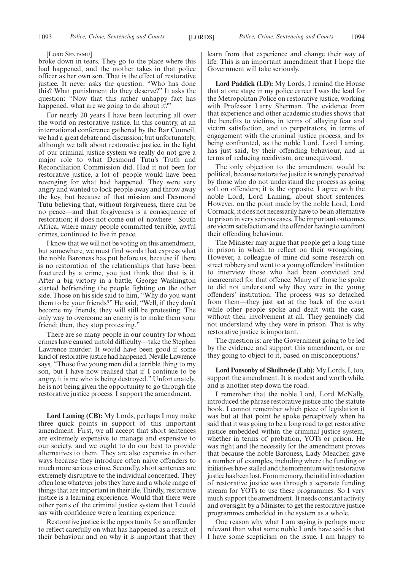#### [LORD SENTAMU]

broke down in tears. They go to the place where this had happened, and the mother takes in that police officer as her own son. That is the effect of restorative justice. It never asks the question: "Who has done this? What punishment do they deserve?" It asks the question: "Now that this rather unhappy fact has happened, what are we going to do about it?

For nearly 20 years I have been lecturing all over the world on restorative justice. In this country, at an international conference gathered by the Bar Council, we had a great debate and discussion; but unfortunately, although we talk about restorative justice, in the light of our criminal justice system we really do not give a major role to what Desmond Tutu's Truth and Reconciliation Commission did. Had it not been for restorative justice, a lot of people would have been revenging for what had happened. They were very angry and wanted to lock people away and throw away the key, but because of that mission and Desmond Tutu believing that, without forgiveness, there can be no peace—and that forgiveness is a consequence of restoration; it does not come out of nowhere—South Africa, where many people committed terrible, awful crimes, continued to live in peace.

I know that we will not be voting on this amendment, but somewhere, we must find words that express what the noble Baroness has put before us, because if there is no restoration of the relationships that have been fractured by a crime, you just think that that is it. After a big victory in a battle, George Washington started befriending the people fighting on the other side. Those on his side said to him, "Why do you want them to be your friends?" He said, "Well, if they don't become my friends, they will still be protesting. The only way to overcome an enemy is to make them your friend; then, they stop protesting."

There are so many people in our country for whom crimes have caused untold difficulty—take the Stephen Lawrence murder. It would have been good if some kind of restorative justice had happened. Neville Lawrence says, "Those five young men did a terrible thing to my son, but I have now realised that if I continue to be angry, it is me who is being destroyed." Unfortunately, he is not being given the opportunity to go through the restorative justice process. I support the amendment.

**Lord Laming (CB):** My Lords, perhaps I may make three quick points in support of this important amendment. First, we all accept that short sentences are extremely expensive to manage and expensive to our society, and we ought to do our best to provide alternatives to them. They are also expensive in other ways because they introduce often naive offenders to much more serious crime. Secondly, short sentences are extremely disruptive to the individual concerned. They often lose whatever jobs they have and a whole range of things that are important in their life. Thirdly, restorative justice is a learning experience. Would that there were other parts of the criminal justice system that I could say with confidence were a learning experience.

Restorative justice is the opportunity for an offender to reflect carefully on what has happened as a result of their behaviour and on why it is important that they learn from that experience and change their way of life. This is an important amendment that I hope the Government will take seriously.

**Lord Paddick (LD):** My Lords, I remind the House that at one stage in my police career I was the lead for the Metropolitan Police on restorative justice, working with Professor Larry Sherman. The evidence from that experience and other academic studies shows that the benefits to victims, in terms of allaying fear and victim satisfaction, and to perpetrators, in terms of engagement with the criminal justice process, and by being confronted, as the noble Lord, Lord Laming, has just said, by their offending behaviour, and in terms of reducing recidivism, are unequivocal.

The only objection to the amendment would be political, because restorative justice is wrongly perceived by those who do not understand the process as going soft on offenders; it is the opposite. I agree with the noble Lord, Lord Laming, about short sentences. However, on the point made by the noble Lord, Lord Cormack, it does not necessarily have to be an alternative to prison in very serious cases. The important outcomes are victim satisfaction and the offender having to confront their offending behaviour.

The Minister may argue that people get a long time in prison in which to reflect on their wrongdoing. However, a colleague of mine did some research on street robbery and went to a young offenders' institution to interview those who had been convicted and incarcerated for that offence. Many of those he spoke to did not understand why they were in the young offenders' institution. The process was so detached from them—they just sat at the back of the court while other people spoke and dealt with the case, without their involvement at all. They genuinely did not understand why they were in prison. That is why restorative justice is important.

The question is: are the Government going to be led by the evidence and support this amendment, or are they going to object to it, based on misconceptions?

**Lord Ponsonby of Shulbrede (Lab):** My Lords, I, too, support the amendment. It is modest and worth while, and is another step down the road.

I remember that the noble Lord, Lord McNally, introduced the phrase restorative justice into the statute book. I cannot remember which piece of legislation it was but at that point he spoke perceptively when he said that it was going to be a long road to get restorative justice embedded within the criminal justice system, whether in terms of probation, YOTs or prison. He was right and the necessity for the amendment proves that because the noble Baroness, Lady Meacher, gave a number of examples, including where the funding or initiatives have stalled and the momentum with restorative justice has been lost. From memory, the initial introduction of restorative justice was through a separate funding stream for YOTs to use these programmes. So I very much support the amendment. It needs constant activity and oversight by a Minister to get the restorative justice programmes embedded in the system as a whole.

One reason why what I am saying is perhaps more relevant than what some noble Lords have said is that I have some scepticism on the issue. I am happy to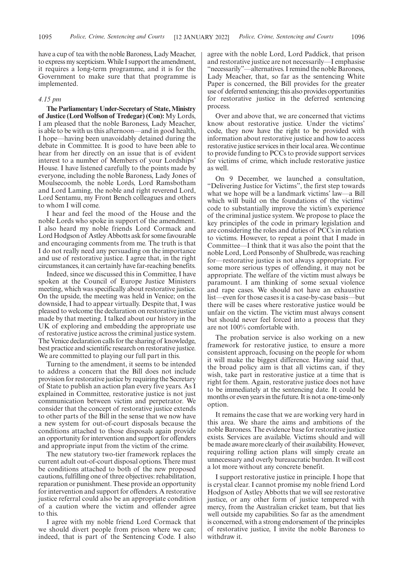have a cup of tea with the noble Baroness, Lady Meacher, to express my scepticism. While I support the amendment, it requires a long-term programme, and it is for the Government to make sure that that programme is implemented.

#### *4.15 pm*

**The Parliamentary Under-Secretary of State, Ministry of Justice (Lord Wolfson of Tredegar) (Con):** My Lords, I am pleased that the noble Baroness, Lady Meacher, is able to be with us this afternoon—and in good health, I hope—having been unavoidably detained during the debate in Committee. It is good to have been able to hear from her directly on an issue that is of evident interest to a number of Members of your Lordships' House. I have listened carefully to the points made by everyone, including the noble Baroness, Lady Jones of Moulsecoomb, the noble Lords, Lord Ramsbotham and Lord Laming, the noble and right reverend Lord, Lord Sentamu, my Front Bench colleagues and others to whom I will come.

I hear and feel the mood of the House and the noble Lords who spoke in support of the amendment. I also heard my noble friends Lord Cormack and Lord Hodgson of Astley Abbotts ask for some favourable and encouraging comments from me. The truth is that I do not really need any persuading on the importance and use of restorative justice. I agree that, in the right circumstances, it can certainly have far-reaching benefits.

Indeed, since we discussed this in Committee, I have spoken at the Council of Europe Justice Ministers meeting, which was specifically about restorative justice. On the upside, the meeting was held in Venice; on the downside, I had to appear virtually. Despite that, I was pleased to welcome the declaration on restorative justice made by that meeting. I talked about our history in the UK of exploring and embedding the appropriate use of restorative justice across the criminal justice system. The Venice declaration calls for the sharing of knowledge, best practice and scientific research on restorative justice. We are committed to playing our full part in this.

Turning to the amendment, it seems to be intended to address a concern that the Bill does not include provision for restorative justice by requiring the Secretary of State to publish an action plan every five years. As I explained in Committee, restorative justice is not just communication between victim and perpetrator. We consider that the concept of restorative justice extends to other parts of the Bill in the sense that we now have a new system for out-of-court disposals because the conditions attached to those disposals again provide an opportunity for intervention and support for offenders and appropriate input from the victim of the crime.

The new statutory two-tier framework replaces the current adult out-of-court disposal options. There must be conditions attached to both of the new proposed cautions, fulfilling one of three objectives: rehabilitation, reparation or punishment. These provide an opportunity for intervention and support for offenders. A restorative justice referral could also be an appropriate condition of a caution where the victim and offender agree to this.

I agree with my noble friend Lord Cormack that we should divert people from prison where we can; indeed, that is part of the Sentencing Code. I also agree with the noble Lord, Lord Paddick, that prison and restorative justice are not necessarily—I emphasise "necessarily"—alternatives. I remind the noble Baroness, Lady Meacher, that, so far as the sentencing White Paper is concerned, the Bill provides for the greater use of deferred sentencing; this also provides opportunities for restorative justice in the deferred sentencing process.

Over and above that, we are concerned that victims know about restorative justice. Under the victims' code, they now have the right to be provided with information about restorative justice and how to access restorative justice services in their local area. We continue to provide funding to PCCs to provide support services for victims of crime, which include restorative justice as well.

On 9 December, we launched a consultation, "Delivering Justice for Victims", the first step towards what we hope will be a landmark victims' law—a Bill which will build on the foundations of the victims' code to substantially improve the victim's experience of the criminal justice system. We propose to place the key principles of the code in primary legislation and are considering the roles and duties of PCCs in relation to victims. However, to repeat a point that I made in Committee—I think that it was also the point that the noble Lord, Lord Ponsonby of Shulbrede, was reaching for—restorative justice is not always appropriate. For some more serious types of offending, it may not be appropriate. The welfare of the victim must always be paramount. I am thinking of some sexual violence and rape cases. We should not have an exhaustive list—even for those cases it is a case-by-case basis—but there will be cases where restorative justice would be unfair on the victim. The victim must always consent but should never feel forced into a process that they are not 100% comfortable with.

The probation service is also working on a new framework for restorative justice, to ensure a more consistent approach, focusing on the people for whom it will make the biggest difference. Having said that, the broad policy aim is that all victims can, if they wish, take part in restorative justice at a time that is right for them. Again, restorative justice does not have to be immediately at the sentencing date. It could be months or even years in the future. It is not a one-time-only option.

It remains the case that we are working very hard in this area. We share the aims and ambitions of the noble Baroness. The evidence base for restorative justice exists. Services are available. Victims should and will be made aware more clearly of their availability. However, requiring rolling action plans will simply create an unnecessary and overly bureaucratic burden. It will cost a lot more without any concrete benefit.

I support restorative justice in principle. I hope that is crystal clear. I cannot promise my noble friend Lord Hodgson of Astley Abbotts that we will see restorative justice, or any other form of justice tempered with mercy, from the Australian cricket team, but that lies well outside my capabilities. So far as the amendment is concerned, with a strong endorsement of the principles of restorative justice, I invite the noble Baroness to withdraw it.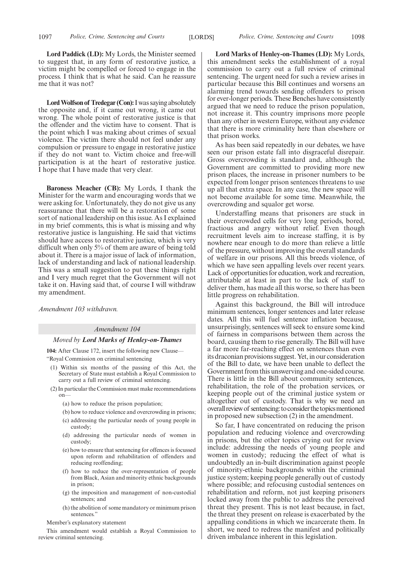**Lord Paddick (LD):** My Lords, the Minister seemed to suggest that, in any form of restorative justice, a victim might be compelled or forced to engage in the process. I think that is what he said. Can he reassure me that it was not?

**Lord Wolfson of Tredegar (Con):**I was saying absolutely the opposite and, if it came out wrong, it came out wrong. The whole point of restorative justice is that the offender and the victim have to consent. That is the point which I was making about crimes of sexual violence. The victim there should not feel under any compulsion or pressure to engage in restorative justice if they do not want to. Victim choice and free-will participation is at the heart of restorative justice. I hope that I have made that very clear.

**Baroness Meacher (CB):** My Lords, I thank the Minister for the warm and encouraging words that we were asking for. Unfortunately, they do not give us any reassurance that there will be a restoration of some sort of national leadership on this issue. As I explained in my brief comments, this is what is missing and why restorative justice is languishing. He said that victims should have access to restorative justice, which is very difficult when only 5% of them are aware of being told about it. There is a major issue of lack of information, lack of understanding and lack of national leadership. This was a small suggestion to put these things right and I very much regret that the Government will not take it on. Having said that, of course I will withdraw my amendment.

*Amendment 103 withdrawn.*

#### *Amendment 104*

#### *Moved by Lord Marks of Henley-on-Thames*

**104:** After Clause 172, insert the following new Clause— "Royal Commission on criminal sentencing

- (1) Within six months of the passing of this Act, the Secretary of State must establish a Royal Commission to carry out a full review of criminal sentencing.
- (2) In particular the Commission must make recommendations on—
	- (a) how to reduce the prison population;
	- (b) how to reduce violence and overcrowding in prisons;
	- (c) addressing the particular needs of young people in custody;
	- (d) addressing the particular needs of women in custody;
	- (e) how to ensure that sentencing for offences is focussed upon reform and rehabilitation of offenders and reducing reoffending;
	- (f) how to reduce the over-representation of people from Black, Asian and minority ethnic backgrounds in prison;
	- (g) the imposition and management of non-custodial sentences; and
	- (h) the abolition of some mandatory or minimum prison sentences."

Member's explanatory statement

This amendment would establish a Royal Commission to review criminal sentencing.

**Lord Marks of Henley-on-Thames (LD):** My Lords, this amendment seeks the establishment of a royal commission to carry out a full review of criminal sentencing. The urgent need for such a review arises in particular because this Bill continues and worsens an alarming trend towards sending offenders to prison for ever-longer periods. These Benches have consistently argued that we need to reduce the prison population, not increase it. This country imprisons more people than any other in western Europe, without any evidence that there is more criminality here than elsewhere or that prison works.

As has been said repeatedly in our debates, we have seen our prison estate fall into disgraceful disrepair. Gross overcrowding is standard and, although the Government are committed to providing more new prison places, the increase in prisoner numbers to be expected from longer prison sentences threatens to use up all that extra space. In any case, the new space will not become available for some time. Meanwhile, the overcrowding and squalor get worse.

Understaffing means that prisoners are stuck in their overcrowded cells for very long periods, bored, fractious and angry without relief. Even though recruitment levels aim to increase staffing, it is by nowhere near enough to do more than relieve a little of the pressure, without improving the overall standards of welfare in our prisons. All this breeds violence, of which we have seen appalling levels over recent years. Lack of opportunities for education, work and recreation, attributable at least in part to the lack of staff to deliver them, has made all this worse, so there has been little progress on rehabilitation.

Against this background, the Bill will introduce minimum sentences, longer sentences and later release dates. All this will fuel sentence inflation because, unsurprisingly, sentences will seek to ensure some kind of fairness in comparisons between them across the board, causing them to rise generally. The Bill will have a far more far-reaching effect on sentences than even its draconian provisions suggest. Yet, in our consideration of the Bill to date, we have been unable to deflect the Government from this unswerving and one-sided course. There is little in the Bill about community sentences, rehabilitation, the role of the probation services, or keeping people out of the criminal justice system or altogether out of custody. That is why we need an overall review of sentencing: to consider the topics mentioned in proposed new subsection (2) in the amendment.

So far, I have concentrated on reducing the prison population and reducing violence and overcrowding in prisons, but the other topics crying out for review include: addressing the needs of young people and women in custody; reducing the effect of what is undoubtedly an in-built discrimination against people of minority-ethnic backgrounds within the criminal justice system; keeping people generally out of custody where possible; and refocusing custodial sentences on rehabilitation and reform, not just keeping prisoners locked away from the public to address the perceived threat they present. This is not least because, in fact, the threat they present on release is exacerbated by the appalling conditions in which we incarcerate them. In short, we need to redress the manifest and politically driven imbalance inherent in this legislation.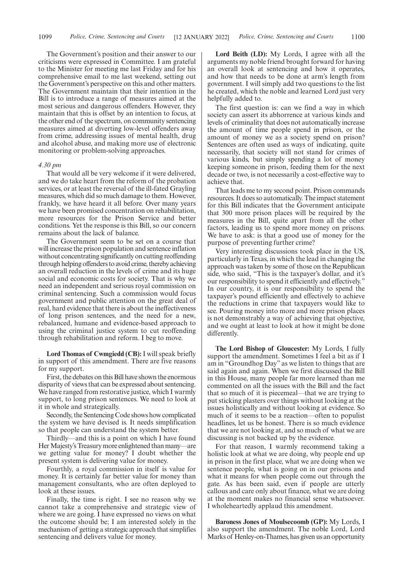The Government's position and their answer to our criticisms were expressed in Committee. I am grateful to the Minister for meeting me last Friday and for his comprehensive email to me last weekend, setting out the Government's perspective on this and other matters. The Government maintain that their intention in the Bill is to introduce a range of measures aimed at the most serious and dangerous offenders. However, they maintain that this is offset by an intention to focus, at the other end of the spectrum, on community sentencing measures aimed at diverting low-level offenders away from crime, addressing issues of mental health, drug and alcohol abuse, and making more use of electronic monitoring or problem-solving approaches.

#### *4.30 pm*

That would all be very welcome if it were delivered, and we do take heart from the reform of the probation services, or at least the reversal of the ill-fated Grayling measures, which did so much damage to them. However, frankly, we have heard it all before. Over many years we have been promised concentration on rehabilitation, more resources for the Prison Service and better conditions. Yet the response is this Bill, so our concern remains about the lack of balance.

The Government seem to be set on a course that will increase the prison population and sentence inflation without concentrating significantly on cutting reoffending through helping offenders to avoid crime, thereby achieving an overall reduction in the levels of crime and its huge social and economic costs for society. That is why we need an independent and serious royal commission on criminal sentencing. Such a commission would focus government and public attention on the great deal of real, hard evidence that there is about the ineffectiveness of long prison sentences, and the need for a new, rebalanced, humane and evidence-based approach to using the criminal justice system to cut reoffending through rehabilitation and reform. I beg to move.

**Lord Thomas of Cwmgiedd (CB):** I will speak briefly in support of this amendment. There are five reasons for my support.

First, the debates on this Bill have shown the enormous disparity of views that can be expressed about sentencing. We have ranged from restorative justice, which I warmly support, to long prison sentences. We need to look at it in whole and strategically.

Secondly, the Sentencing Code shows how complicated the system we have devised is. It needs simplification so that people can understand the system better.

Thirdly—and this is a point on which I have found Her Majesty's Treasury more enlightened than many—are we getting value for money? I doubt whether the present system is delivering value for money.

Fourthly, a royal commission in itself is value for money. It is certainly far better value for money than management consultants, who are often deployed to look at these issues.

Finally, the time is right. I see no reason why we cannot take a comprehensive and strategic view of where we are going. I have expressed no views on what the outcome should be; I am interested solely in the mechanism of getting a strategic approach that simplifies sentencing and delivers value for money.

**Lord Beith (LD):** My Lords, I agree with all the arguments my noble friend brought forward for having an overall look at sentencing and how it operates, and how that needs to be done at arm's length from government. I will simply add two questions to the list he created, which the noble and learned Lord just very helpfully added to.

The first question is: can we find a way in which society can assert its abhorrence at various kinds and levels of criminality that does not automatically increase the amount of time people spend in prison, or the amount of money we as a society spend on prison? Sentences are often used as ways of indicating, quite necessarily, that society will not stand for crimes of various kinds, but simply spending a lot of money keeping someone in prison, feeding them for the next decade or two, is not necessarily a cost-effective way to achieve that.

That leads me to my second point. Prison commands resources. It does so automatically. The impact statement for this Bill indicates that the Government anticipate that 300 more prison places will be required by the measures in the Bill, quite apart from all the other factors, leading us to spend more money on prisons. We have to ask: is that a good use of money for the purpose of preventing further crime?

Very interesting discussions took place in the US, particularly in Texas, in which the lead in changing the approach was taken by some of those on the Republican side, who said, "This is the taxpayer's dollar, and it's our responsibility to spend it efficiently and effectively." In our country, it is our responsibility to spend the taxpayer's pound efficiently and effectively to achieve the reductions in crime that taxpayers would like to see. Pouring money into more and more prison places is not demonstrably a way of achieving that objective, and we ought at least to look at how it might be done differently.

**The Lord Bishop of Gloucester:** My Lords, I fully support the amendment. Sometimes I feel a bit as if I am in "Groundhog Day" as we listen to things that are said again and again. When we first discussed the Bill in this House, many people far more learned than me commented on all the issues with the Bill and the fact that so much of it is piecemeal—that we are trying to put sticking plasters over things without looking at the issues holistically and without looking at evidence. So much of it seems to be a reaction—often to populist headlines, let us be honest. There is so much evidence that we are not looking at, and so much of what we are discussing is not backed up by the evidence.

For that reason, I warmly recommend taking a holistic look at what we are doing, why people end up in prison in the first place, what we are doing when we sentence people, what is going on in our prisons and what it means for when people come out through the gate. As has been said, even if people are utterly callous and care only about finance, what we are doing at the moment makes no financial sense whatsoever. I wholeheartedly applaud this amendment.

**Baroness Jones of Moulsecoomb (GP):** My Lords, I also support the amendment. The noble Lord, Lord Marks of Henley-on-Thames, has given us an opportunity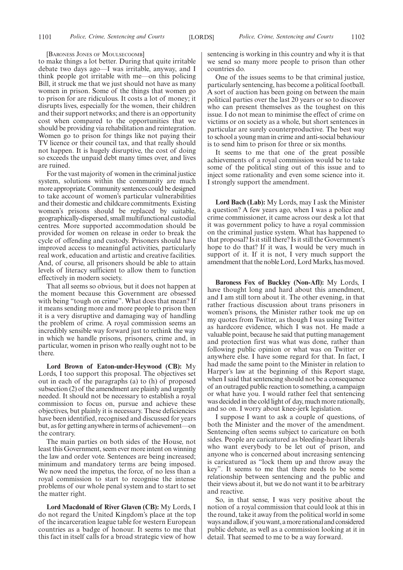[BARONESS JONES OF MOULSECOOMB]

to make things a lot better. During that quite irritable debate two days ago—I was irritable, anyway, and I think people got irritable with me—on this policing Bill, it struck me that we just should not have as many women in prison. Some of the things that women go to prison for are ridiculous. It costs a lot of money; it disrupts lives, especially for the women, their children and their support networks; and there is an opportunity cost when compared to the opportunities that we should be providing via rehabilitation and reintegration. Women go to prison for things like not paying their TV licence or their council tax, and that really should not happen. It is hugely disruptive, the cost of doing so exceeds the unpaid debt many times over, and lives are ruined.

For the vast majority of women in the criminal justice system, solutions within the community are much more appropriate. Community sentences could be designed to take account of women's particular vulnerabilities and their domestic and childcare commitments. Existing women's prisons should be replaced by suitable, geographically-dispersed, small multifunctional custodial centres. More supported accommodation should be provided for women on release in order to break the cycle of offending and custody. Prisoners should have improved access to meaningful activities, particularly real work, education and artistic and creative facilities. And, of course, all prisoners should be able to attain levels of literacy sufficient to allow them to function effectively in modern society.

That all seems so obvious, but it does not happen at the moment because this Government are obsessed with being "tough on crime". What does that mean? If it means sending more and more people to prison then it is a very disruptive and damaging way of handling the problem of crime. A royal commission seems an incredibly sensible way forward just to rethink the way in which we handle prisons, prisoners, crime and, in particular, women in prison who really ought not to be there.

**Lord Brown of Eaton-under-Heywood (CB):** My Lords, I too support this proposal. The objectives set out in each of the paragraphs (a) to (h) of proposed subsection (2) of the amendment are plainly and urgently needed. It should not be necessary to establish a royal commission to focus on, pursue and achieve these objectives, but plainly it is necessary. These deficiencies have been identified, recognised and discussed for years but, as for getting anywhere in terms of achievement—on the contrary.

The main parties on both sides of the House, not least this Government, seem ever more intent on winning the law and order vote. Sentences are being increased; minimum and mandatory terms are being imposed. We now need the impetus, the force, of no less than a royal commission to start to recognise the intense problems of our whole penal system and to start to set the matter right.

**Lord Macdonald of River Glaven (CB):** My Lords, I do not regard the United Kingdom's place at the top of the incarceration league table for western European countries as a badge of honour. It seems to me that this fact in itself calls for a broad strategic view of how sentencing is working in this country and why it is that we send so many more people to prison than other countries do.

One of the issues seems to be that criminal justice, particularly sentencing, has become a political football. A sort of auction has been going on between the main political parties over the last 20 years or so to discover who can present themselves as the toughest on this issue. I do not mean to minimise the effect of crime on victims or on society as a whole, but short sentences in particular are surely counterproductive. The best way to school a young man in crime and anti-social behaviour is to send him to prison for three or six months.

It seems to me that one of the great possible achievements of a royal commission would be to take some of the political sting out of this issue and to inject some rationality and even some science into it. I strongly support the amendment.

**Lord Bach (Lab):** My Lords, may I ask the Minister a question? A few years ago, when I was a police and crime commissioner, it came across our desk a lot that it was government policy to have a royal commission on the criminal justice system. What has happened to that proposal? Is it still there? Is it still the Government's hope to do that? If it was, I would be very much in support of it. If it is not, I very much support the amendment that the noble Lord, Lord Marks, has moved.

**Baroness Fox of Buckley (Non-Afl):** My Lords, I have thought long and hard about this amendment, and I am still torn about it. The other evening, in that rather fractious discussion about trans prisoners in women's prisons, the Minister rather took me up on my quotes from Twitter, as though I was using Twitter as hardcore evidence, which I was not. He made a valuable point, because he said that putting management and protection first was what was done, rather than following public opinion or what was on Twitter or anywhere else. I have some regard for that. In fact, I had made the same point to the Minister in relation to Harper's law at the beginning of this Report stage, when I said that sentencing should not be a consequence of an outraged public reaction to something, a campaign or what have you. I would rather feel that sentencing was decided in the cold light of day, much more rationally, and so on. I worry about knee-jerk legislation.

I suppose I want to ask a couple of questions, of both the Minister and the mover of the amendment. Sentencing often seems subject to caricature on both sides. People are caricatured as bleeding-heart liberals who want everybody to be let out of prison, and anyone who is concerned about increasing sentencing is caricatured as "lock them up and throw away the key". It seems to me that there needs to be some relationship between sentencing and the public and their views about it, but we do not want it to be arbitrary and reactive.

So, in that sense, I was very positive about the notion of a royal commission that could look at this in the round, take it away from the political world in some waysandallow,if youwant,amorerationalandconsidered public debate, as well as a commission looking at it in detail. That seemed to me to be a way forward.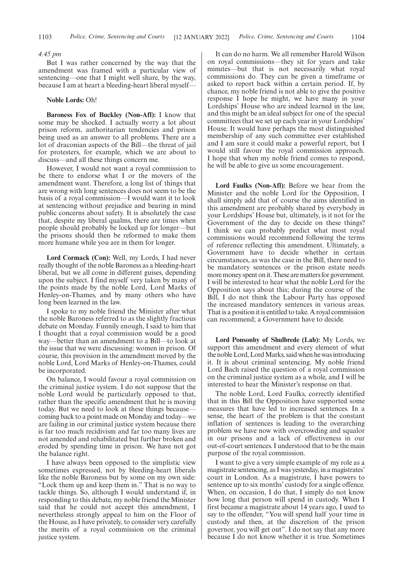#### *4.45 pm*

But I was rather concerned by the way that the amendment was framed with a particular view of sentencing—one that I might well share, by the way, because I am at heart a bleeding-heart liberal myself—

#### **Noble Lords:** Oh!

**Baroness Fox of Buckley (Non-Afl):** I know that some may be shocked. I actually worry a lot about prison reform, authoritarian tendencies and prison being used as an answer to all problems. There are a lot of draconian aspects of the Bill—the threat of jail for protesters, for example, which we are about to discuss—and all these things concern me.

However, I would not want a royal commission to be there to endorse what I or the movers of the amendment want. Therefore, a long list of things that are wrong with long sentences does not seem to be the basis of a royal commission—I would want it to look at sentencing without prejudice and bearing in mind public concerns about safety. It is absolutely the case that, despite my liberal qualms, there are times when people should probably be locked up for longer—but the prisons should then be reformed to make them more humane while you are in them for longer.

**Lord Cormack (Con):** Well, my Lords, I had never really thought of the noble Baroness as a bleeding-heart liberal, but we all come in different guises, depending upon the subject. I find myself very taken by many of the points made by the noble Lord, Lord Marks of Henley-on-Thames, and by many others who have long been learned in the law.

I spoke to my noble friend the Minister after what the noble Baroness referred to as the slightly fractious debate on Monday. Funnily enough, I said to him that I thought that a royal commission would be a good way—better than an amendment to a Bill—to look at the issue that we were discussing: women in prison. Of course, this provision in the amendment moved by the noble Lord, Lord Marks of Henley-on-Thames, could be incorporated.

On balance, I would favour a royal commission on the criminal justice system. I do not suppose that the noble Lord would be particularly opposed to that, rather than the specific amendment that he is moving today. But we need to look at these things because coming back to a point made on Monday and today—we are failing in our criminal justice system because there is far too much recidivism and far too many lives are not amended and rehabilitated but further broken and eroded by spending time in prison. We have not got the balance right.

I have always been opposed to the simplistic view sometimes expressed, not by bleeding-heart liberals like the noble Baroness but by some on my own side: "Lock them up and keep them in." That is no way to tackle things. So, although I would understand if, in responding to this debate, my noble friend the Minister said that he could not accept this amendment, I nevertheless strongly appeal to him on the Floor of the House, as I have privately, to consider very carefully the merits of a royal commission on the criminal justice system.

It can do no harm. We all remember Harold Wilson on royal commissions—they sit for years and take minutes—but that is not necessarily what royal commissions do. They can be given a timeframe or asked to report back within a certain period. If, by chance, my noble friend is not able to give the positive response I hope he might, we have many in your Lordships' House who are indeed learned in the law, and this might be an ideal subject for one of the special committees that we set up each year in your Lordships' House. It would have perhaps the most distinguished membership of any such committee ever established and I am sure it could make a powerful report, but I would still favour the royal commission approach. I hope that when my noble friend comes to respond, he will be able to give us some encouragement.

**Lord Faulks (Non-Afl):** Before we hear from the Minister and the noble Lord for the Opposition, I shall simply add that of course the aims identified in this amendment are probably shared by everybody in your Lordships' House but, ultimately, is it not for the Government of the day to decide on these things? I think we can probably predict what most royal commissions would recommend following the terms of reference reflecting this amendment. Ultimately, a Government have to decide whether in certain circumstances, as was the case in the Bill, there need to be mandatory sentences or the prison estate needs more money spent on it. These are matters for government. I will be interested to hear what the noble Lord for the Opposition says about this; during the course of the Bill, I do not think the Labour Party has opposed the increased mandatory sentences in various areas. That is a position it is entitled to take. A royal commission can recommend; a Government have to decide.

**Lord Ponsonby of Shulbrede (Lab):** My Lords, we support this amendment and every element of what the noble Lord, Lord Marks, said when he was introducing it. It is about criminal sentencing. My noble friend Lord Bach raised the question of a royal commission on the criminal justice system as a whole, and I will be interested to hear the Minister's response on that.

The noble Lord, Lord Faulks, correctly identified that in this Bill the Opposition have supported some measures that have led to increased sentences. In a sense, the heart of the problem is that the constant inflation of sentences is leading to the overarching problem we have now with overcrowding and squalor in our prisons and a lack of effectiveness in our out-of-court sentences. I understood that to be the main purpose of the royal commission.

I want to give a very simple example of my role as a magistrate sentencing, as I was yesterday, in a magistrates' court in London. As a magistrate, I have powers to sentence up to six months' custody for a single offence. When, on occasion, I do that, I simply do not know how long that person will spend in custody. When I first became a magistrate about 14 years ago, I used to say to the offender, "You will spend half your time in custody and then, at the discretion of the prison governor, you will get out". I do not say that any more because I do not know whether it is true. Sometimes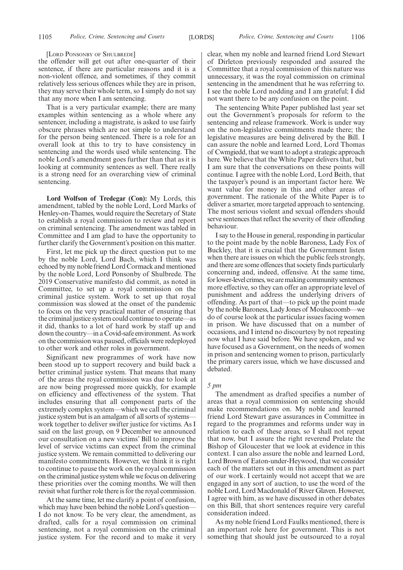[LORD PONSONBY OF SHULBREDE]

the offender will get out after one-quarter of their sentence, if there are particular reasons and it is a non-violent offence, and sometimes, if they commit relatively less serious offences while they are in prison, they may serve their whole term, so I simply do not say that any more when I am sentencing.

That is a very particular example; there are many examples within sentencing as a whole where any sentencer, including a magistrate, is asked to use fairly obscure phrases which are not simple to understand for the person being sentenced. There is a role for an overall look at this to try to have consistency in sentencing and the words used while sentencing. The noble Lord's amendment goes further than that as it is looking at community sentences as well. There really is a strong need for an overarching view of criminal sentencing.

**Lord Wolfson of Tredegar (Con):** My Lords, this amendment, tabled by the noble Lord, Lord Marks of Henley-on-Thames, would require the Secretary of State to establish a royal commission to review and report on criminal sentencing. The amendment was tabled in Committee and I am glad to have the opportunity to further clarify the Government's position on this matter.

First, let me pick up the direct question put to me by the noble Lord, Lord Bach, which I think was echoed by my noble friend Lord Cormack and mentioned by the noble Lord, Lord Ponsonby of Shulbrede. The 2019 Conservative manifesto did commit, as noted in Committee, to set up a royal commission on the criminal justice system. Work to set up that royal commission was slowed at the onset of the pandemic to focus on the very practical matter of ensuring that the criminal justice system could continue to operate—as it did, thanks to a lot of hard work by staff up and down the country—in a Covid-safe environment. As work on the commission was paused, officials were redeployed to other work and other roles in government.

Significant new programmes of work have now been stood up to support recovery and build back a better criminal justice system. That means that many of the areas the royal commission was due to look at are now being progressed more quickly, for example on efficiency and effectiveness of the system. That includes ensuring that all component parts of the extremely complex system—which we call the criminal justice system but is an amalgam of all sorts of systems work together to deliver swifter justice for victims. As I said on the last group, on 9 December we announced our consultation on a new victims' Bill to improve the level of service victims can expect from the criminal justice system. We remain committed to delivering our manifesto commitments. However, we think it is right to continue to pause the work on the royal commission on the criminal justice system while we focus on delivering these priorities over the coming months. We will then revisit what further role there is for the royal commission.

At the same time, let me clarify a point of confusion, which may have been behind the noble Lord's question— I do not know. To be very clear, the amendment, as drafted, calls for a royal commission on criminal sentencing, not a royal commission on the criminal justice system. For the record and to make it very clear, when my noble and learned friend Lord Stewart of Dirleton previously responded and assured the Committee that a royal commission of this nature was unnecessary, it was the royal commission on criminal sentencing in the amendment that he was referring to. I see the noble Lord nodding and I am grateful; I did not want there to be any confusion on the point.

The sentencing White Paper published last year set out the Government's proposals for reform to the sentencing and release framework. Work is under way on the non-legislative commitments made there; the legislative measures are being delivered by the Bill. I can assure the noble and learned Lord, Lord Thomas of Cwmgiedd, that we want to adopt a strategic approach here. We believe that the White Paper delivers that, but I am sure that the conversations on these points will continue. I agree with the noble Lord, Lord Beith, that the taxpayer's pound is an important factor here. We want value for money in this and other areas of government. The rationale of the White Paper is to deliver a smarter, more targeted approach to sentencing. The most serious violent and sexual offenders should serve sentences that reflect the severity of their offending behaviour.

I say to the House in general, responding in particular to the point made by the noble Baroness, Lady Fox of Buckley, that it is crucial that the Government listen when there are issues on which the public feels strongly, and there are some offences that society finds particularly concerning and, indeed, offensive. At the same time, for lower-level crimes, we are making community sentences more effective, so they can offer an appropriate level of punishment and address the underlying drivers of offending. As part of that—to pick up the point made by the noble Baroness, Lady Jones of Moulsecoomb—we do of course look at the particular issues facing women in prison. We have discussed that on a number of occasions, and I intend no discourtesy by not repeating now what I have said before. We have spoken, and we have focused as a Government, on the needs of women in prison and sentencing women to prison, particularly the primary carers issue, which we have discussed and debated.

#### *5 pm*

The amendment as drafted specifies a number of areas that a royal commission on sentencing should make recommendations on. My noble and learned friend Lord Stewart gave assurances in Committee in regard to the programmes and reforms under way in relation to each of these areas, so I shall not repeat that now, but I assure the right reverend Prelate the Bishop of Gloucester that we look at evidence in this context. I can also assure the noble and learned Lord, Lord Brown of Eaton-under-Heywood, that we consider each of the matters set out in this amendment as part of our work. I certainly would not accept that we are engaged in any sort of auction, to use the word of the noble Lord, Lord Macdonald of River Glaven. However, I agree with him, as we have discussed in other debates on this Bill, that short sentences require very careful consideration indeed.

As my noble friend Lord Faulks mentioned, there is an important role here for government. This is not something that should just be outsourced to a royal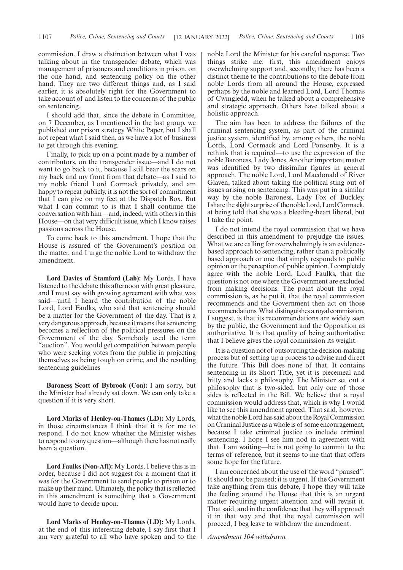commission. I draw a distinction between what I was talking about in the transgender debate, which was management of prisoners and conditions in prison, on the one hand, and sentencing policy on the other hand. They are two different things and, as I said earlier, it is absolutely right for the Government to take account of and listen to the concerns of the public on sentencing.

I should add that, since the debate in Committee, on 7 December, as I mentioned in the last group, we published our prison strategy White Paper, but I shall not repeat what I said then, as we have a lot of business to get through this evening.

Finally, to pick up on a point made by a number of contributors, on the transgender issue—and I do not want to go back to it, because I still bear the scars on my back and my front from that debate—as I said to my noble friend Lord Cormack privately, and am happy to repeat publicly, it is not the sort of commitment that I can give on my feet at the Dispatch Box. But what I can commit to is that I shall continue the conversation with him—and, indeed, with others in this House—on that very difficult issue, which I know raises passions across the House.

To come back to this amendment, I hope that the House is assured of the Government's position on the matter, and I urge the noble Lord to withdraw the amendment.

**Lord Davies of Stamford (Lab):** My Lords, I have listened to the debate this afternoon with great pleasure, and I must say with growing agreement with what was said—until I heard the contribution of the noble Lord, Lord Faulks, who said that sentencing should be a matter for the Government of the day. That is a very dangerous approach, because it means that sentencing becomes a reflection of the political pressures on the Government of the day. Somebody used the term "auction". You would get competition between people who were seeking votes from the public in projecting themselves as being tough on crime, and the resulting sentencing guidelines—

**Baroness Scott of Bybrook (Con):** I am sorry, but the Minister had already sat down. We can only take a question if it is very short.

**Lord Marks of Henley-on-Thames (LD):** My Lords, in those circumstances I think that it is for me to respond. I do not know whether the Minister wishes to respond to any question—although there has not really been a question.

**Lord Faulks (Non-Afl):** My Lords, I believe this is in order, because I did not suggest for a moment that it was for the Government to send people to prison or to make up their mind. Ultimately, the policy that is reflected in this amendment is something that a Government would have to decide upon.

**Lord Marks of Henley-on-Thames (LD):** My Lords, at the end of this interesting debate, I say first that I am very grateful to all who have spoken and to the noble Lord the Minister for his careful response. Two things strike me: first, this amendment enjoys overwhelming support and, secondly, there has been a distinct theme to the contributions to the debate from noble Lords from all around the House, expressed perhaps by the noble and learned Lord, Lord Thomas of Cwmgiedd, when he talked about a comprehensive and strategic approach. Others have talked about a holistic approach.

The aim has been to address the failures of the criminal sentencing system, as part of the criminal justice system, identified by, among others, the noble Lords, Lord Cormack and Lord Ponsonby. It is a rethink that is required—to use the expression of the noble Baroness, Lady Jones. Another important matter was identified by two dissimilar figures in general approach. The noble Lord, Lord Macdonald of River Glaven, talked about taking the political sting out of issues arising on sentencing. This was put in a similar way by the noble Baroness, Lady Fox of Buckley. I share the slight surprise of the noble Lord, Lord Cormack, at being told that she was a bleeding-heart liberal, but I take the point.

I do not intend the royal commission that we have described in this amendment to prejudge the issues. What we are calling for overwhelmingly is an evidencebased approach to sentencing, rather than a politically based approach or one that simply responds to public opinion or the perception of public opinion. I completely agree with the noble Lord, Lord Faulks, that the question is not one where the Government are excluded from making decisions. The point about the royal commission is, as he put it, that the royal commission recommends and the Government then act on those recommendations. What distinguishes a royal commission, I suggest, is that its recommendations are widely seen by the public, the Government and the Opposition as authoritative. It is that quality of being authoritative that I believe gives the royal commission its weight.

It is a question not of outsourcing the decision-making process but of setting up a process to advise and direct the future. This Bill does none of that. It contains sentencing in its Short Title, yet it is piecemeal and bitty and lacks a philosophy. The Minister set out a philosophy that is two-sided, but only one of those sides is reflected in the Bill. We believe that a royal commission would address that, which is why I would like to see this amendment agreed. That said, however, what the noble Lord has said about the Royal Commission on Criminal Justice as a whole is of some encouragement, because I take criminal justice to include criminal sentencing. I hope I see him nod in agreement with that. I am waiting—he is not going to commit to the terms of reference, but it seems to me that that offers some hope for the future.

I am concerned about the use of the word "paused". It should not be paused; it is urgent. If the Government take anything from this debate, I hope they will take the feeling around the House that this is an urgent matter requiring urgent attention and will revisit it. That said, and in the confidence that they will approach it in that way and that the royal commission will proceed, I beg leave to withdraw the amendment.

*Amendment 104 withdrawn.*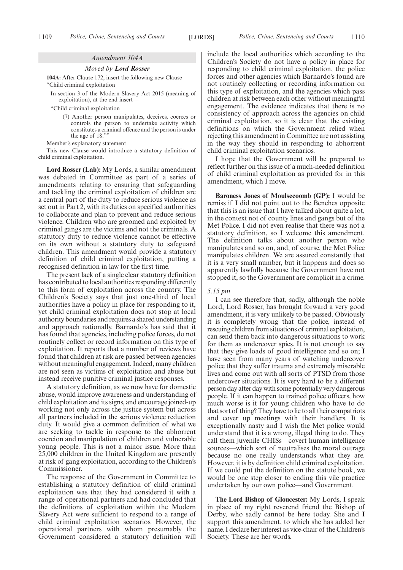#### *Amendment 104A*

*Moved by Lord Rosser*

**104A:** After Clause 172, insert the following new Clause— "Child criminal exploitation

In section 3 of the Modern Slavery Act 2015 (meaning of exploitation), at the end insert—

"Child criminal exploitation

(7) Another person manipulates, deceives, coerces or controls the person to undertake activity which constitutes a criminal offence and the person is under the age of 18.""

Member's explanatory statement

This new Clause would introduce a statutory definition of child criminal exploitation.

**Lord Rosser (Lab):** My Lords, a similar amendment was debated in Committee as part of a series of amendments relating to ensuring that safeguarding and tackling the criminal exploitation of children are a central part of the duty to reduce serious violence as set out in Part 2, with its duties on specified authorities to collaborate and plan to prevent and reduce serious violence. Children who are groomed and exploited by criminal gangs are the victims and not the criminals. A statutory duty to reduce violence cannot be effective on its own without a statutory duty to safeguard children. This amendment would provide a statutory definition of child criminal exploitation, putting a recognised definition in law for the first time.

The present lack of a single clear statutory definition has contributed to local authorities responding differently to this form of exploitation across the country. The Children's Society says that just one-third of local authorities have a policy in place for responding to it, yet child criminal exploitation does not stop at local authority boundaries and requires a shared understanding and approach nationally. Barnardo's has said that it has found that agencies, including police forces, do not routinely collect or record information on this type of exploitation. It reports that a number of reviews have found that children at risk are passed between agencies without meaningful engagement. Indeed, many children are not seen as victims of exploitation and abuse but instead receive punitive criminal justice responses.

A statutory definition, as we now have for domestic abuse, would improve awareness and understanding of child exploitation and its signs, and encourage joined-up working not only across the justice system but across all partners included in the serious violence reduction duty. It would give a common definition of what we are seeking to tackle in response to the abhorrent coercion and manipulation of children and vulnerable young people. This is not a minor issue. More than 25,000 children in the United Kingdom are presently at risk of gang exploitation, according to the Children's Commissioner.

The response of the Government in Committee to establishing a statutory definition of child criminal exploitation was that they had considered it with a range of operational partners and had concluded that the definitions of exploitation within the Modern Slavery Act were sufficient to respond to a range of child criminal exploitation scenarios. However, the operational partners with whom presumably the Government considered a statutory definition will include the local authorities which according to the Children's Society do not have a policy in place for responding to child criminal exploitation, the police forces and other agencies which Barnardo's found are not routinely collecting or recording information on this type of exploitation, and the agencies which pass children at risk between each other without meaningful engagement. The evidence indicates that there is no consistency of approach across the agencies on child criminal exploitation, so it is clear that the existing definitions on which the Government relied when rejecting this amendment in Committee are not assisting in the way they should in responding to abhorrent child criminal exploitation scenarios.

I hope that the Government will be prepared to reflect further on this issue of a much-needed definition of child criminal exploitation as provided for in this amendment, which I move.

**Baroness Jones of Moulsecoomb (GP):** I would be remiss if I did not point out to the Benches opposite that this is an issue that I have talked about quite a lot, in the context not of county lines and gangs but of the Met Police. I did not even realise that there was not a statutory definition, so I welcome this amendment. The definition talks about another person who manipulates and so on, and, of course, the Met Police manipulates children. We are assured constantly that it is a very small number, but it happens and does so apparently lawfully because the Government have not stopped it, so the Government are complicit in a crime.

#### *5.15 pm*

I can see therefore that, sadly, although the noble Lord, Lord Rosser, has brought forward a very good amendment, it is very unlikely to be passed. Obviously it is completely wrong that the police, instead of rescuing children from situations of criminal exploitation, can send them back into dangerous situations to work for them as undercover spies. It is not enough to say that they give loads of good intelligence and so on; I have seen from many years of watching undercover police that they suffer trauma and extremely miserable lives and come out with all sorts of PTSD from those undercover situations. It is very hard to be a different person day after day with some potentially very dangerous people. If it can happen to trained police officers, how much worse is it for young children who have to do that sort of thing? They have to lie to all their compatriots and cover up meetings with their handlers. It is exceptionally nasty and I wish the Met police would understand that it is a wrong, illegal thing to do. They call them juvenile CHISs—covert human intelligence sources—which sort of neutralises the moral outrage because no one really understands what they are. However, it is by definition child criminal exploitation. If we could put the definition on the statute book, we would be one step closer to ending this vile practice undertaken by our own police—and Government.

**The Lord Bishop of Gloucester:** My Lords, I speak in place of my right reverend friend the Bishop of Derby, who sadly cannot be here today. She and I support this amendment, to which she has added her name. I declare her interest as vice-chair of the Children's Society. These are her words.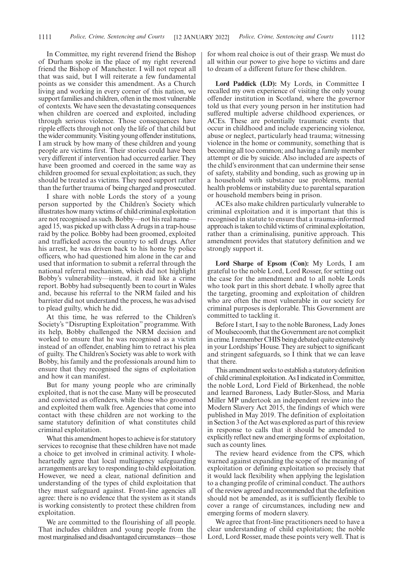In Committee, my right reverend friend the Bishop of Durham spoke in the place of my right reverend friend the Bishop of Manchester. I will not repeat all that was said, but I will reiterate a few fundamental points as we consider this amendment. As a Church living and working in every corner of this nation, we support families and children, often in the most vulnerable of contexts. We have seen the devastating consequences when children are coerced and exploited, including through serious violence. Those consequences have ripple effects through not only the life of that child but the wider community. Visiting young offender institutions, I am struck by how many of these children and young people are victims first. Their stories could have been very different if intervention had occurred earlier. They have been groomed and coerced in the same way as children groomed for sexual exploitation; as such, they should be treated as victims. They need support rather than the further trauma of being charged and prosecuted.

I share with noble Lords the story of a young person supported by the Children's Society which illustrates how many victims of child criminal exploitation are not recognised as such. Bobby—not his real name aged 15, was picked up with class A drugs in a trap-house raid by the police. Bobby had been groomed, exploited and trafficked across the country to sell drugs. After his arrest, he was driven back to his home by police officers, who had questioned him alone in the car and used that information to submit a referral through the national referral mechanism, which did not highlight Bobby's vulnerability—instead, it read like a crime report. Bobby had subsequently been to court in Wales and, because his referral to the NRM failed and his barrister did not understand the process, he was advised to plead guilty, which he did.

At this time, he was referred to the Children's Society's "Disrupting Exploitation" programme. With its help, Bobby challenged the NRM decision and worked to ensure that he was recognised as a victim instead of an offender, enabling him to retract his plea of guilty. The Children's Society was able to work with Bobby, his family and the professionals around him to ensure that they recognised the signs of exploitation and how it can manifest.

But for many young people who are criminally exploited, that is not the case. Many will be prosecuted and convicted as offenders, while those who groomed and exploited them walk free. Agencies that come into contact with these children are not working to the same statutory definition of what constitutes child criminal exploitation.

What this amendment hopes to achieve is for statutory services to recognise that these children have not made a choice to get involved in criminal activity. I wholeheartedly agree that local multiagency safeguarding arrangements are key to responding to child exploitation. However, we need a clear, national definition and understanding of the types of child exploitation that they must safeguard against. Front-line agencies all agree: there is no evidence that the system as it stands is working consistently to protect these children from exploitation.

We are committed to the flourishing of all people. That includes children and young people from the most marginalised and disadvantaged circumstances—those for whom real choice is out of their grasp. We must do all within our power to give hope to victims and dare to dream of a different future for these children.

**Lord Paddick (LD):** My Lords, in Committee I recalled my own experience of visiting the only young offender institution in Scotland, where the governor told us that every young person in her institution had suffered multiple adverse childhood experiences, or ACEs. These are potentially traumatic events that occur in childhood and include experiencing violence, abuse or neglect, particularly head trauma; witnessing violence in the home or community, something that is becoming all too common; and having a family member attempt or die by suicide. Also included are aspects of the child's environment that can undermine their sense of safety, stability and bonding, such as growing up in a household with substance use problems, mental health problems or instability due to parental separation or household members being in prison.

ACEs also make children particularly vulnerable to criminal exploitation and it is important that this is recognised in statute to ensure that a trauma-informed approach is taken to child victims of criminal exploitation, rather than a criminalising, punitive approach. This amendment provides that statutory definition and we strongly support it.

**Lord Sharpe of Epsom (Con):** My Lords, I am grateful to the noble Lord, Lord Rosser, for setting out the case for the amendment and to all noble Lords who took part in this short debate. I wholly agree that the targeting, grooming and exploitation of children who are often the most vulnerable in our society for criminal purposes is deplorable. This Government are committed to tackling it.

Before I start, I say to the noble Baroness, Lady Jones of Moulsecoomb, that the Government are not complicit in crime. I remember CHIS being debated quite extensively in your Lordships' House. They are subject to significant and stringent safeguards, so I think that we can leave that there.

This amendment seeks to establish a statutory definition of child criminal exploitation. As I indicated in Committee, the noble Lord, Lord Field of Birkenhead, the noble and learned Baroness, Lady Butler-Sloss, and Maria Miller MP undertook an independent review into the Modern Slavery Act 2015, the findings of which were published in May 2019. The definition of exploitation in Section 3 of the Act was explored as part of this review in response to calls that it should be amended to explicitly reflect new and emerging forms of exploitation, such as county lines.

The review heard evidence from the CPS, which warned against expanding the scope of the meaning of exploitation or defining exploitation so precisely that it would lack flexibility when applying the legislation to a changing profile of criminal conduct. The authors of the review agreed and recommended that the definition should not be amended, as it is sufficiently flexible to cover a range of circumstances, including new and emerging forms of modern slavery.

We agree that front-line practitioners need to have a clear understanding of child exploitation; the noble Lord, Lord Rosser, made these points very well. That is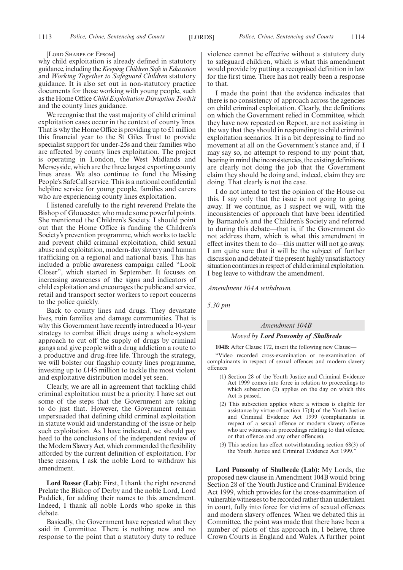#### [LORD SHARPE OF EPSOM]

why child exploitation is already defined in statutory guidance, including the*Keeping Children Safe in Education* and *Working Together to Safeguard Children* statutory guidance. It is also set out in non-statutory practice documents for those working with young people, such as the Home Office *Child Exploitation Disruption Toolkit* and the county lines guidance.

We recognise that the vast majority of child criminal exploitation cases occur in the context of county lines. That is why the Home Office is providing up to £1 million this financial year to the St Giles Trust to provide specialist support for under-25s and their families who are affected by county lines exploitation. The project is operating in London, the West Midlands and Merseyside, which are the three largest exporting county lines areas. We also continue to fund the Missing People's SafeCall service. This is a national confidential helpline service for young people, families and carers who are experiencing county lines exploitation.

I listened carefully to the right reverend Prelate the Bishop of Gloucester, who made some powerful points. She mentioned the Children's Society. I should point out that the Home Office is funding the Children's Society's prevention programme, which works to tackle and prevent child criminal exploitation, child sexual abuse and exploitation, modern-day slavery and human trafficking on a regional and national basis. This has included a public awareness campaign called "Look Closer", which started in September. It focuses on increasing awareness of the signs and indicators of child exploitation and encourages the public and service, retail and transport sector workers to report concerns to the police quickly.

Back to county lines and drugs. They devastate lives, ruin families and damage communities. That is why this Government have recently introduced a 10-year strategy to combat illicit drugs using a whole-system approach to cut off the supply of drugs by criminal gangs and give people with a drug addiction a route to a productive and drug-free life. Through the strategy, we will bolster our flagship county lines programme, investing up to £145 million to tackle the most violent and exploitative distribution model yet seen.

Clearly, we are all in agreement that tackling child criminal exploitation must be a priority. I have set out some of the steps that the Government are taking to do just that. However, the Government remain unpersuaded that defining child criminal exploitation in statute would aid understanding of the issue or help such exploitation. As I have indicated, we should pay heed to the conclusions of the independent review of the Modern Slavery Act, which commended the flexibility afforded by the current definition of exploitation. For these reasons, I ask the noble Lord to withdraw his amendment.

**Lord Rosser (Lab):** First, I thank the right reverend Prelate the Bishop of Derby and the noble Lord, Lord Paddick, for adding their names to this amendment. Indeed, I thank all noble Lords who spoke in this debate.

Basically, the Government have repeated what they said in Committee. There is nothing new and no response to the point that a statutory duty to reduce violence cannot be effective without a statutory duty to safeguard children, which is what this amendment would provide by putting a recognised definition in law for the first time. There has not really been a response to that.

I made the point that the evidence indicates that there is no consistency of approach across the agencies on child criminal exploitation. Clearly, the definitions on which the Government relied in Committee, which they have now repeated on Report, are not assisting in the way that they should in responding to child criminal exploitation scenarios. It is a bit depressing to find no movement at all on the Government's stance and, if I may say so, no attempt to respond to my point that, bearing in mind the inconsistencies, the existing definitions are clearly not doing the job that the Government claim they should be doing and, indeed, claim they are doing. That clearly is not the case.

I do not intend to test the opinion of the House on this. I say only that the issue is not going to going away. If we continue, as I suspect we will, with the inconsistencies of approach that have been identified by Barnardo's and the Children's Society and referred to during this debate—that is, if the Government do not address them, which is what this amendment in effect invites them to do—this matter will not go away. I am quite sure that it will be the subject of further discussion and debate if the present highly unsatisfactory situation continues in respect of child criminal exploitation. I beg leave to withdraw the amendment.

*Amendment 104A withdrawn.*

*5.30 pm*

#### *Amendment 104B*

#### *Moved by Lord Ponsonby of Shulbrede*

**104B:** After Clause 172, insert the following new Clause—

"Video recorded cross-examination or re-examination of complainants in respect of sexual offences and modern slavery offences

- (1) Section 28 of the Youth Justice and Criminal Evidence Act 1999 comes into force in relation to proceedings to which subsection (2) applies on the day on which this Act is passed.
- (2) This subsection applies where a witness is eligible for assistance by virtue of section 17(4) of the Youth Justice and Criminal Evidence Act 1999 (complainants in respect of a sexual offence or modern slavery offence who are witnesses in proceedings relating to that offence, or that offence and any other offences).
- (3) This section has effect notwithstanding section 68(3) of the Youth Justice and Criminal Evidence Act 1999."

**Lord Ponsonby of Shulbrede (Lab):** My Lords, the proposed new clause in Amendment 104B would bring Section 28 of the Youth Justice and Criminal Evidence Act 1999, which provides for the cross-examination of vulnerable witnesses to be recorded rather than undertaken in court, fully into force for victims of sexual offences and modern slavery offences. When we debated this in Committee, the point was made that there have been a number of pilots of this approach in, I believe, three Crown Courts in England and Wales. A further point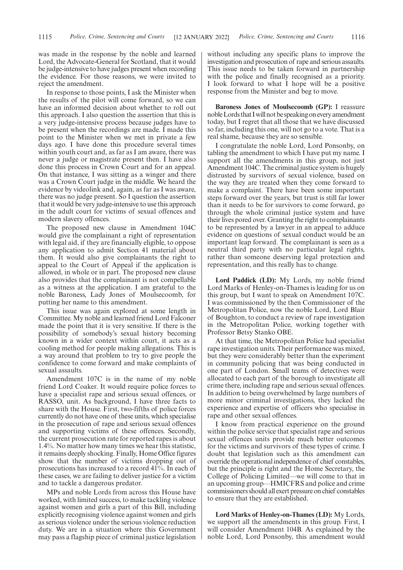was made in the response by the noble and learned Lord, the Advocate-General for Scotland, that it would be judge-intensive to have judges present when recording the evidence. For those reasons, we were invited to reject the amendment.

In response to those points, I ask the Minister when the results of the pilot will come forward, so we can have an informed decision about whether to roll out this approach. I also question the assertion that this is a very judge-intensive process because judges have to be present when the recordings are made. I made this point to the Minister when we met in private a few days ago. I have done this procedure several times within youth court and, as far as I am aware, there was never a judge or magistrate present then. I have also done this process in Crown Court and for an appeal. On that instance, I was sitting as a winger and there was a Crown Court judge in the middle. We heard the evidence by videolink and, again, as far as I was aware, there was no judge present. So I question the assertion that it would be very judge-intensive to use this approach in the adult court for victims of sexual offences and modern slavery offences.

The proposed new clause in Amendment 104C would give the complainant a right of representation with legal aid, if they are financially eligible, to oppose any application to admit Section 41 material about them. It would also give complainants the right to appeal to the Court of Appeal if the application is allowed, in whole or in part. The proposed new clause also provides that the complainant is not compellable as a witness at the application. I am grateful to the noble Baroness, Lady Jones of Moulsecoomb, for putting her name to this amendment.

This issue was again explored at some length in Committee. My noble and learned friend Lord Falconer made the point that it is very sensitive. If there is the possibility of somebody's sexual history becoming known in a wider context within court, it acts as a cooling method for people making allegations. This is a way around that problem to try to give people the confidence to come forward and make complaints of sexual assaults.

Amendment 107C is in the name of my noble friend Lord Coaker. It would require police forces to have a specialist rape and serious sexual offences, or RASSO, unit. As background, I have three facts to share with the House. First, two-fifths of police forces currently do not have one of these units, which specialise in the prosecution of rape and serious sexual offences and supporting victims of these offences. Secondly, the current prosecution rate for reported rapes is about 1.4%. No matter how many times we hear this statistic, it remains deeply shocking. Finally, Home Office figures show that the number of victims dropping out of prosecutions has increased to a record 41%. In each of these cases, we are failing to deliver justice for a victim and to tackle a dangerous predator.

MPs and noble Lords from across this House have worked, with limited success, to make tackling violence against women and girls a part of this Bill, including explicitly recognising violence against women and girls as serious violence under the serious violence reduction duty. We are in a situation where this Government may pass a flagship piece of criminal justice legislation without including any specific plans to improve the investigation and prosecution of rape and serious assaults. This issue needs to be taken forward in partnership with the police and finally recognised as a priority. I look forward to what I hope will be a positive response from the Minister and beg to move.

**Baroness Jones of Moulsecoomb (GP):** I reassure noble Lords that I will not be speaking on every amendment today, but I regret that all those that we have discussed so far, including this one, will not go to a vote. That is a real shame, because they are so sensible.

I congratulate the noble Lord, Lord Ponsonby, on tabling the amendment to which I have put my name. I support all the amendments in this group, not just Amendment 104C. The criminal justice system is hugely distrusted by survivors of sexual violence, based on the way they are treated when they come forward to make a complaint. There have been some important steps forward over the years, but trust is still far lower than it needs to be for survivors to come forward, go through the whole criminal justice system and have their lives pored over. Granting the right to complainants to be represented by a lawyer in an appeal to adduce evidence on questions of sexual conduct would be an important leap forward. The complainant is seen as a neutral third party with no particular legal rights, rather than someone deserving legal protection and representation, and this really has to change.

**Lord Paddick (LD):** My Lords, my noble friend Lord Marks of Henley-on-Thames is leading for us on this group, but I want to speak on Amendment 107C. I was commissioned by the then Commissioner of the Metropolitan Police, now the noble Lord, Lord Blair of Boughton, to conduct a review of rape investigation in the Metropolitan Police, working together with Professor Betsy Stanko OBE.

At that time, the Metropolitan Police had specialist rape investigation units. Their performance was mixed, but they were considerably better than the experiment in community policing that was being conducted in one part of London. Small teams of detectives were allocated to each part of the borough to investigate all crime there, including rape and serious sexual offences. In addition to being overwhelmed by large numbers of more minor criminal investigations, they lacked the experience and expertise of officers who specialise in rape and other sexual offences.

I know from practical experience on the ground within the police service that specialist rape and serious sexual offences units provide much better outcomes for the victims and survivors of these types of crime. I doubt that legislation such as this amendment can override the operational independence of chief constables, but the principle is right and the Home Secretary, the College of Policing Limited—we will come to that in an upcoming group—HMICFRS and police and crime commissioners should all exert pressure on chief constables to ensure that they are established.

**Lord Marks of Henley-on-Thames (LD):** My Lords, we support all the amendments in this group. First, I will consider Amendment 104B. As explained by the noble Lord, Lord Ponsonby, this amendment would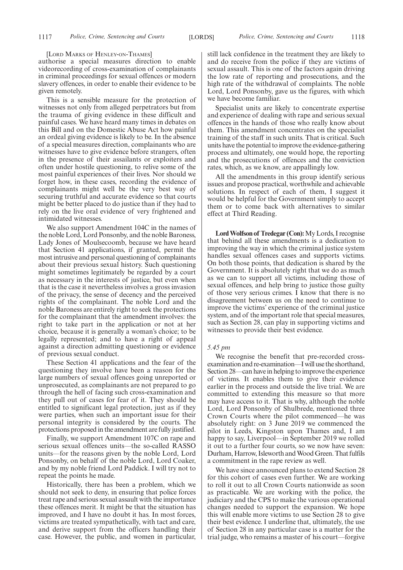[LORD MARKS OF HENLEY-ON-THAMES]

authorise a special measures direction to enable videorecording of cross-examination of complainants in criminal proceedings for sexual offences or modern slavery offences, in order to enable their evidence to be given remotely.

This is a sensible measure for the protection of witnesses not only from alleged perpetrators but from the trauma of giving evidence in these difficult and painful cases. We have heard many times in debates on this Bill and on the Domestic Abuse Act how painful an ordeal giving evidence is likely to be. In the absence of a special measures direction, complainants who are witnesses have to give evidence before strangers, often in the presence of their assailants or exploiters and often under hostile questioning, to relive some of the most painful experiences of their lives. Nor should we forget how, in these cases, recording the evidence of complainants might well be the very best way of securing truthful and accurate evidence so that courts might be better placed to do justice than if they had to rely on the live oral evidence of very frightened and intimidated witnesses.

We also support Amendment 104C in the names of the noble Lord, Lord Ponsonby, and the noble Baroness, Lady Jones of Moulsecoomb, because we have heard that Section 41 applications, if granted, permit the most intrusive and personal questioning of complainants about their previous sexual history. Such questioning might sometimes legitimately be regarded by a court as necessary in the interests of justice, but even when that is the case it nevertheless involves a gross invasion of the privacy, the sense of decency and the perceived rights of the complainant. The noble Lord and the noble Baroness are entirely right to seek the protections for the complainant that the amendment involves: the right to take part in the application or not at her choice, because it is generally a woman's choice; to be legally represented; and to have a right of appeal against a direction admitting questioning or evidence of previous sexual conduct.

These Section 41 applications and the fear of the questioning they involve have been a reason for the large numbers of sexual offences going unreported or unprosecuted, as complainants are not prepared to go through the hell of facing such cross-examination and they pull out of cases for fear of it. They should be entitled to significant legal protection, just as if they were parties, when such an important issue for their personal integrity is considered by the courts. The protections proposed in the amendment are fully justified.

Finally, we support Amendment 107C on rape and serious sexual offences units—the so-called RASSO units—for the reasons given by the noble Lord, Lord Ponsonby, on behalf of the noble Lord, Lord Coaker, and by my noble friend Lord Paddick. I will try not to repeat the points he made.

Historically, there has been a problem, which we should not seek to deny, in ensuring that police forces treat rape and serious sexual assault with the importance these offences merit. It might be that the situation has improved, and I have no doubt it has. In most forces, victims are treated sympathetically, with tact and care, and derive support from the officers handling their case. However, the public, and women in particular, still lack confidence in the treatment they are likely to and do receive from the police if they are victims of sexual assault. This is one of the factors again driving the low rate of reporting and prosecutions, and the high rate of the withdrawal of complaints. The noble Lord, Lord Ponsonby, gave us the figures, with which we have become familiar.

Specialist units are likely to concentrate expertise and experience of dealing with rape and serious sexual offences in the hands of those who really know about them. This amendment concentrates on the specialist training of the staff in such units. That is critical. Such units have the potential to improve the evidence-gathering process and ultimately, one would hope, the reporting and the prosecutions of offences and the conviction rates, which, as we know, are appallingly low.

All the amendments in this group identify serious issues and propose practical, worthwhile and achievable solutions. In respect of each of them, I suggest it would be helpful for the Government simply to accept them or to come back with alternatives to similar effect at Third Reading.

**Lord Wolfson of Tredegar (Con):**My Lords, I recognise that behind all these amendments is a dedication to improving the way in which the criminal justice system handles sexual offences cases and supports victims. On both those points, that dedication is shared by the Government. It is absolutely right that we do as much as we can to support all victims, including those of sexual offences, and help bring to justice those guilty of those very serious crimes. I know that there is no disagreement between us on the need to continue to improve the victims' experience of the criminal justice system, and of the important role that special measures, such as Section 28, can play in supporting victims and witnesses to provide their best evidence.

#### *5.45 pm*

We recognise the benefit that pre-recorded crossexamination and re-examination—I will use the shorthand, Section 28—can have in helping to improve the experience of victims. It enables them to give their evidence earlier in the process and outside the live trial. We are committed to extending this measure so that more may have access to it. That is why, although the noble Lord, Lord Ponsonby of Shulbrede, mentioned three Crown Courts where the pilot commenced—he was absolutely right: on 3 June 2019 we commenced the pilot in Leeds, Kingston upon Thames and, I am happy to say, Liverpool—in September 2019 we rolled it out to a further four courts, so we now have seven: Durham, Harrow, Isleworth and Wood Green. That fulfils a commitment in the rape review as well.

We have since announced plans to extend Section 28 for this cohort of cases even further. We are working to roll it out to all Crown Courts nationwide as soon as practicable. We are working with the police, the judiciary and the CPS to make the various operational changes needed to support the expansion. We hope this will enable more victims to use Section 28 to give their best evidence. I underline that, ultimately, the use of Section 28 in any particular case is a matter for the trial judge, who remains a master of his court—forgive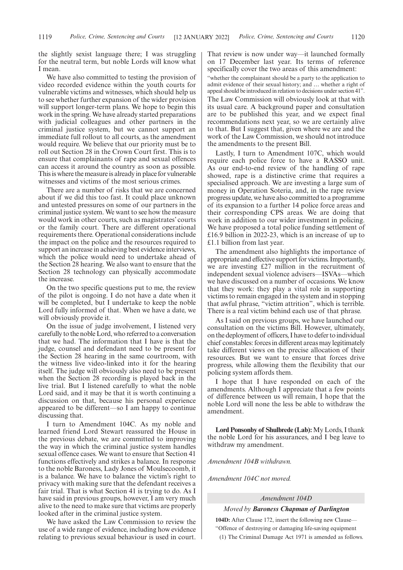the slightly sexist language there; I was struggling for the neutral term, but noble Lords will know what I mean.

We have also committed to testing the provision of video recorded evidence within the youth courts for vulnerable victims and witnesses, which should help us to see whether further expansion of the wider provision will support longer-term plans. We hope to begin this work in the spring. We have already started preparations with judicial colleagues and other partners in the criminal justice system, but we cannot support an immediate full rollout to all courts, as the amendment would require. We believe that our priority must be to roll out Section 28 in the Crown Court first. This is to ensure that complainants of rape and sexual offences can access it around the country as soon as possible. This is where the measure is already in place for vulnerable witnesses and victims of the most serious crimes.

There are a number of risks that we are concerned about if we did this too fast. It could place unknown and untested pressures on some of our partners in the criminal justice system. We want to see how the measure would work in other courts, such as magistrates' courts or the family court. There are different operational requirements there. Operational considerations include the impact on the police and the resources required to support an increase in achieving best evidence interviews, which the police would need to undertake ahead of the Section 28 hearing. We also want to ensure that the Section 28 technology can physically accommodate the increase.

On the two specific questions put to me, the review of the pilot is ongoing. I do not have a date when it will be completed, but I undertake to keep the noble Lord fully informed of that. When we have a date, we will obviously provide it.

On the issue of judge involvement, I listened very carefully to the noble Lord, who referred to a conversation that we had. The information that I have is that the judge, counsel and defendant need to be present for the Section 28 hearing in the same courtroom, with the witness live video-linked into it for the hearing itself. The judge will obviously also need to be present when the Section 28 recording is played back in the live trial. But I listened carefully to what the noble Lord said, and it may be that it is worth continuing a discussion on that, because his personal experience appeared to be different—so I am happy to continue discussing that.

I turn to Amendment 104C. As my noble and learned friend Lord Stewart reassured the House in the previous debate, we are committed to improving the way in which the criminal justice system handles sexual offence cases. We want to ensure that Section 41 functions effectively and strikes a balance. In response to the noble Baroness, Lady Jones of Moulsecoomb, it is a balance. We have to balance the victim's right to privacy with making sure that the defendant receives a fair trial. That is what Section 41 is trying to do. As I have said in previous groups, however, I am very much alive to the need to make sure that victims are properly looked after in the criminal justice system.

We have asked the Law Commission to review the use of a wide range of evidence, including how evidence relating to previous sexual behaviour is used in court. That review is now under way—it launched formally on 17 December last year. Its terms of reference specifically cover the two areas of this amendment:

"whether the complainant should be a party to the application to admit evidence of their sexual history; and … whether a right of appeal should be introduced in relation to decisions under section 41".

The Law Commission will obviously look at that with its usual care. A background paper and consultation are to be published this year, and we expect final recommendations next year, so we are certainly alive to that. But I suggest that, given where we are and the work of the Law Commission, we should not introduce the amendments to the present Bill.

Lastly, I turn to Amendment 107C, which would require each police force to have a RASSO unit. As our end-to-end review of the handling of rape showed, rape is a distinctive crime that requires a specialised approach. We are investing a large sum of money in Operation Soteria, and, in the rape review progress update, we have also committed to a programme of its expansion to a further 14 police force areas and their corresponding CPS areas. We are doing that work in addition to our wider investment in policing. We have proposed a total police funding settlement of £16.9 billion in 2022-23, which is an increase of up to £1.1 billion from last year.

The amendment also highlights the importance of appropriate and effective support for victims. Importantly, we are investing £27 million in the recruitment of independent sexual violence advisers—ISVAs—which we have discussed on a number of occasions. We know that they work: they play a vital role in supporting victims to remain engaged in the system and in stopping that awful phrase, "victim attrition", which is terrible. There is a real victim behind each use of that phrase.

As I said on previous groups, we have launched our consultation on the victims Bill. However, ultimately, on the deployment of officers, I have to defer to individual chief constables: forces in different areas may legitimately take different views on the precise allocation of their resources. But we want to ensure that forces drive progress, while allowing them the flexibility that our policing system affords them.

I hope that I have responded on each of the amendments. Although I appreciate that a few points of difference between us will remain, I hope that the noble Lord will none the less be able to withdraw the amendment.

**Lord Ponsonby of Shulbrede (Lab):** My Lords, I thank the noble Lord for his assurances, and I beg leave to withdraw my amendment.

*Amendment 104B withdrawn.*

*Amendment 104C not moved.*

#### *Amendment 104D*

#### *Moved by Baroness Chapman of Darlington*

**104D:** After Clause 172, insert the following new Clause— "Offence of destroying or damaging life-saving equipment

(1) The Criminal Damage Act 1971 is amended as follows.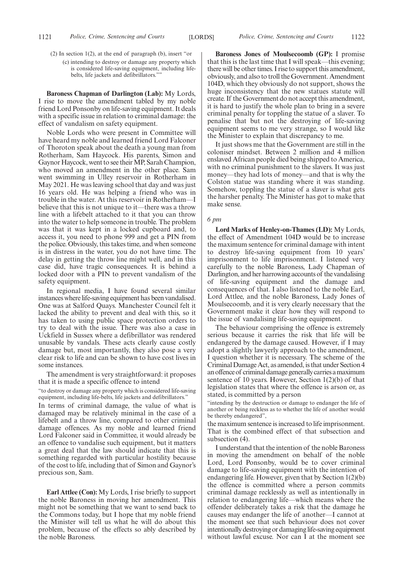- (2) In section 1(2), at the end of paragraph (b), insert "or
	- (c) intending to destroy or damage any property which is considered life-saving equipment, including lifebelts, life jackets and defibrillators."

**Baroness Chapman of Darlington (Lab):** My Lords, I rise to move the amendment tabled by my noble friend Lord Ponsonby on life-saving equipment. It deals with a specific issue in relation to criminal damage: the effect of vandalism on safety equipment.

Noble Lords who were present in Committee will have heard my noble and learned friend Lord Falconer of Thoroton speak about the death a young man from Rotherham, Sam Haycock. His parents, Simon and Gaynor Haycock, went to see their MP, Sarah Champion, who moved an amendment in the other place. Sam went swimming in Ulley reservoir in Rotherham in May 2021. He was leaving school that day and was just 16 years old. He was helping a friend who was in trouble in the water. At this reservoir in Rotherham—I believe that this is not unique to it—there was a throw line with a lifebelt attached to it that you can throw into the water to help someone in trouble. The problem was that it was kept in a locked cupboard and, to access it, you need to phone 999 and get a PIN from the police. Obviously, this takes time, and when someone is in distress in the water, you do not have time. The delay in getting the throw line might well, and in this case did, have tragic consequences. It is behind a locked door with a PIN to prevent vandalism of the safety equipment.

In regional media, I have found several similar instances where life-saving equipment has been vandalised. One was at Salford Quays. Manchester Council felt it lacked the ability to prevent and deal with this, so it has taken to using public space protection orders to try to deal with the issue. There was also a case in Uckfield in Sussex where a defibrillator was rendered unusable by vandals. These acts clearly cause costly damage but, most importantly, they also pose a very clear risk to life and can be shown to have cost lives in some instances.

The amendment is very straightforward: it proposes that it is made a specific offence to intend

"to destroy or damage any property which is considered life-saving equipment, including life-belts, life jackets and defibrillators."

In terms of criminal damage, the value of what is damaged may be relatively minimal in the case of a lifebelt and a throw line, compared to other criminal damage offences. As my noble and learned friend Lord Falconer said in Committee, it would already be an offence to vandalise such equipment, but it matters a great deal that the law should indicate that this is something regarded with particular hostility because of the cost to life, including that of Simon and Gaynor's precious son, Sam.

**Earl Attlee (Con):** My Lords, I rise briefly to support the noble Baroness in moving her amendment. This might not be something that we want to send back to the Commons today, but I hope that my noble friend the Minister will tell us what he will do about this problem, because of the effects so ably described by the noble Baroness.

**Baroness Jones of Moulsecoomb (GP):** I promise that this is the last time that I will speak—this evening; there will be other times. I rise to support this amendment, obviously, and also to troll the Government. Amendment 104D, which they obviously do not support, shows the huge inconsistency that the new statues statute will create. If the Government do not accept this amendment, it is hard to justify the whole plan to bring in a severe criminal penalty for toppling the statue of a slaver. To penalise that but not the destroying of life-saving equipment seems to me very strange, so I would like the Minister to explain that discrepancy to me.

It just shows me that the Government are still in the coloniser mindset. Between 2 million and 4 million enslaved African people died being shipped to America, with no criminal punishment to the slavers. It was just money—they had lots of money—and that is why the Colston statue was standing where it was standing. Somehow, toppling the statue of a slaver is what gets the harsher penalty. The Minister has got to make that make sense.

#### *6 pm*

**Lord Marks of Henley-on-Thames (LD):** My Lords, the effect of Amendment 104D would be to increase the maximum sentence for criminal damage with intent to destroy life-saving equipment from 10 years' imprisonment to life imprisonment. I listened very carefully to the noble Baroness, Lady Chapman of Darlington, and her harrowing accounts of the vandalising of life-saving equipment and the damage and consequences of that. I also listened to the noble Earl, Lord Attlee, and the noble Baroness, Lady Jones of Moulsecoomb, and it is very clearly necessary that the Government make it clear how they will respond to the issue of vandalising life-saving equipment.

The behaviour comprising the offence is extremely serious because it carries the risk that life will be endangered by the damage caused. However, if I may adopt a slightly lawyerly approach to the amendment, I question whether it is necessary. The scheme of the Criminal Damage Act, as amended, is that under Section 4 an offence of criminal damage generally carries a maximum sentence of 10 years. However, Section  $1(2)(b)$  of that legislation states that where the offence is arson or, as stated, is committed by a person

"intending by the destruction or damage to endanger the life of another or being reckless as to whether the life of another would be thereby endangered",

the maximum sentence is increased to life imprisonment. That is the combined effect of that subsection and subsection (4).

I understand that the intention of the noble Baroness in moving the amendment on behalf of the noble Lord, Lord Ponsonby, would be to cover criminal damage to life-saving equipment with the intention of endangering life. However, given that by Section 1(2)(b) the offence is committed where a person commits criminal damage recklessly as well as intentionally in relation to endangering life—which means where the offender deliberately takes a risk that the damage he causes may endanger the life of another—I cannot at the moment see that such behaviour does not cover intentionally destroying or damaging life-saving equipment without lawful excuse. Nor can I at the moment see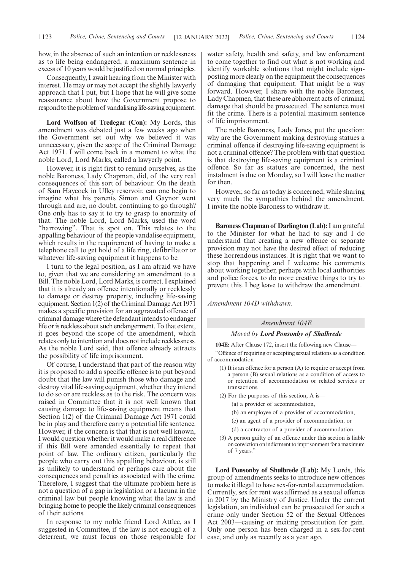how, in the absence of such an intention or recklessness as to life being endangered, a maximum sentence in excess of 10 years would be justified on normal principles.

Consequently, I await hearing from the Minister with interest. He may or may not accept the slightly lawyerly approach that I put, but I hope that he will give some reassurance about how the Government propose to respond to the problem of vandalising life-saving equipment.

**Lord Wolfson of Tredegar (Con):** My Lords, this amendment was debated just a few weeks ago when the Government set out why we believed it was unnecessary, given the scope of the Criminal Damage Act 1971. I will come back in a moment to what the noble Lord, Lord Marks, called a lawyerly point.

However, it is right first to remind ourselves, as the noble Baroness, Lady Chapman, did, of the very real consequences of this sort of behaviour. On the death of Sam Haycock in Ulley reservoir, can one begin to imagine what his parents Simon and Gaynor went through and are, no doubt, continuing to go through? One only has to say it to try to grasp to enormity of that. The noble Lord, Lord Marks, used the word "harrowing". That is spot on. This relates to the appalling behaviour of the people vandalise equipment, which results in the requirement of having to make a telephone call to get hold of a life ring, defibrillator or whatever life-saving equipment it happens to be.

I turn to the legal position, as I am afraid we have to, given that we are considering an amendment to a Bill. The noble Lord, Lord Marks, is correct. I explained that it is already an offence intentionally or recklessly to damage or destroy property, including life-saving equipment. Section 1(2) of the Criminal Damage Act 1971 makes a specific provision for an aggravated offence of criminal damage where the defendant intends to endanger life or is reckless about such endangerment. To that extent, it goes beyond the scope of the amendment, which relates only to intention and does not include recklessness. As the noble Lord said, that offence already attracts the possibility of life imprisonment.

Of course, I understand that part of the reason why it is proposed to add a specific offence is to put beyond doubt that the law will punish those who damage and destroy vital life-saving equipment, whether they intend to do so or are reckless as to the risk. The concern was raised in Committee that it is not well known that causing damage to life-saving equipment means that Section 1(2) of the Criminal Damage Act 1971 could be in play and therefore carry a potential life sentence. However, if the concern is that that is not well known, I would question whether it would make a real difference if this Bill were amended essentially to repeat that point of law. The ordinary citizen, particularly the people who carry out this appalling behaviour, is still as unlikely to understand or perhaps care about the consequences and penalties associated with the crime. Therefore, I suggest that the ultimate problem here is not a question of a gap in legislation or a lacuna in the criminal law but people knowing what the law is and bringing home to people the likely criminal consequences of their actions.

In response to my noble friend Lord Attlee, as I suggested in Committee, if the law is not enough of a deterrent, we must focus on those responsible for water safety, health and safety, and law enforcement to come together to find out what is not working and identify workable solutions that might include signposting more clearly on the equipment the consequences of damaging that equipment. That might be a way forward. However, I share with the noble Baroness, Lady Chapmen, that these are abhorrent acts of criminal damage that should be prosecuted. The sentence must fit the crime. There is a potential maximum sentence of life imprisonment.

The noble Baroness, Lady Jones, put the question: why are the Government making destroying statues a criminal offence if destroying life-saving equipment is not a criminal offence? The problem with that question is that destroying life-saving equipment is a criminal offence. So far as statues are concerned, the next instalment is due on Monday, so I will leave the matter for then.

However, so far as today is concerned, while sharing very much the sympathies behind the amendment, I invite the noble Baroness to withdraw it.

**Baroness Chapman of Darlington (Lab):**I am grateful to the Minister for what he had to say and I do understand that creating a new offence or separate provision may not have the desired effect of reducing these horrendous instances. It is right that we want to stop that happening and I welcome his comments about working together, perhaps with local authorities and police forces, to do more creative things to try to prevent this. I beg leave to withdraw the amendment.

*Amendment 104D withdrawn.*

#### *Amendment 104E*

#### *Moved by Lord Ponsonby of Shulbrede*

**104E:** After Clause 172, insert the following new Clause—

"Offence of requiring or accepting sexual relations as a condition of accommodation

- (1) It is an offence for a person (A) to require or accept from a person (B) sexual relations as a condition of access to or retention of accommodation or related services or transactions.
- (2) For the purposes of this section, A is—
	- (a) a provider of accommodation,
	- (b) an employee of a provider of accommodation,
	- (c) an agent of a provider of accommodation, or
	- (d) a contractor of a provider of accommodation.
- (3) A person guilty of an offence under this section is liable on conviction on indictment to imprisonment for a maximum of 7 years."

**Lord Ponsonby of Shulbrede (Lab):** My Lords, this group of amendments seeks to introduce new offences to make it illegal to have sex-for-rental accommodation. Currently, sex for rent was affirmed as a sexual offence in 2017 by the Ministry of Justice. Under the current legislation, an individual can be prosecuted for such a crime only under Section 52 of the Sexual Offences Act 2003—causing or inciting prostitution for gain. Only one person has been charged in a sex-for-rent case, and only as recently as a year ago.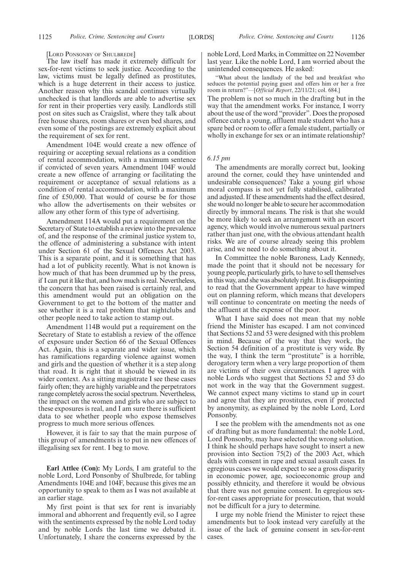[LORD PONSONBY OF SHULBREDE]

The law itself has made it extremely difficult for sex-for-rent victims to seek justice. According to the law, victims must be legally defined as prostitutes, which is a huge deterrent in their access to justice. Another reason why this scandal continues virtually unchecked is that landlords are able to advertise sex for rent in their properties very easily. Landlords still post on sites such as Craigslist, where they talk about free house shares, room shares or even bed shares, and even some of the postings are extremely explicit about the requirement of sex for rent.

Amendment 104E would create a new offence of requiring or accepting sexual relations as a condition of rental accommodation, with a maximum sentence if convicted of seven years. Amendment 104F would create a new offence of arranging or facilitating the requirement or acceptance of sexual relations as a condition of rental accommodation, with a maximum fine of £50,000. That would of course be for those who allow the advertisements on their websites or allow any other form of this type of advertising.

Amendment 114A would put a requirement on the Secretary of State to establish a review into the prevalence of, and the response of the criminal justice system to, the offence of administering a substance with intent under Section 61 of the Sexual Offences Act 2003. This is a separate point, and it is something that has had a lot of publicity recently. What is not known is how much of that has been drummed up by the press, if I can put it like that, and how much is real. Nevertheless, the concern that has been raised is certainly real, and this amendment would put an obligation on the Government to get to the bottom of the matter and see whether it is a real problem that nightclubs and other people need to take action to stamp out.

Amendment 114B would put a requirement on the Secretary of State to establish a review of the offence of exposure under Section 66 of the Sexual Offences Act. Again, this is a separate and wider issue, which has ramifications regarding violence against women and girls and the question of whether it is a step along that road. It is right that it should be viewed in its wider context. As a sitting magistrate I see these cases fairly often; they are highly variable and the perpetrators range completely across the social spectrum. Nevertheless, the impact on the women and girls who are subject to these exposures is real, and I am sure there is sufficient data to see whether people who expose themselves progress to much more serious offences.

However, it is fair to say that the main purpose of this group of amendments is to put in new offences of illegalising sex for rent. I beg to move.

**Earl Attlee (Con):** My Lords, I am grateful to the noble Lord, Lord Ponsonby of Shulbrede, for tabling Amendments 104E and 104F, because this gives me an opportunity to speak to them as I was not available at an earlier stage.

My first point is that sex for rent is invariably immoral and abhorrent and frequently evil, so I agree with the sentiments expressed by the noble Lord today and by noble Lords the last time we debated it. Unfortunately, I share the concerns expressed by the noble Lord, Lord Marks, in Committee on 22 November last year. Like the noble Lord, I am worried about the unintended consequences. He asked:

"What about the landlady of the bed and breakfast who seduces the potential paying guest and offers him or her a free room in return?"—[*Official Report*, 22/11/21; col. 684.]

The problem is not so much in the drafting but in the way that the amendment works. For instance, I worry about the use of the word "provider". Does the proposed offence catch a young, affluent male student who has a spare bed or room to offer a female student, partially or wholly in exchange for sex or an intimate relationship?

#### *6.15 pm*

The amendments are morally correct but, looking around the corner, could they have unintended and undesirable consequences? Take a young girl whose moral compass is not yet fully stabilised, calibrated and adjusted. If these amendments had the effect desired, she would no longer be able to secure her accommodation directly by immoral means. The risk is that she would be more likely to seek an arrangement with an escort agency, which would involve numerous sexual partners rather than just one, with the obvious attendant health risks. We are of course already seeing this problem arise, and we need to do something about it.

In Committee the noble Baroness, Lady Kennedy, made the point that it should not be necessary for young people, particularly girls, to have to sell themselves in this way, and she was absolutely right. It is disappointing to read that the Government appear to have wimped out on planning reform, which means that developers will continue to concentrate on meeting the needs of the affluent at the expense of the poor.

What I have said does not mean that my noble friend the Minister has escaped. I am not convinced that Sections 52 and 53 were designed with this problem in mind. Because of the way that they work, the Section 54 definition of a prostitute is very wide. By the way, I think the term "prostitute" is a horrible, derogatory term when a very large proportion of them are victims of their own circumstances. I agree with noble Lords who suggest that Sections 52 and 53 do not work in the way that the Government suggest. We cannot expect many victims to stand up in court and agree that they are prostitutes, even if protected by anonymity, as explained by the noble Lord, Lord Ponsonby.

I see the problem with the amendments not as one of drafting but as more fundamental: the noble Lord, Lord Ponsonby, may have selected the wrong solution. I think he should perhaps have sought to insert a new provision into Section 75(2) of the 2003 Act, which deals with consent in rape and sexual assault cases. In egregious cases we would expect to see a gross disparity in economic power, age, socioeconomic group and possibly ethnicity, and therefore it would be obvious that there was not genuine consent. In egregious sexfor-rent cases appropriate for prosecution, that would not be difficult for a jury to determine.

I urge my noble friend the Minister to reject these amendments but to look instead very carefully at the issue of the lack of genuine consent in sex-for-rent cases.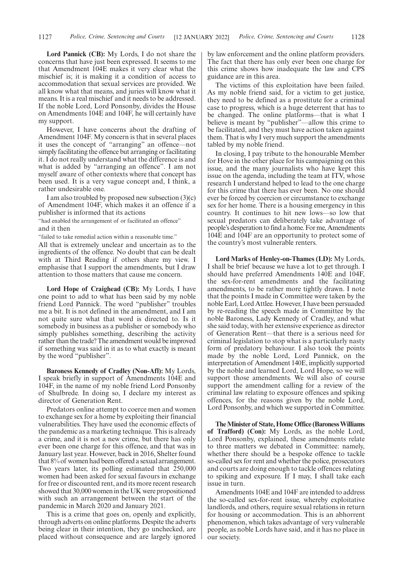**Lord Pannick (CB):** My Lords, I do not share the concerns that have just been expressed. It seems to me that Amendment 104E makes it very clear what the mischief is; it is making it a condition of access to accommodation that sexual services are provided. We all know what that means, and juries will know what it means. It is a real mischief and it needs to be addressed. If the noble Lord, Lord Ponsonby, divides the House on Amendments 104E and 104F, he will certainly have my support.

However, I have concerns about the drafting of Amendment 104F. My concern is that in several places it uses the concept of "arranging" an offence—not simply facilitating the offence but arranging or facilitating it. I do not really understand what the difference is and what is added by "arranging an offence". I am not myself aware of other contexts where that concept has been used. It is a very vague concept and, I think, a rather undesirable one.

I am also troubled by proposed new subsection (3)(c) of Amendment 104F, which makes it an offence if a publisher is informed that its actions

"had enabled the arrangement of or facilitated an offence" and it then

"failed to take remedial action within a reasonable time."

All that is extremely unclear and uncertain as to the ingredients of the offence. No doubt that can be dealt with at Third Reading if others share my view. I emphasise that I support the amendments, but I draw attention to those matters that cause me concern.

**Lord Hope of Craighead (CB):** My Lords, I have one point to add to what has been said by my noble friend Lord Pannick. The word "publisher" troubles me a bit. It is not defined in the amendment, and I am not quite sure what that word is directed to. Is it somebody in business as a publisher or somebody who simply publishes something, describing the activity rather than the trade? The amendment would be improved if something was said in it as to what exactly is meant by the word "publisher".

**Baroness Kennedy of Cradley (Non-Afl):** My Lords, I speak briefly in support of Amendments 104E and 104F, in the name of my noble friend Lord Ponsonby of Shulbrede. In doing so, I declare my interest as director of Generation Rent.

Predators online attempt to coerce men and women to exchange sex for a home by exploiting their financial vulnerabilities. They have used the economic effects of the pandemic as a marketing technique. This is already a crime, and it is not a new crime, but there has only ever been one charge for this offence, and that was in January last year. However, back in 2016, Shelter found that 8% of women had been offered a sexual arrangement. Two years later, its polling estimated that 250,000 women had been asked for sexual favours in exchange for free or discounted rent, and its more recent research showed that 30,000 women in the UK were propositioned with such an arrangement between the start of the pandemic in March 2020 and January 2021.

This is a crime that goes on, openly and explicitly, through adverts on online platforms. Despite the adverts being clear in their intention, they go unchecked, are placed without consequence and are largely ignored by law enforcement and the online platform providers. The fact that there has only ever been one charge for this crime shows how inadequate the law and CPS guidance are in this area.

The victims of this exploitation have been failed. As my noble friend said, for a victim to get justice, they need to be defined as a prostitute for a criminal case to progress, which is a huge deterrent that has to be changed. The online platforms—that is what I believe is meant by "publisher"—allow this crime to be facilitated, and they must have action taken against them. That is why I very much support the amendments tabled by my noble friend.

In closing, I pay tribute to the honourable Member for Hove in the other place for his campaigning on this issue, and the many journalists who have kept this issue on the agenda, including the team at ITV, whose research I understand helped to lead to the one charge for this crime that there has ever been. No one should ever be forced by coercion or circumstance to exchange sex for her home. There is a housing emergency in this country. It continues to hit new lows—so low that sexual predators can deliberately take advantage of people's desperation to find a home. For me, Amendments 104E and 104F are an opportunity to protect some of the country's most vulnerable renters.

**Lord Marks of Henley-on-Thames (LD):** My Lords, I shall be brief because we have a lot to get through. I should have preferred Amendments 140E and 104F, the sex-for-rent amendments and the facilitating amendments, to be rather more tightly drawn. I note that the points I made in Committee were taken by the noble Earl, Lord Attlee. However, I have been persuaded by re-reading the speech made in Committee by the noble Baroness, Lady Kennedy of Cradley, and what she said today, with her extensive experience as director of Generation Rent—that there is a serious need for criminal legislation to stop what is a particularly nasty form of predatory behaviour. I also took the points made by the noble Lord, Lord Pannick, on the interpretation of Amendment 140E, implicitly supported by the noble and learned Lord, Lord Hope, so we will support those amendments. We will also of course support the amendment calling for a review of the criminal law relating to exposure offences and spiking offences, for the reasons given by the noble Lord, Lord Ponsonby, and which we supported in Committee.

**The Minister of State, Home Office (Baroness Williams of Trafford) (Con):** My Lords, as the noble Lord, Lord Ponsonby, explained, these amendments relate to three matters we debated in Committee: namely, whether there should be a bespoke offence to tackle so-called sex for rent and whether the police, prosecutors and courts are doing enough to tackle offences relating to spiking and exposure. If I may, I shall take each issue in turn.

Amendments 104E and 104F are intended to address the so-called sex-for-rent issue, whereby exploitative landlords, and others, require sexual relations in return for housing or accommodation. This is an abhorrent phenomenon, which takes advantage of very vulnerable people, as noble Lords have said, and it has no place in our society.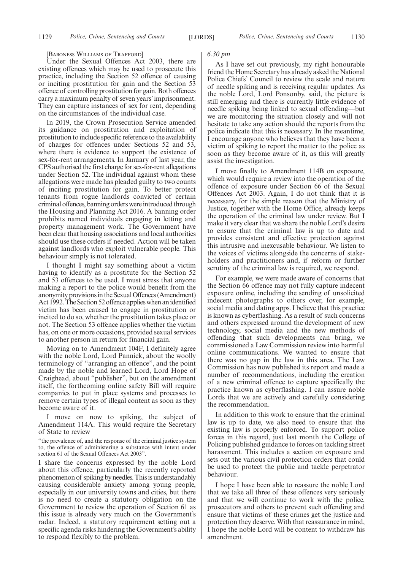[BARONESS WILLIAMS OF TRAFFORD]

Under the Sexual Offences Act 2003, there are existing offences which may be used to prosecute this practice, including the Section 52 offence of causing or inciting prostitution for gain and the Section 53 offence of controlling prostitution for gain. Both offences carry a maximum penalty of seven years' imprisonment. They can capture instances of sex for rent, depending on the circumstances of the individual case.

In 2019, the Crown Prosecution Service amended its guidance on prostitution and exploitation of prostitution to include specific reference to the availability of charges for offences under Sections 52 and 53, where there is evidence to support the existence of sex-for-rent arrangements. In January of last year, the CPS authorised the first charge for sex-for-rent allegations under Section 52. The individual against whom these allegations were made has pleaded guilty to two counts of inciting prostitution for gain. To better protect tenants from rogue landlords convicted of certain criminal offences, banning orders were introduced through the Housing and Planning Act 2016. A banning order prohibits named individuals engaging in letting and property management work. The Government have been clear that housing associations and local authorities should use these orders if needed. Action will be taken against landlords who exploit vulnerable people. This behaviour simply is not tolerated.

I thought I might say something about a victim having to identify as a prostitute for the Section 52 and 53 offences to be used. I must stress that anyone making a report to the police would benefit from the anonymity provisions in the Sexual Offences (Amendment) Act 1992. The Section 52 offence applies when an identified victim has been caused to engage in prostitution or incited to do so, whether the prostitution takes place or not. The Section 53 offence applies whether the victim has, on one or more occasions, provided sexual services to another person in return for financial gain.

Moving on to Amendment 104F, I definitely agree with the noble Lord, Lord Pannick, about the woolly terminology of "arranging an offence", and the point made by the noble and learned Lord, Lord Hope of Craighead, about "publisher", but on the amendment itself, the forthcoming online safety Bill will require companies to put in place systems and processes to remove certain types of illegal content as soon as they become aware of it.

I move on now to spiking, the subject of Amendment 114A. This would require the Secretary of State to review

"the prevalence of, and the response of the criminal justice system to, the offence of administering a substance with intent under section 61 of the Sexual Offences Act 2003".

I share the concerns expressed by the noble Lord about this offence, particularly the recently reported phenomenon of spiking by needles. This is understandably causing considerable anxiety among young people, especially in our university towns and cities, but there is no need to create a statutory obligation on the Government to review the operation of Section 61 as this issue is already very much on the Government's radar. Indeed, a statutory requirement setting out a specific agenda risks hindering the Government's ability to respond flexibly to the problem.

#### *6.30 pm*

As I have set out previously, my right honourable friend the Home Secretary has already asked the National Police Chiefs' Council to review the scale and nature of needle spiking and is receiving regular updates. As the noble Lord, Lord Ponsonby, said, the picture is still emerging and there is currently little evidence of needle spiking being linked to sexual offending—but we are monitoring the situation closely and will not hesitate to take any action should the reports from the police indicate that this is necessary. In the meantime, I encourage anyone who believes that they have been a victim of spiking to report the matter to the police as soon as they become aware of it, as this will greatly assist the investigation.

I move finally to Amendment 114B on exposure, which would require a review into the operation of the offence of exposure under Section 66 of the Sexual Offences Act 2003. Again, I do not think that it is necessary, for the simple reason that the Ministry of Justice, together with the Home Office, already keeps the operation of the criminal law under review. But I make it very clear that we share the noble Lord's desire to ensure that the criminal law is up to date and provides consistent and effective protection against this intrusive and inexcusable behaviour. We listen to the voices of victims alongside the concerns of stakeholders and practitioners and, if reform or further scrutiny of the criminal law is required, we respond.

For example, we were made aware of concerns that the Section 66 offence may not fully capture indecent exposure online, including the sending of unsolicited indecent photographs to others over, for example, social media and dating apps. I believe that this practice is known as cyberflashing. As a result of such concerns and others expressed around the development of new technology, social media and the new methods of offending that such developments can bring, we commissioned a Law Commission review into harmful online communications. We wanted to ensure that there was no gap in the law in this area. The Law Commission has now published its report and made a number of recommendations, including the creation of a new criminal offence to capture specifically the practice known as cyberflashing. I can assure noble Lords that we are actively and carefully considering the recommendation.

In addition to this work to ensure that the criminal law is up to date, we also need to ensure that the existing law is properly enforced. To support police forces in this regard, just last month the College of Policing published guidance to forces on tackling street harassment. This includes a section on exposure and sets out the various civil protection orders that could be used to protect the public and tackle perpetrator behaviour.

I hope I have been able to reassure the noble Lord that we take all three of these offences very seriously and that we will continue to work with the police, prosecutors and others to prevent such offending and ensure that victims of these crimes get the justice and protection they deserve. With that reassurance in mind, I hope the noble Lord will be content to withdraw his amendment.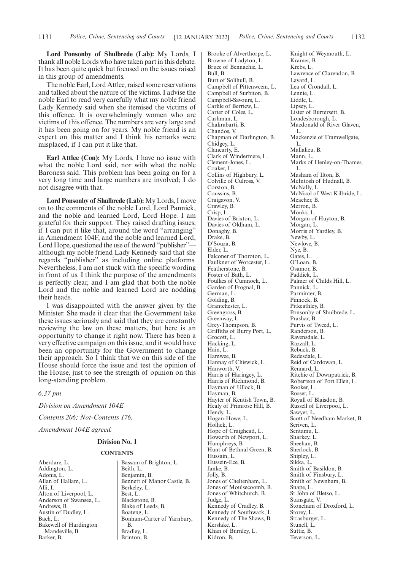**Lord Ponsonby of Shulbrede (Lab):** My Lords, I thank all noble Lords who have taken part in this debate. It has been quite quick but focused on the issues raised in this group of amendments.

The noble Earl, Lord Attlee, raised some reservations and talked about the nature of the victims. I advise the noble Earl to read very carefully what my noble friend Lady Kennedy said when she itemised the victims of this offence. It is overwhelmingly women who are victims of this offence. The numbers are very large and it has been going on for years. My noble friend is an expert on this matter and I think his remarks were misplaced, if I can put it like that.

**Earl Attlee (Con):** My Lords, I have no issue with what the noble Lord said, nor with what the noble Baroness said. This problem has been going on for a very long time and large numbers are involved; I do not disagree with that.

**Lord Ponsonby of Shulbrede (Lab):** My Lords, I move on to the comments of the noble Lord, Lord Pannick, and the noble and learned Lord, Lord Hope. I am grateful for their support. They raised drafting issues, if I can put it like that, around the word "arranging" in Amendment 104F, and the noble and learned Lord, Lord Hope, questioned the use of the word "publisher" although my noble friend Lady Kennedy said that she regards "publisher" as including online platforms. Nevertheless, I am not stuck with the specific wording in front of us. I think the purpose of the amendments is perfectly clear, and I am glad that both the noble Lord and the noble and learned Lord are nodding their heads.

I was disappointed with the answer given by the Minister. She made it clear that the Government take these issues seriously and said that they are constantly reviewing the law on these matters, but here is an opportunity to change it right now. There has been a very effective campaign on this issue, and it would have been an opportunity for the Government to change their approach. So I think that we on this side of the House should force the issue and test the opinion of the House, just to see the strength of opinion on this long-standing problem.

*6.37 pm*

*Division on Amendment 104E Contents 206; Not-Contents 176. Amendment 104E agreed.*

#### **Division No. 1**

#### **CONTENTS**

Aberdare, L. Addington, L. Adonis, L. Allan of Hallam, L. Alli, L. Alton of Liverpool, L. Anderson of Swansea, L. Andrews, B. Austin of Dudley, L. Bach, L. Bakewell of Hardington Mandeville, B. Barker, B.

Bassam of Brighton, L. Beith, L. Benjamin, B. Bennett of Manor Castle, B. Berkeley, L. Best, L. Blackstone, B. Blake of Leeds, B. Boateng, L. Bonham-Carter of Yarnbury, B. Bradley, L. Brinton, B.

Brooke of Alverthorpe, L. Browne of Ladyton, L. Bruce of Bennachie, L. Bull, B. Burt of Solihull, B. Campbell of Pittenweem, L. Campbell of Surbiton, B. Campbell-Savours, L. Carlile of Berriew, L. Carter of Coles, L. Cashman, L. Chakrabarti, B. Chandos, V. Chapman of Darlington, B. Chidgey, L. Clancarty, E. Clark of Windermere, L. Clement-Jones, L. Coaker, L. Collins of Highbury, L. Colville of Culross, V. Corston, B. Coussins, B. Craigavon, V. Crawley, B. Crisp, L. Davies of Brixton, L. Davies of Oldham, L. Donaghy, B. Drake, B. D'Souza, B. Elder, L. Falconer of Thoroton, L. Faulkner of Worcester, L. Featherstone, B. Foster of Bath, L. Foulkes of Cumnock, L. Garden of Frognal, B. German, L. Golding, B. Grantchester, L. Greengross, B. Greenway, L. Grey-Thompson, B. Griffiths of Burry Port, L. Grocott, L. Hacking, L. Hain, L. Hamwee, B. Hannay of Chiswick, L. Hanworth, V. Harris of Haringey, L. Harris of Richmond, B. Hayman of Ullock, B. Hayman, B. Hayter of Kentish Town, B. Healy of Primrose Hill, B. Hendy, L. Hogan-Howe, L. Hollick, L. Hope of Craighead, L. Howarth of Newport, L. Humphreys, B. Hunt of Bethnal Green, B. Hussain, L. Hussein-Ece, B. Janke, B. Jolly, B. Jones of Cheltenham, L. Jones of Moulsecoomb, B. Jones of Whitchurch, B. Judge, L. Kennedy of Cradley, B. Kennedy of Southwark, L. Kennedy of The Shaws, B. Kerslake, L. Khan of Burnley, L. Kidron, B.

Knight of Weymouth, L. Kramer, B. Krebs, L. Lawrence of Clarendon, B. Layard, L. Lea of Crondall, L. Lennie, L. Liddle, L. Lipsey, L. Lister of Burtersett, B. Londesborough, L. Macdonald of River Glaven, L. Mackenzie of Framwellgate, L. Mallalieu, B. Mann, L. Marks of Henley-on-Thames, L. Masham of Ilton, B. McIntosh of Hudnall, B. McNally, L. McNicol of West Kilbride, L. Meacher, B. Merron, B. Monks, L. Morgan of Huyton, B. Morgan, L. Morris of Yardley, B. Newby, L. Newlove, B. Nye, B. Oates, L. O'Loan, B. Osamor, B. Paddick, L. Palmer of Childs Hill, L. Pannick, L. Parminter, B. Pinnock, B. Pitkeathley, B. Ponsonby of Shulbrede, L. Prashar, B. Purvis of Tweed, L. Randerson, B. Ravensdale, L. Razzall, L. Rebuck, B. Redesdale, L. Reid of Cardowan, L. Rennard, L. Ritchie of Downpatrick, B. Robertson of Port Ellen, L. Rooker, L. Rosser, L. Royall of Blaisdon, B. Russell of Liverpool, L. Sawyer, L. Scott of Needham Market, B. Scriven, L. Sentamu, L. Sharkey, L. Sheehan, B. Sherlock, B. Shipley, L. Sikka, L. Smith of Basildon, B. Smith of Finsbury, L. Smith of Newnham, B. Snape, L. St John of Bletso, L. Stansgate, V. Stoneham of Droxford, L. Storey, L. Strasburger, L. Stunell, L. Suttie, B. Teverson, L.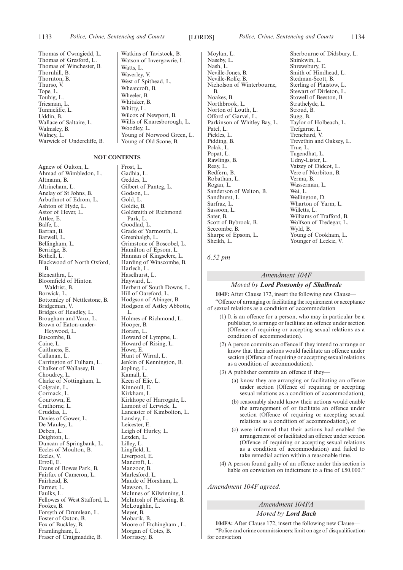Thomas of Cwmgiedd, L. Thomas of Gresford, L. Thomas of Winchester, B. Thornhill, B. Thornton, B. Thurso, V. Tope, L. Touhig, L. Triesman, L. Tunnicliffe, L. Uddin, B. Wallace of Saltaire, L. Walmsley, B. Walney, L. Warwick of Undercliffe, B.

#### **NOT CONTENTS**

Agnew of Oulton, L. Ahmad of Wimbledon, L. Altmann, B. Altrincham, L. Anelay of St Johns, B. Arbuthnot of Edrom, L. Ashton of Hyde, L. Astor of Hever, L. Attlee, E. Balfe, L. Barran, B. Barwell, L. Bellingham, L. Berridge, B. Bethell, L. Blackwood of North Oxford, B. Blencathra, L. Bloomfield of Hinton Waldrist, B. Borwick, L. Bottomley of Nettlestone, B. Bridgeman, V. Bridges of Headley, L. Brougham and Vaux, L. Brown of Eaton-under-Heywood, L. Buscombe, B. Caine, L. Caithness, E. Callanan, L. Carrington of Fulham, L. Chalker of Wallasey, B. Choudrey, L. Clarke of Nottingham, L. Colgrain, L. Cormack, L. Courtown, E. Crathorne, L. Cruddas, L. Davies of Gower, L. De Mauley, L. Deben, L. Deighton, L. Duncan of Springbank, L. Eccles of Moulton, B. Eccles, V. Erroll, E. Evans of Bowes Park, B. Fairfax of Cameron, L. Fairhead, B. Farmer, L. Faulks, L. Fellowes of West Stafford, L. Fookes, B. Forsyth of Drumlean, L. Foster of Oxton, B. Fox of Buckley, B. Framlingham, L. Fraser of Craigmaddie, B.

Watkins of Tavistock, B. Watson of Invergowrie, L. Watts, L. Waverley, V. West of Spithead, L. Wheatcroft, B. Wheeler, B. Whitaker, B. Whitty, L. Wilcox of Newport, B. Willis of Knaresborough, L. Woodley, L. Young of Norwood Green, L.

Young of Old Scone, B.

Frost, L. Gadhia, L. Geddes, L. Gilbert of Panteg, L. Godson, L. Gold, L. Goldie, B. Goldsmith of Richmond Park, L. Goodlad, L. Grade of Yarmouth, L. Greenhalgh, L. Grimstone of Boscobel, L. Hamilton of Epsom, L. Hannan of Kingsclere, L. Harding of Winscombe, B. Harlech, L. Haselhurst, L. Hayward, L. Herbert of South Downs, L. Hill of Oareford, L. Hodgson of Abinger, B. Hodgson of Astley Abbotts, L. Holmes of Richmond, L. Hooper, B. Horam, L. Howard of Lympne, L. Howard of Rising, L. Howe, E. Hunt of Wirral, L. Jenkin of Kennington, B. Jopling, L. Kamall, L. Keen of Elie, L. Kinnoull, E. Kirkham, L. Kirkhope of Harrogate, L. Lamont of Lerwick, L. Lancaster of Kimbolton, L. Lansley, L. Leicester, E. Leigh of Hurley, L. Lexden, L. Lilley, L. Lingfield, L. Liverpool, E. Mancroft, L. Manzoor, B. Marlesford, L. Maude of Horsham, L. Mawson, L. McInnes of Kilwinning, L. McIntosh of Pickering, B. McLoughlin, L. Meyer, B. Mobarik, B. Moore of Etchingham , L. Morgan of Cotes, B.

Morrissey, B.

Moylan, L. Naseby, L. Nash, L. Neville-Jones, B. Neville-Rolfe, B. Nicholson of Winterbourne, B. Noakes, B. Northbrook, L. Norton of Louth, L. Offord of Garvel, L. Parkinson of Whitley Bay, L. Patel, L. Pickles, L. Pidding, B. Polak, L. Popat, L. Rawlings, B. Reay, L. Redfern, B. Robathan, L. Rogan, L. Sanderson of Welton, B. Sandhurst, L. Sarfraz, L. Sassoon, L. Sater, B. Scott of Bybrook, B. Seccombe, B. Sharpe of Epsom, L. Sheikh, L.

Sherbourne of Didsbury, L. Shinkwin, L. Shrewsbury, E. Smith of Hindhead, L. Stedman-Scott, B. Sterling of Plaistow, L. Stewart of Dirleton, L. Stowell of Beeston, B. Strathclyde, L. Stroud, B. Sugg, B. Taylor of Holbeach, L. Trefgarne, L. Trenchard, V. Trevethin and Oaksey, L. True, L. Tugendhat, L. Udny-Lister, L. Vaizey of Didcot, L. Vere of Norbiton, B. Verma, B. Wasserman, L. Wei, L. Wellington, D. Wharton of Yarm, L. Willetts, L. Williams of Trafford, B. Wolfson of Tredegar, L. Wyld, B. Young of Cookham, L. Younger of Leckie, V.

#### *6.52 pm*

#### *Amendment 104F*

#### *Moved by Lord Ponsonby of Shulbrede*

**104F:** After Clause 172, insert the following new Clause— "Offence of arranging or facilitating the requirement or acceptance of sexual relations as a condition of accommodation

- (1) It is an offence for a person, who may in particular be a publisher, to arrange or facilitate an offence under section (Offence of requiring or accepting sexual relations as a condition of accommodation).
- (2) A person commits an offence if they intend to arrange or know that their actions would facilitate an offence under section (Offence of requiring or accepting sexual relations as a condition of accommodation).
- (3) A publisher commits an offence if they—
	- (a) know they are arranging or facilitating an offence under section (Offence of requiring or accepting sexual relations as a condition of accommodation),
	- (b) reasonably should know their actions would enable the arrangement of or facilitate an offence under section (Offence of requiring or accepting sexual relations as a condition of accommodation), or
	- (c) were informed that their actions had enabled the arrangement of or facilitated an offence under section (Offence of requiring or accepting sexual relations as a condition of accommodation) and failed to take remedial action within a reasonable time.
- (4) A person found guilty of an offence under this section is liable on conviction on indictment to a fine of £50,000."

*Amendment 104F agreed.*

#### *Amendment 104FA Moved by Lord Bach*

**104FA:** After Clause 172, insert the following new Clause— "Police and crime commissioners: limit on age of disqualification for conviction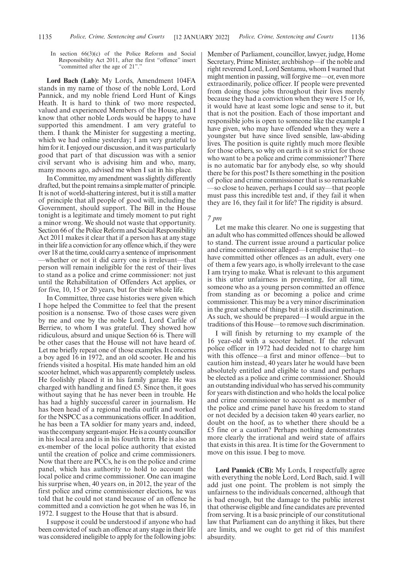In section 66(3)(c) of the Police Reform and Social Responsibility Act 2011, after the first "offence" insert "committed after the age of 21"."

**Lord Bach (Lab):** My Lords, Amendment 104FA stands in my name of those of the noble Lord, Lord Pannick, and my noble friend Lord Hunt of Kings Heath. It is hard to think of two more respected, valued and experienced Members of the House, and I know that other noble Lords would be happy to have supported this amendment. I am very grateful to them. I thank the Minister for suggesting a meeting, which we had online yesterday; I am very grateful to him for it. I enjoyed our discussion, and it was particularly good that part of that discussion was with a senior civil servant who is advising him and who, many, many moons ago, advised me when I sat in his place.

In Committee, my amendment was slightly differently drafted, but the point remains a simple matter of principle. It is not of world-shattering interest, but it is still a matter of principle that all people of good will, including the Government, should support. The Bill in the House tonight is a legitimate and timely moment to put right a minor wrong. We should not waste that opportunity. Section 66 of the Police Reform and Social Responsibility Act 2011 makes it clear that if a person has at any stage in their life a conviction for any offence which, if they were over 18 at the time, could carry a sentence of imprisonment —whether or not it did carry one is irrelevant—that person will remain ineligible for the rest of their lives to stand as a police and crime commissioner: not just until the Rehabilitation of Offenders Act applies, or for five, 10, 15 or 20 years, but for their whole life.

In Committee, three case histories were given which I hope helped the Committee to feel that the present position is a nonsense. Two of those cases were given by me and one by the noble Lord, Lord Carlile of Berriew, to whom I was grateful. They showed how ridiculous, absurd and unique Section 66 is. There will be other cases that the House will not have heard of. Let me briefly repeat one of those examples. It concerns a boy aged 16 in 1972, and an old scooter. He and his friends visited a hospital. His mate handed him an old scooter helmet, which was apparently completely useless. He foolishly placed it in his family garage. He was charged with handling and fined £5. Since then, it goes without saying that he has never been in trouble. He has had a highly successful career in journalism. He has been head of a regional media outfit and worked for the NSPCC as a communications officer. In addition, he has been a TA soldier for many years and, indeed, was the company sergeant-major. He is a county councillor in his local area and is in his fourth term. He is also an ex-member of the local police authority that existed until the creation of police and crime commissioners. Now that there are PCCs, he is on the police and crime panel, which has authority to hold to account the local police and crime commissioner. One can imagine his surprise when, 40 years on, in 2012, the year of the first police and crime commissioner elections, he was told that he could not stand because of an offence he committed and a conviction he got when he was 16, in 1972. I suggest to the House that that is absurd.

I suppose it could be understood if anyone who had been convicted of such an offence at any stage in their life was considered ineligible to apply for the following jobs: Member of Parliament, councillor, lawyer, judge, Home Secretary, Prime Minister, archbishop—if the noble and right reverend Lord, Lord Sentamu, whom I warned that might mention in passing, will forgive me—or, even more extraordinarily, police officer. If people were prevented from doing those jobs throughout their lives merely because they had a conviction when they were 15 or 16, it would have at least some logic and sense to it, but that is not the position. Each of those important and responsible jobs is open to someone like the example I have given, who may have offended when they were a youngster but have since lived sensible, law-abiding lives. The position is quite rightly much more flexible for those others, so why on earth is it so strict for those who want to be a police and crime commissioner? There is no automatic bar for anybody else, so why should there be for this post? Is there something in the position of police and crime commissioner that is so remarkable —so close to heaven, perhaps I could say—that people must pass this incredible test and, if they fail it when they are 16, they fail it for life? The rigidity is absurd.

#### *7 pm*

Let me make this clearer. No one is suggesting that an adult who has committed offences should be allowed to stand. The current issue around a particular police and crime commissioner alleged—I emphasise that—to have committed other offences as an adult, every one of them a few years ago, is wholly irrelevant to the case I am trying to make. What is relevant to this argument is this utter unfairness in preventing, for all time, someone who as a young person committed an offence from standing as or becoming a police and crime commissioner. This may be a very minor discrimination in the great scheme of things but it is still discrimination. As such, we should be prepared—I would argue in the traditions of this House—to remove such discrimination.

I will finish by returning to my example of the 16 year-old with a scooter helmet. If the relevant police officer in 1972 had decided not to charge him with this offence—a first and minor offence—but to caution him instead, 40 years later he would have been absolutely entitled and eligible to stand and perhaps be elected as a police and crime commissioner. Should an outstanding individual who has served his community for years with distinction and who holds the local police and crime commissioner to account as a member of the police and crime panel have his freedom to stand or not decided by a decision taken 40 years earlier, no doubt on the hoof, as to whether there should be a £5 fine or a caution? Perhaps nothing demonstrates more clearly the irrational and weird state of affairs that exists in this area. It is time for the Government to move on this issue. I beg to move.

**Lord Pannick (CB):** My Lords, I respectfully agree with everything the noble Lord, Lord Bach, said. I will add just one point. The problem is not simply the unfairness to the individuals concerned, although that is bad enough, but the damage to the public interest that otherwise eligible and fine candidates are prevented from serving. It is a basic principle of our constitutional law that Parliament can do anything it likes, but there are limits, and we ought to get rid of this manifest absurdity.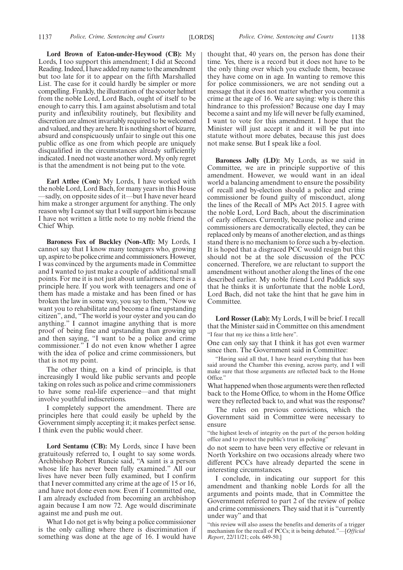**Lord Brown of Eaton-under-Heywood (CB):** My Lords, I too support this amendment; I did at Second Reading. Indeed, I have added my name to the amendment but too late for it to appear on the fifth Marshalled List. The case for it could hardly be simpler or more compelling. Frankly, the illustration of the scooter helmet from the noble Lord, Lord Bach, ought of itself to be enough to carry this. I am against absolutism and total purity and inflexibility routinely, but flexibility and discretion are almost invariably required to be welcomed and valued, and they are here. It is nothing short of bizarre, absurd and conspicuously unfair to single out this one public office as one from which people are uniquely disqualified in the circumstances already sufficiently indicated. I need not waste another word. My only regret is that the amendment is not being put to the vote.

**Earl Attlee (Con):** My Lords, I have worked with the noble Lord, Lord Bach, for many years in this House —sadly, on opposite sides of it—but I have never heard him make a stronger argument for anything. The only reason why I cannot say that I will support him is because I have not written a little note to my noble friend the Chief Whip.

**Baroness Fox of Buckley (Non-Afl):** My Lords, I cannot say that I know many teenagers who, growing up, aspire to be police crime and commissioners. However, I was convinced by the arguments made in Committee and I wanted to just make a couple of additional small points. For me it is not just about unfairness; there is a principle here. If you work with teenagers and one of them has made a mistake and has been fined or has broken the law in some way, you say to them, "Now we want you to rehabilitate and become a fine upstanding citizen", and, "The world is your oyster and you can do anything." I cannot imagine anything that is more proof of being fine and upstanding than growing up and then saying, "I want to be a police and crime commissioner." I do not even know whether I agree with the idea of police and crime commissioners, but that is not my point.

The other thing, on a kind of principle, is that increasingly I would like public servants and people taking on roles such as police and crime commissioners to have some real-life experience—and that might involve youthful indiscretions.

I completely support the amendment. There are principles here that could easily be upheld by the Government simply accepting it; it makes perfect sense. I think even the public would cheer.

**Lord Sentamu (CB):** My Lords, since I have been gratuitously referred to, I ought to say some words. Archbishop Robert Runcie said, "A saint is a person whose life has never been fully examined." All our lives have never been fully examined, but I confirm that I never committed any crime at the age of 15 or 16, and have not done even now. Even if I committed one, I am already excluded from becoming an archbishop again because I am now 72. Age would discriminate against me and push me out.

What I do not get is why being a police commissioner is the only calling where there is discrimination if something was done at the age of 16. I would have thought that, 40 years on, the person has done their time. Yes, there is a record but it does not have to be the only thing over which you exclude them, because they have come on in age. In wanting to remove this for police commissioners, we are not sending out a message that it does not matter whether you commit a crime at the age of 16. We are saying: why is there this hindrance to this profession? Because one day I may become a saint and my life will never be fully examined, I want to vote for this amendment. I hope that the Minister will just accept it and it will be put into statute without more debates, because this just does not make sense. But I speak like a fool.

**Baroness Jolly (LD):** My Lords, as we said in Committee, we are in principle supportive of this amendment. However, we would want in an ideal world a balancing amendment to ensure the possibility of recall and by-election should a police and crime commissioner be found guilty of misconduct, along the lines of the Recall of MPs Act 2015. I agree with the noble Lord, Lord Bach, about the discrimination of early offences. Currently, because police and crime commissioners are democratically elected, they can be replaced only by means of another election, and as things stand there is no mechanism to force such a by-election. It is hoped that a disgraced PCC would resign but this should not be at the sole discussion of the PCC concerned. Therefore, we are reluctant to support the amendment without another along the lines of the one described earlier. My noble friend Lord Paddick says that he thinks it is unfortunate that the noble Lord, Lord Bach, did not take the hint that he gave him in Committee.

**Lord Rosser (Lab):** My Lords, I will be brief. I recall that the Minister said in Committee on this amendment "I fear that my ice thins a little here".

One can only say that I think it has got even warmer since then. The Government said in Committee:

"Having said all that, I have heard everything that has been said around the Chamber this evening, across party, and I will make sure that those arguments are reflected back to the Home Office."

What happened when those arguments were then reflected back to the Home Office, to whom in the Home Office were they reflected back to, and what was the response?

The rules on previous convictions, which the Government said in Committee were necessary to ensure

"the highest levels of integrity on the part of the person holding office and to protect the public's trust in policing"

do not seem to have been very effective or relevant in North Yorkshire on two occasions already where two different PCCs have already departed the scene in interesting circumstances.

I conclude, in indicating our support for this amendment and thanking noble Lords for all the arguments and points made, that in Committee the Government referred to part 2 of the review of police and crime commissioners. They said that it is "currently under way" and that

"this review will also assess the benefits and demerits of a trigger mechanism for the recall of PCCs; it is being debated."—[*Official Report*, 22/11/21; cols. 649-50.]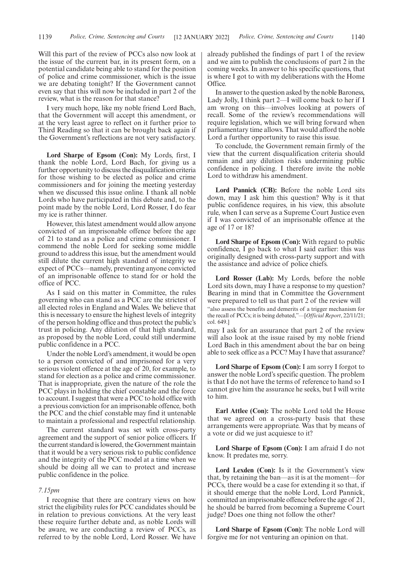Will this part of the review of PCCs also now look at the issue of the current bar, in its present form, on a potential candidate being able to stand for the position of police and crime commissioner, which is the issue we are debating tonight? If the Government cannot even say that this will now be included in part 2 of the review, what is the reason for that stance?

I very much hope, like my noble friend Lord Bach, that the Government will accept this amendment, or at the very least agree to reflect on it further prior to Third Reading so that it can be brought back again if the Government's reflections are not very satisfactory.

**Lord Sharpe of Epsom (Con):** My Lords, first, I thank the noble Lord, Lord Bach, for giving us a further opportunity to discuss the disqualification criteria for those wishing to be elected as police and crime commissioners and for joining the meeting yesterday when we discussed this issue online. I thank all noble Lords who have participated in this debate and, to the point made by the noble Lord, Lord Rosser, I do fear my ice is rather thinner.

However, this latest amendment would allow anyone convicted of an imprisonable offence before the age of 21 to stand as a police and crime commissioner. I commend the noble Lord for seeking some middle ground to address this issue, but the amendment would still dilute the current high standard of integrity we expect of PCCs—namely, preventing anyone convicted of an imprisonable offence to stand for or hold the office of PCC.

As I said on this matter in Committee, the rules governing who can stand as a PCC are the strictest of all elected roles in England and Wales. We believe that this is necessary to ensure the highest levels of integrity of the person holding office and thus protect the public's trust in policing. Any dilution of that high standard, as proposed by the noble Lord, could still undermine public confidence in a PCC.

Under the noble Lord's amendment, it would be open to a person convicted of and imprisoned for a very serious violent offence at the age of 20, for example, to stand for election as a police and crime commissioner. That is inappropriate, given the nature of the role the PCC plays in holding the chief constable and the force to account. I suggest that were a PCC to hold office with a previous conviction for an imprisonable offence, both the PCC and the chief constable may find it untenable to maintain a professional and respectful relationship.

The current standard was set with cross-party agreement and the support of senior police officers. If the current standard is lowered, the Government maintain that it would be a very serious risk to public confidence and the integrity of the PCC model at a time when we should be doing all we can to protect and increase public confidence in the police.

#### *7.15pm*

I recognise that there are contrary views on how strict the eligibility rules for PCC candidates should be in relation to previous convictions. At the very least these require further debate and, as noble Lords will be aware, we are conducting a review of PCCs, as referred to by the noble Lord, Lord Rosser. We have already published the findings of part 1 of the review and we aim to publish the conclusions of part 2 in the coming weeks. In answer to his specific questions, that is where I got to with my deliberations with the Home Office.

In answer to the question asked by the noble Baroness, Lady Jolly, I think part 2—I will come back to her if I am wrong on this—involves looking at powers of recall. Some of the review's recommendations will require legislation, which we will bring forward when parliamentary time allows. That would afford the noble Lord a further opportunity to raise this issue.

To conclude, the Government remain firmly of the view that the current disqualification criteria should remain and any dilution risks undermining public confidence in policing. I therefore invite the noble Lord to withdraw his amendment.

**Lord Pannick (CB):** Before the noble Lord sits down, may I ask him this question? Why is it that public confidence requires, in his view, this absolute rule, when I can serve as a Supreme Court Justice even if I was convicted of an imprisonable offence at the age of 17 or 18?

**Lord Sharpe of Epsom (Con):** With regard to public confidence, I go back to what I said earlier: this was originally designed with cross-party support and with the assistance and advice of police chiefs.

**Lord Rosser (Lab):** My Lords, before the noble Lord sits down, may I have a response to my question? Bearing in mind that in Committee the Government were prepared to tell us that part 2 of the review will

"also assess the benefits and demerits of a trigger mechanism for the recall of PCCs; it is being debated,"—[*Official Report*, 22/11/21; col. 649.]

may I ask for an assurance that part 2 of the review will also look at the issue raised by my noble friend Lord Bach in this amendment about the bar on being able to seek office as a PCC? May I have that assurance?

**Lord Sharpe of Epsom (Con):** I am sorry I forgot to answer the noble Lord's specific question. The problem is that I do not have the terms of reference to hand so I cannot give him the assurance he seeks, but I will write to him.

**Earl Attlee (Con):** The noble Lord told the House that we agreed on a cross-party basis that these arrangements were appropriate. Was that by means of a vote or did we just acquiesce to it?

**Lord Sharpe of Epsom (Con):** I am afraid I do not know. It predates me, sorry.

**Lord Lexden (Con):** Is it the Government's view that, by retaining the ban—as it is at the moment—for PCCs, there would be a case for extending it so that, if it should emerge that the noble Lord, Lord Pannick, committed an imprisonable offence before the age of 21, he should be barred from becoming a Supreme Court judge? Does one thing not follow the other?

**Lord Sharpe of Epsom (Con):** The noble Lord will forgive me for not venturing an opinion on that.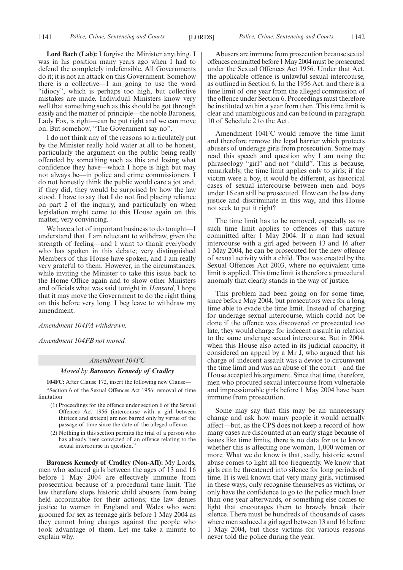**Lord Bach (Lab):** I forgive the Minister anything. I was in his position many years ago when I had to defend the completely indefensible. All Governments do it; it is not an attack on this Government. Somehow there is a collective—I am going to use the word "idiocy", which is perhaps too high, but collective mistakes are made. Individual Ministers know very well that something such as this should be got through easily and the matter of principle—the noble Baroness, Lady Fox, is right—can be put right and we can move on. But somehow, "The Government say no".

I do not think any of the reasons so articulately put by the Minister really hold water at all to be honest, particularly the argument on the public being really offended by something such as this and losing what confidence they have—which I hope is high but may not always be—in police and crime commissioners. I do not honestly think the public would care a jot and, if they did, they would be surprised by how the law stood. I have to say that I do not find placing reliance on part 2 of the inquiry, and particularly on when legislation might come to this House again on this matter, very convincing.

We have a lot of important business to do tonight—I understand that. I am reluctant to withdraw, given the strength of feeling—and I want to thank everybody who has spoken in this debate; very distinguished Members of this House have spoken, and I am really very grateful to them. However, in the circumstances, while inviting the Minister to take this issue back to the Home Office again and to show other Ministers and officials what was said tonight in *Hansard*, I hope that it may move the Government to do the right thing on this before very long. I beg leave to withdraw my amendment.

*Amendment 104FA withdrawn.*

*Amendment 104FB not moved.*

#### *Amendment 104FC*

#### *Moved by Baroness Kennedy of Cradley*

**104FC:** After Clause 172, insert the following new Clause— "Section 6 of the Sexual Offences Act 1956: removal of time limitation

- (1) Proceedings for the offence under section 6 of the Sexual Offences Act 1956 (intercourse with a girl between thirteen and sixteen) are not barred only by virtue of the passage of time since the date of the alleged offence.
- (2) Nothing in this section permits the trial of a person who has already been convicted of an offence relating to the sexual intercourse in question."

**Baroness Kennedy of Cradley (Non-Afl):** My Lords, men who seduced girls between the ages of 13 and 16 before 1 May 2004 are effectively immune from prosecution because of a procedural time limit. The law therefore stops historic child abusers from being held accountable for their actions; the law denies justice to women in England and Wales who were groomed for sex as teenage girls before 1 May 2004 as they cannot bring charges against the people who took advantage of them. Let me take a minute to explain why.

Abusers are immune from prosecution because sexual offences committed before 1 May 2004 must be prosecuted under the Sexual Offences Act 1956. Under that Act, the applicable offence is unlawful sexual intercourse, as outlined in Section 6. In the 1956 Act, and there is a time limit of one year from the alleged commission of the offence under Section 6. Proceedings must therefore be instituted within a year from then. This time limit is clear and unambiguous and can be found in paragraph 10 of Schedule 2 to the Act.

Amendment 104FC would remove the time limit and therefore remove the legal barrier which protects abusers of underage girls from prosecution. Some may read this speech and question why I am using the phraseology "girl" and not "child". This is because, remarkably, the time limit applies only to girls; if the victim were a boy, it would be different, as historical cases of sexual intercourse between men and boys under 16 can still be prosecuted. How can the law deny justice and discriminate in this way, and this House not seek to put it right?

The time limit has to be removed, especially as no such time limit applies to offences of this nature committed after 1 May 2004. If a man had sexual intercourse with a girl aged between 13 and 16 after 1 May 2004, he can be prosecuted for the new offence of sexual activity with a child. That was created by the Sexual Offences Act 2003, where no equivalent time limit is applied. This time limit is therefore a procedural anomaly that clearly stands in the way of justice.

This problem had been going on for some time, since before May 2004, but prosecutors were for a long time able to evade the time limit. Instead of charging for underage sexual intercourse, which could not be done if the offence was discovered or prosecuted too late, they would charge for indecent assault in relation to the same underage sexual intercourse. But in 2004, when this House also acted in its judicial capacity, it considered an appeal by a Mr J, who argued that his charge of indecent assault was a device to circumvent the time limit and was an abuse of the court—and the House accepted his argument. Since that time, therefore, men who procured sexual intercourse from vulnerable and impressionable girls before 1 May 2004 have been immune from prosecution.

Some may say that this may be an unnecessary change and ask how many people it would actually affect—but, as the CPS does not keep a record of how many cases are discounted at an early stage because of issues like time limits, there is no data for us to know whether this is affecting one woman, 1,000 women or more. What we do know is that, sadly, historic sexual abuse comes to light all too frequently. We know that girls can be threatened into silence for long periods of time. It is well known that very many girls, victimised in these ways, only recognise themselves as victims, or only have the confidence to go to the police much later than one year afterwards, or something else comes to light that encourages them to bravely break their silence. There must be hundreds of thousands of cases where men seduced a girl aged between 13 and 16 before 1 May 2004, but those victims for various reasons never told the police during the year.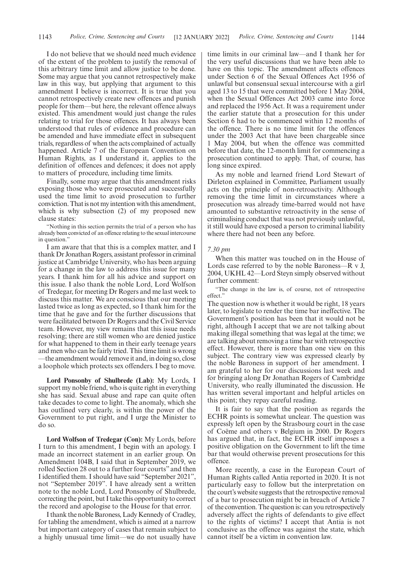I do not believe that we should need much evidence of the extent of the problem to justify the removal of this arbitrary time limit and allow justice to be done. Some may argue that you cannot retrospectively make law in this way, but applying that argument to this amendment I believe is incorrect. It is true that you cannot retrospectively create new offences and punish people for them—but here, the relevant offence always existed. This amendment would just change the rules relating to trial for those offences. It has always been understood that rules of evidence and procedure can be amended and have immediate effect in subsequent trials, regardless of when the acts complained of actually happened. Article 7 of the European Convention on Human Rights, as I understand it, applies to the definition of offences and defences; it does not apply to matters of procedure, including time limits.

Finally, some may argue that this amendment risks exposing those who were prosecuted and successfully used the time limit to avoid prosecution to further conviction. That is not my intention with this amendment, which is why subsection (2) of my proposed new clause states:

"Nothing in this section permits the trial of a person who has already been convicted of an offence relating to the sexual intercourse in question.'

I am aware that that this is a complex matter, and I thank Dr Jonathan Rogers, assistant professor in criminal justice at Cambridge University, who has been arguing for a change in the law to address this issue for many years. I thank him for all his advice and support on this issue. I also thank the noble Lord, Lord Wolfson of Tredegar, for meeting Dr Rogers and me last week to discuss this matter. We are conscious that our meeting lasted twice as long as expected, so I thank him for the time that he gave and for the further discussions that were facilitated between Dr Rogers and the Civil Service team. However, my view remains that this issue needs resolving; there are still women who are denied justice for what happened to them in their early teenage years and men who can be fairly tried. This time limit is wrong —the amendment would remove it and, in doing so, close a loophole which protects sex offenders. I beg to move.

**Lord Ponsonby of Shulbrede (Lab):** My Lords, I support my noble friend, who is quite right in everything she has said. Sexual abuse and rape can quite often take decades to come to light. The anomaly, which she has outlined very clearly, is within the power of the Government to put right, and I urge the Minister to do so.

**Lord Wolfson of Tredegar (Con):** My Lords, before I turn to this amendment, I begin with an apology. I made an incorrect statement in an earlier group. On Amendment 104B, I said that in September 2019, we rolled Section 28 out to a further four courts" and then I identified them. I should have said "September 2021", not "September 2019". I have already sent a written note to the noble Lord, Lord Ponsonby of Shulbrede, correcting the point, but I take this opportunity to correct the record and apologise to the House for that error.

I thank the noble Baroness, Lady Kennedy of Cradley, for tabling the amendment, which is aimed at a narrow but important category of cases that remain subject to a highly unusual time limit—we do not usually have time limits in our criminal law—and I thank her for the very useful discussions that we have been able to have on this topic. The amendment affects offences under Section 6 of the Sexual Offences Act 1956 of unlawful but consensual sexual intercourse with a girl aged 13 to 15 that were committed before 1 May 2004, when the Sexual Offences Act 2003 came into force and replaced the 1956 Act. It was a requirement under the earlier statute that a prosecution for this under Section 6 had to be commenced within 12 months of the offence. There is no time limit for the offences under the 2003 Act that have been chargeable since 1 May 2004, but when the offence was committed before that date, the 12-month limit for commencing a prosecution continued to apply. That, of course, has long since expired.

As my noble and learned friend Lord Stewart of Dirleton explained in Committee, Parliament usually acts on the principle of non-retroactivity. Although removing the time limit in circumstances where a prosecution was already time-barred would not have amounted to substantive retroactivity in the sense of criminalising conduct that was not previously unlawful, it still would have exposed a person to criminal liability where there had not been any before.

#### *7.30 pm*

When this matter was touched on in the House of Lords case referred to by the noble Baroness—R v J, 2004, UKHL 42—Lord Steyn simply observed without further comment:

"The change in the law is, of course, not of retrospective effect."

The question now is whether it would be right, 18 years later, to legislate to render the time bar ineffective. The Government's position has been that it would not be right, although I accept that we are not talking about making illegal something that was legal at the time; we are talking about removing a time bar with retrospective effect. However, there is more than one view on this subject. The contrary view was expressed clearly by the noble Baroness in support of her amendment. I am grateful to her for our discussions last week and for bringing along Dr Jonathan Rogers of Cambridge University, who really illuminated the discussion. He has written several important and helpful articles on this point; they repay careful reading.

It is fair to say that the position as regards the ECHR points is somewhat unclear. The question was expressly left open by the Strasbourg court in the case of Coëme and others v Belgium in 2000. Dr Rogers has argued that, in fact, the ECHR itself imposes a positive obligation on the Government to lift the time bar that would otherwise prevent prosecutions for this offence.

More recently, a case in the European Court of Human Rights called Antia reported in 2020. It is not particularly easy to follow but the interpretation on the court's website suggests that the retrospective removal of a bar to prosecution might be in breach of Article 7 of the convention. The question is: can you retrospectively adversely affect the rights of defendants to give effect to the rights of victims? I accept that Antia is not conclusive as the offence was against the state, which cannot itself be a victim in convention law.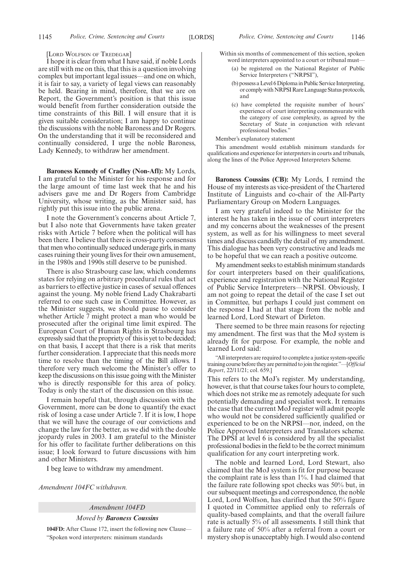#### [LORD WOLFSON OF TREDEGAR]

I hope it is clear from what I have said, if noble Lords are still with me on this, that this is a question involving complex but important legal issues—and one on which, it is fair to say, a variety of legal views can reasonably be held. Bearing in mind, therefore, that we are on Report, the Government's position is that this issue would benefit from further consideration outside the time constraints of this Bill. I will ensure that it is given suitable consideration; I am happy to continue the discussions with the noble Baroness and Dr Rogers. On the understanding that it will be reconsidered and continually considered, I urge the noble Baroness, Lady Kennedy, to withdraw her amendment.

**Baroness Kennedy of Cradley (Non-Afl):** My Lords, I am grateful to the Minister for his response and for the large amount of time last week that he and his advisers gave me and Dr Rogers from Cambridge University, whose writing, as the Minister said, has rightly put this issue into the public arena.

I note the Government's concerns about Article 7, but I also note that Governments have taken greater risks with Article 7 before when the political will has been there. I believe that there is cross-party consensus that men who continually seduced underage girls, in many cases ruining their young lives for their own amusement, in the 1980s and 1990s still deserve to be punished.

There is also Strasbourg case law, which condemns states for relying on arbitrary procedural rules that act as barriers to effective justice in cases of sexual offences against the young. My noble friend Lady Chakrabarti referred to one such case in Committee. However, as the Minister suggests, we should pause to consider whether Article 7 might protect a man who would be prosecuted after the original time limit expired. The European Court of Human Rights in Strasbourg has expressly said that the propriety of this is yet to be decided; on that basis, I accept that there is a risk that merits further consideration. I appreciate that this needs more time to resolve than the timing of the Bill allows. I therefore very much welcome the Minister's offer to keep the discussions on this issue going with the Minister who is directly responsible for this area of policy. Today is only the start of the discussion on this issue.

I remain hopeful that, through discussion with the Government, more can be done to quantify the exact risk of losing a case under Article 7. If it is low, I hope that we will have the courage of our convictions and change the law for the better, as we did with the double jeopardy rules in 2003. I am grateful to the Minister for his offer to facilitate further deliberations on this issue; I look forward to future discussions with him and other Ministers.

I beg leave to withdraw my amendment.

*Amendment 104FC withdrawn.*

#### *Amendment 104FD*

*Moved by Baroness Coussins*

**104FD:** After Clause 172, insert the following new Clause— "Spoken word interpreters: minimum standards

- Within six months of commencement of this section, spoken word interpreters appointed to a court or tribunal must—
	- (a) be registered on the National Register of Public Service Interpreters ("NRPSI"),
	- (b) possess a Level 6 Diploma in Public Service Interpreting, or comply with NRPSI Rare Language Status protocols, and
	- (c) have completed the requisite number of hours' experience of court interpreting commensurate with the category of case complexity, as agreed by the Secretary of State in conjunction with relevant professional bodies."

Member's explanatory statement

This amendment would establish minimum standards for qualifications and experience for interpreters in courts and tribunals, along the lines of the Police Approved Interpreters Scheme.

**Baroness Coussins (CB):** My Lords, I remind the House of my interests as vice-president of the Chartered Institute of Linguists and co-chair of the All-Party Parliamentary Group on Modern Languages.

I am very grateful indeed to the Minister for the interest he has taken in the issue of court interpreters and my concerns about the weaknesses of the present system, as well as for his willingness to meet several times and discuss candidly the detail of my amendment. This dialogue has been very constructive and leads me to be hopeful that we can reach a positive outcome.

My amendment seeks to establish minimum standards for court interpreters based on their qualifications, experience and registration with the National Register of Public Service Interpreters—NRPSI. Obviously, I am not going to repeat the detail of the case I set out in Committee, but perhaps I could just comment on the response I had at that stage from the noble and learned Lord, Lord Stewart of Dirleton.

There seemed to be three main reasons for rejecting my amendment. The first was that the MoJ system is already fit for purpose. For example, the noble and learned Lord said:

"All interpreters are required to complete a justice system-specific training course before they are permitted to join the register."—[*Official Report*, 22/11/21; col. 659.]

This refers to the MoJ's register. My understanding, however, is that that course takes four hours to complete, which does not strike me as remotely adequate for such potentially demanding and specialist work. It remains the case that the current MoJ register will admit people who would not be considered sufficiently qualified or experienced to be on the NRPSI—nor, indeed, on the Police Approved Interpreters and Translators scheme. The DPSI at level 6 is considered by all the specialist professional bodies in the field to be the correct minimum qualification for any court interpreting work.

The noble and learned Lord, Lord Stewart, also claimed that the MoJ system is fit for purpose because the complaint rate is less than 1%. I had claimed that the failure rate following spot checks was 50% but, in our subsequent meetings and correspondence, the noble Lord, Lord Wolfson, has clarified that the 50% figure I quoted in Committee applied only to referrals of quality-based complaints, and that the overall failure rate is actually 5% of all assessments. I still think that a failure rate of 50% after a referral from a court or mystery shop is unacceptably high. I would also contend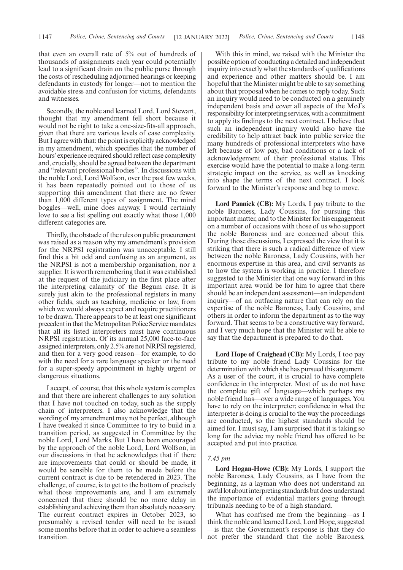that even an overall rate of 5% out of hundreds of thousands of assignments each year could potentially lead to a significant drain on the public purse through the costs of rescheduling adjourned hearings or keeping defendants in custody for longer—not to mention the avoidable stress and confusion for victims, defendants and witnesses.

Secondly, the noble and learned Lord, Lord Stewart, thought that my amendment fell short because it would not be right to take a one-size-fits-all approach, given that there are various levels of case complexity. But I agree with that: the point is explicitly acknowledged in my amendment, which specifies that the number of hours'experience required should reflect case complexity and, crucially, should be agreed between the department and "relevant professional bodies". In discussions with the noble Lord, Lord Wolfson, over the past few weeks, it has been repeatedly pointed out to those of us supporting this amendment that there are no fewer than 1,000 different types of assignment. The mind boggles—well, mine does anyway. I would certainly love to see a list spelling out exactly what those 1,000 different categories are.

Thirdly, the obstacle of the rules on public procurement was raised as a reason why my amendment's provision for the NRPSI registration was unacceptable. I still find this a bit odd and confusing as an argument, as the NRPSI is not a membership organisation, nor a supplier. It is worth remembering that it was established at the request of the judiciary in the first place after the interpreting calamity of the Begum case. It is surely just akin to the professional registers in many other fields, such as teaching, medicine or law, from which we would always expect and require practitioners to be drawn. There appears to be at least one significant precedent in that the Metropolitan Police Service mandates that all its listed interpreters must have continuous NRPSI registration. Of its annual 25,000 face-to-face assigned interpreters, only 2.5% are not NRPSI registered, and then for a very good reason—for example, to do with the need for a rare language speaker or the need for a super-speedy appointment in highly urgent or dangerous situations.

I accept, of course, that this whole system is complex and that there are inherent challenges to any solution that I have not touched on today, such as the supply chain of interpreters. I also acknowledge that the wording of my amendment may not be perfect, although I have tweaked it since Committee to try to build in a transition period, as suggested in Committee by the noble Lord, Lord Marks. But I have been encouraged by the approach of the noble Lord, Lord Wolfson, in our discussions in that he acknowledges that if there are improvements that could or should be made, it would be sensible for them to be made before the current contract is due to be retendered in 2023. The challenge, of course, is to get to the bottom of precisely what those improvements are, and I am extremely concerned that there should be no more delay in establishing and achieving them than absolutely necessary. The current contract expires in October 2023, so presumably a revised tender will need to be issued some months before that in order to achieve a seamless transition.

With this in mind, we raised with the Minister the possible option of conducting a detailed and independent inquiry into exactly what the standards of qualifications and experience and other matters should be. I am hopeful that the Minister might be able to say something about that proposal when he comes to reply today. Such an inquiry would need to be conducted on a genuinely independent basis and cover all aspects of the MoJ's responsibility for interpreting services, with a commitment to apply its findings to the next contract. I believe that such an independent inquiry would also have the credibility to help attract back into public service the many hundreds of professional interpreters who have left because of low pay, bad conditions or a lack of acknowledgement of their professional status. This exercise would have the potential to make a long-term strategic impact on the service, as well as knocking into shape the terms of the next contract. I look forward to the Minister's response and beg to move.

**Lord Pannick (CB):** My Lords, I pay tribute to the noble Baroness, Lady Coussins, for pursuing this important matter, and to the Minister for his engagement on a number of occasions with those of us who support the noble Baroness and are concerned about this. During those discussions, I expressed the view that it is striking that there is such a radical difference of view between the noble Baroness, Lady Coussins, with her enormous expertise in this area, and civil servants as to how the system is working in practice. I therefore suggested to the Minister that one way forward in this important area would be for him to agree that there should be an independent assessment—an independent inquiry—of an outfacing nature that can rely on the expertise of the noble Baroness, Lady Coussins, and others in order to inform the department as to the way forward. That seems to be a constructive way forward, and I very much hope that the Minister will be able to say that the department is prepared to do that.

**Lord Hope of Craighead (CB):** My Lords, I too pay tribute to my noble friend Lady Coussins for the determination with which she has pursued this argument. As a user of the court, it is crucial to have complete confidence in the interpreter. Most of us do not have the complete gift of language—which perhaps my noble friend has—over a wide range of languages. You have to rely on the interpreter; confidence in what the interpreter is doing is crucial to the way the proceedings are conducted, so the highest standards should be aimed for. I must say, I am surprised that it is taking so long for the advice my noble friend has offered to be accepted and put into practice.

#### *7.45 pm*

**Lord Hogan-Howe (CB):** My Lords, I support the noble Baroness, Lady Coussins, as I have from the beginning, as a layman who does not understand an awful lot about interpreting standards but does understand the importance of evidential matters going through tribunals needing to be of a high standard.

What has confused me from the beginning—as I think the noble and learned Lord, Lord Hope, suggested —is that the Government's response is that they do not prefer the standard that the noble Baroness,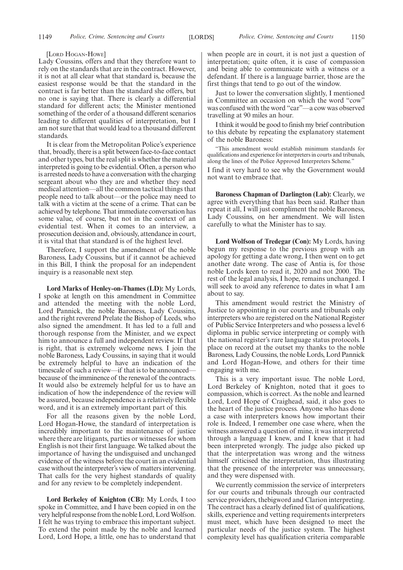#### [LORD HOGAN-HOWE]

Lady Coussins, offers and that they therefore want to rely on the standards that are in the contract. However, it is not at all clear what that standard is, because the easiest response would be that the standard in the contract is far better than the standard she offers, but no one is saying that. There is clearly a differential standard for different acts; the Minister mentioned something of the order of a thousand different scenarios leading to different qualities of interpretation, but I am not sure that that would lead to a thousand different standards.

It is clear from the Metropolitan Police's experience that, broadly, there is a split between face-to-face contact and other types, but the real split is whether the material interpreted is going to be evidential. Often, a person who is arrested needs to have a conversation with the charging sergeant about who they are and whether they need medical attention—all the common tactical things that people need to talk about—or the police may need to talk with a victim at the scene of a crime. That can be achieved by telephone. That immediate conversation has some value, of course, but not in the context of an evidential test. When it comes to an interview, a prosecution decision and, obviously, attendance in court, it is vital that that standard is of the highest level.

Therefore, I support the amendment of the noble Baroness, Lady Coussins, but if it cannot be achieved in this Bill, I think the proposal for an independent inquiry is a reasonable next step.

**Lord Marks of Henley-on-Thames (LD):** My Lords, I spoke at length on this amendment in Committee and attended the meeting with the noble Lord, Lord Pannick, the noble Baroness, Lady Coussins, and the right reverend Prelate the Bishop of Leeds, who also signed the amendment. It has led to a full and thorough response from the Minister, and we expect him to announce a full and independent review. If that is right, that is extremely welcome news. I join the noble Baroness, Lady Coussins, in saying that it would be extremely helpful to have an indication of the timescale of such a review—if that is to be announced because of the imminence of the renewal of the contracts. It would also be extremely helpful for us to have an indication of how the independence of the review will be assured, because independence is a relatively flexible word, and it is an extremely important part of this.

For all the reasons given by the noble Lord, Lord Hogan-Howe, the standard of interpretation is incredibly important to the maintenance of justice where there are litigants, parties or witnesses for whom English is not their first language. We talked about the importance of having the undisguised and unchanged evidence of the witness before the court in an evidential case without the interpreter's view of matters intervening. That calls for the very highest standards of quality and for any review to be completely independent.

**Lord Berkeley of Knighton (CB):** My Lords, I too spoke in Committee, and I have been copied in on the very helpful response from the noble Lord, Lord Wolfson. I felt he was trying to embrace this important subject. To extend the point made by the noble and learned Lord, Lord Hope, a little, one has to understand that when people are in court, it is not just a question of interpretation; quite often, it is case of compassion and being able to communicate with a witness or a defendant. If there is a language barrier, those are the first things that tend to go out of the window.

Just to lower the conversation slightly, I mentioned in Committee an occasion on which the word "cow" was confused with the word "car"—a cow was observed travelling at 90 miles an hour.

I think it would be good to finish my brief contribution to this debate by repeating the explanatory statement of the noble Baroness:

This amendment would establish minimum standards for qualifications and experience for interpreters in courts and tribunals, along the lines of the Police Approved Interpreters Scheme."

I find it very hard to see why the Government would not want to embrace that.

**Baroness Chapman of Darlington (Lab):** Clearly, we agree with everything that has been said. Rather than repeat it all, I will just compliment the noble Baroness, Lady Coussins, on her amendment. We will listen carefully to what the Minister has to say.

**Lord Wolfson of Tredegar (Con):** My Lords, having begun my response to the previous group with an apology for getting a date wrong, I then went on to get another date wrong. The case of Antia is, for those noble Lords keen to read it, 2020 and not 2000. The rest of the legal analysis, I hope, remains unchanged. I will seek to avoid any reference to dates in what I am about to say.

This amendment would restrict the Ministry of Justice to appointing in our courts and tribunals only interpreters who are registered on the National Register of Public Service Interpreters and who possess a level 6 diploma in public service interpreting or comply with the national register's rare language status protocols. I place on record at the outset my thanks to the noble Baroness, Lady Coussins, the noble Lords, Lord Pannick and Lord Hogan-Howe, and others for their time engaging with me.

This is a very important issue. The noble Lord, Lord Berkeley of Knighton, noted that it goes to compassion, which is correct. As the noble and learned Lord, Lord Hope of Craighead, said, it also goes to the heart of the justice process. Anyone who has done a case with interpreters knows how important their role is. Indeed, I remember one case where, when the witness answered a question of mine, it was interpreted through a language I knew, and I knew that it had been interpreted wrongly. The judge also picked up that the interpretation was wrong and the witness himself criticised the interpretation, thus illustrating that the presence of the interpreter was unnecessary, and they were dispensed with.

We currently commission the service of interpreters for our courts and tribunals through our contracted service providers, thebigword and Clarion interpreting. The contract has a clearly defined list of qualifications, skills, experience and vetting requirements interpreters must meet, which have been designed to meet the particular needs of the justice system. The highest complexity level has qualification criteria comparable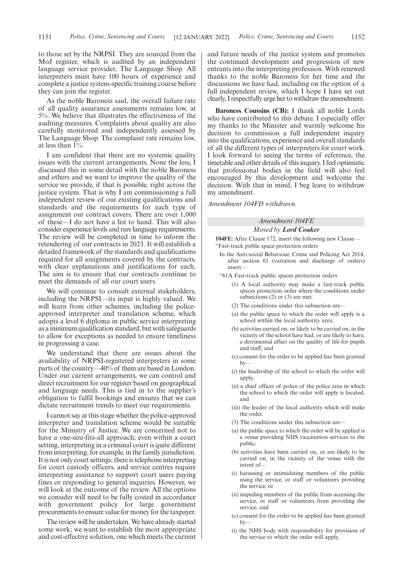to those set by the NRPSI. They are sourced from the MoJ register, which is audited by an independent language service provider, The Language Shop. All interpreters must have 100 hours of experience and complete a justice system-specific training course before they can join the register.

As the noble Baroness said, the overall failure rate of all quality assurance assessments remains low, at 5%. We believe that illustrates the effectiveness of the auditing measures. Complaints about quality are also carefully monitored and independently assessed by The Language Shop. The complaint rate remains low, at less than 1%.

I am confident that there are no systemic quality issues with the current arrangements. None the less, I discussed this in some detail with the noble Baroness and others and we want to improve the quality of the service we provide, if that is possible, right across the justice system. That is why I am commissioning a full independent review of our existing qualifications and standards and the requirements for each type of assignment our contract covers. There are over 1,000 of these—I do not have a list to hand. This will also consider experience levels and rare language requirements. The review will be completed in time to inform the retendering of our contracts in 2023. It will establish a detailed framework of the standards and qualifications required for all assignments covered by the contracts, with clear explanations and justifications for each. The aim is to ensure that our contracts continue to meet the demands of all our court users.

We will continue to consult external stakeholders, including the NRPSI—its input is highly valued. We will learn from other schemes, including the policeapproved interpreter and translation scheme, which adopts a level 6 diploma in public service interpreting as a minimum qualification standard, but with safeguards to allow for exceptions as needed to ensure timeliness in progressing a case.

We understand that there are issues about the availability of NRPSI-registered interpreters in some parts of the country—40% of them are based in London. Under our current arrangements, we can control and direct recruitment for our register based on geographical and language needs. This is tied in to the supplier's obligation to fulfil bookings and ensures that we can dictate recruitment trends to meet our requirements.

I cannot say at this stage whether the police-approved interpreter and translation scheme would be suitable for the Ministry of Justice. We are concerned not to have a one-size-fits-all approach; even within a court setting, interpreting in a criminal court is quite different from interpreting, for example, in the family jurisdiction. It is not only court settings; there is telephone interpreting for court custody officers, and service centres require interpreting assistance to support court users paying fines or responding to general inquiries. However, we will look at the outcome of the review. All the options we consider will need to be fully costed in accordance with government policy for large government procurements to ensure value for money for the taxpayer.

The review will be undertaken. We have already started some work; we want to establish the most appropriate and cost-effective solution, one which meets the current and future needs of the justice system and promotes the continued development and progression of new entrants into the interpreting profession. With renewed thanks to the noble Baroness for her time and the discussions we have had, including on the option of a full independent review, which I hope I have set out clearly, I respectfully urge her to withdraw the amendment.

**Baroness Coussins (CB):** I thank all noble Lords who have contributed to this debate. I especially offer my thanks to the Minister and warmly welcome his decision to commission a full independent inquiry into the qualifications, experience and overall standards of all the different types of interpreters for court work. I look forward to seeing the terms of reference, the timetable and other details of this inquiry. I feel optimistic that professional bodies in the field will also feel encouraged by this development and welcome the decision. With that in mind, I beg leave to withdraw my amendment.

*Amendment 104FD withdrawn.*

#### *Amendment 104FE Moved by Lord Coaker*

**104FE:** After Clause 172, insert the following new Clause— "Fast-track public space protection orders

- In the Anti-social Behaviour, Crime and Policing Act 2014, after section 61 (variation and discharge of orders) insert—
- "61A Fast-track public spaces protection orders
	- (1) A local authority may make a fast-track public spaces protection order where the conditions under subsections (2) or (3) are met.
	- (2) The conditions under this subsection are—
	- (a) the public space to which the order will apply is a school within the local authority area;
	- (b) activities carried on, or likely to be carried on, in the vicinity of the school have had, or are likely to have, a detrimental effect on the quality of life for pupils and staff; and
	- (c) consent for the order to be applied has been granted  $bv$
	- (i) the leadership of the school to which the order will apply,
	- (ii) a chief officer of police of the police area in which the school to which the order will apply is located, and
	- (iii) the leader of the local authority which will make the order.
	- (3) The conditions under this subsection are—
	- (a) the public space to which the order will be applied is a venue providing NHS vaccination services to the public;
	- (b) activities have been carried on, or are likely to be carried on, in the vicinity of the venue with the intent of—
	- (i) harassing or intimidating members of the public using the service, or staff or volunteers providing the service, or
	- (ii) impeding members of the public from accessing the service, or staff or volunteers from providing the service; and
	- (c) consent for the order to be applied has been granted by—
	- (i) the NHS body with responsibility for provision of the service to which the order will apply,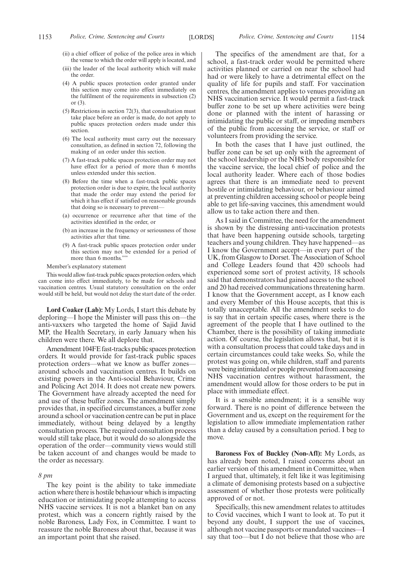- (ii) a chief officer of police of the police area in which the venue to which the order will apply is located, and
- (iii) the leader of the local authority which will make the order.
- (4) A public spaces protection order granted under this section may come into effect immediately on the fulfilment of the requirements in subsection (2) or (3).
- (5) Restrictions in section 72(3), that consultation must take place before an order is made, do not apply to public spaces protection orders made under this section.
- (6) The local authority must carry out the necessary consultation, as defined in section 72, following the making of an order under this section.
- (7) A fast-track public spaces protection order may not have effect for a period of more than 6 months unless extended under this section.
- (8) Before the time when a fast-track public spaces protection order is due to expire, the local authority that made the order may extend the period for which it has effect if satisfied on reasonable grounds that doing so is necessary to prevent—
- (a) occurrence or recurrence after that time of the activities identified in the order, or
- (b) an increase in the frequency or seriousness of those activities after that time.
- (9) A fast-track public spaces protection order under this section may not be extended for a period of more than 6 months.

#### Member's explanatory statement

This would allow fast-track public spaces protection orders, which can come into effect immediately, to be made for schools and vaccination centres. Usual statutory consultation on the order would still be held, but would not delay the start date of the order.

**Lord Coaker (Lab):** My Lords, I start this debate by deploring—I hope the Minister will pass this on—the anti-vaxxers who targeted the home of Sajid Javid MP, the Health Secretary, in early January when his children were there. We all deplore that.

Amendment 104FE fast-tracks public spaces protection orders. It would provide for fast-track public spaces protection orders—what we know as buffer zones around schools and vaccination centres. It builds on existing powers in the Anti-social Behaviour, Crime and Policing Act 2014. It does not create new powers. The Government have already accepted the need for and use of these buffer zones. The amendment simply provides that, in specified circumstances, a buffer zone around a school or vaccination centre can be put in place immediately, without being delayed by a lengthy consultation process. The required consultation process would still take place, but it would do so alongside the operation of the order—community views would still be taken account of and changes would be made to the order as necessary.

#### *8 pm*

The key point is the ability to take immediate action where there is hostile behaviour which is impacting education or intimidating people attempting to access NHS vaccine services. It is not a blanket ban on any protest, which was a concern rightly raised by the noble Baroness, Lady Fox, in Committee. I want to reassure the noble Baroness about that, because it was an important point that she raised.

The specifics of the amendment are that, for a school, a fast-track order would be permitted where activities planned or carried on near the school had had or were likely to have a detrimental effect on the quality of life for pupils and staff. For vaccination centres, the amendment applies to venues providing an NHS vaccination service. It would permit a fast-track buffer zone to be set up where activities were being done or planned with the intent of harassing or intimidating the public or staff, or impeding members of the public from accessing the service, or staff or volunteers from providing the service.

In both the cases that I have just outlined, the buffer zone can be set up only with the agreement of the school leadership or the NHS body responsible for the vaccine service, the local chief of police and the local authority leader. Where each of those bodies agrees that there is an immediate need to prevent hostile or intimidating behaviour, or behaviour aimed at preventing children accessing school or people being able to get life-saving vaccines, this amendment would allow us to take action there and then.

As I said in Committee, the need for the amendment is shown by the distressing anti-vaccination protests that have been happening outside schools, targeting teachers and young children. They have happened—as I know the Government accept—in every part of the UK, from Glasgow to Dorset. The Association of School and College Leaders found that 420 schools had experienced some sort of protest activity, 18 schools said that demonstrators had gained access to the school and 20 had received communications threatening harm. I know that the Government accept, as I know each and every Member of this House accepts, that this is totally unacceptable. All the amendment seeks to do is say that in certain specific cases, where there is the agreement of the people that I have outlined to the Chamber, there is the possibility of taking immediate action. Of course, the legislation allows that, but it is with a consultation process that could take days and in certain circumstances could take weeks. So, while the protest was going on, while children, staff and parents were being intimidated or people prevented from accessing NHS vaccination centres without harassment, the amendment would allow for those orders to be put in place with immediate effect.

It is a sensible amendment; it is a sensible way forward. There is no point of difference between the Government and us, except on the requirement for the legislation to allow immediate implementation rather than a delay caused by a consultation period. I beg to move.

**Baroness Fox of Buckley (Non-Afl):** My Lords, as has already been noted, I raised concerns about an earlier version of this amendment in Committee, when I argued that, ultimately, it felt like it was legitimising a climate of demonising protests based on a subjective assessment of whether those protests were politically approved of or not.

Specifically, this new amendment relates to attitudes to Covid vaccines, which I want to look at. To put it beyond any doubt, I support the use of vaccines, although not vaccine passports or mandated vaccines—I say that too—but I do not believe that those who are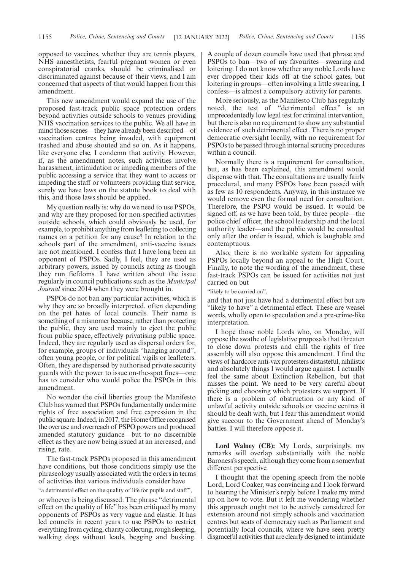opposed to vaccines, whether they are tennis players, NHS anaesthetists, fearful pregnant women or even conspiratorial cranks, should be criminalised or discriminated against because of their views, and I am concerned that aspects of that would happen from this amendment.

This new amendment would expand the use of the proposed fast-track public space protection orders beyond activities outside schools to venues providing NHS vaccination services to the public. We all have in mind those scenes—they have already been described—of vaccination centres being invaded, with equipment trashed and abuse shouted and so on. As it happens, like everyone else, I condemn that activity. However, if, as the amendment notes, such activities involve harassment, intimidation or impeding members of the public accessing a service that they want to access or impeding the staff or volunteers providing that service, surely we have laws on the statute book to deal with this, and those laws should be applied.

My question really is: why do we need to use PSPOs, and why are they proposed for non-specified activities outside schools, which could obviously be used, for example, to prohibit anything from leafleting to collecting names on a petition for any cause? In relation to the schools part of the amendment, anti-vaccine issues are not mentioned. I confess that I have long been an opponent of PSPOs. Sadly, I feel, they are used as arbitrary powers, issued by councils acting as though they run fiefdoms. I have written about the issue regularly in council publications such as the *Municipal Journal* since 2014 when they were brought in.

PSPOs do not ban any particular activities, which is why they are so broadly interpreted, often depending on the pet hates of local councils. Their name is something of a misnomer because, rather than protecting the public, they are used mainly to eject the public from public space, effectively privatising public space. Indeed, they are regularly used as dispersal orders for, for example, groups of individuals "hanging around", often young people, or for political vigils or leafleters. Often, they are dispersed by authorised private security guards with the power to issue on-the-spot fines—one has to consider who would police the PSPOs in this amendment.

No wonder the civil liberties group the Manifesto Club has warned that PSPOs fundamentally undermine rights of free association and free expression in the public square. Indeed, in 2017, the Home Office recognised the overuse and overreach of PSPO powers and produced amended statutory guidance—but to no discernible effect as they are now being issued at an increased, and rising, rate.

The fast-track PSPOs proposed in this amendment have conditions, but those conditions simply use the phraseology usually associated with the orders in terms of activities that various individuals consider have

"a detrimental effect on the quality of life for pupils and staff",

or whoever is being discussed. The phrase "detrimental effect on the quality of life" has been critiqued by many opponents of PSPOs as very vague and elastic. It has led councils in recent years to use PSPOs to restrict everything from cycling, charity collecting, rough sleeping, walking dogs without leads, begging and busking. A couple of dozen councils have used that phrase and PSPOs to ban—two of my favourites—swearing and loitering. I do not know whether any noble Lords have ever dropped their kids off at the school gates, but loitering in groups—often involving a little swearing, I confess—is almost a compulsory activity for parents.

More seriously, as the Manifesto Club has regularly noted, the test of "detrimental effect" is an unprecedentedly low legal test for criminal intervention, but there is also no requirement to show any substantial evidence of such detrimental effect. There is no proper democratic oversight locally, with no requirement for PSPOs to be passed through internal scrutiny procedures within a council.

Normally there is a requirement for consultation, but, as has been explained, this amendment would dispense with that. The consultations are usually fairly procedural, and many PSPOs have been passed with as few as 10 respondents. Anyway, in this instance we would remove even the formal need for consultation. Therefore, the PSPO would be issued. It would be signed off, as we have been told, by three people—the police chief officer, the school leadership and the local authority leader—and the public would be consulted only after the order is issued, which is laughable and contemptuous.

Also, there is no workable system for appealing PSPOs locally beyond an appeal to the High Court. Finally, to note the wording of the amendment, these fast-track PSPOs can be issued for activities not just carried on but

"likely to be carried on",

and that not just have had a detrimental effect but are "likely to have" a detrimental effect. These are weasel words, wholly open to speculation and a pre-crime-like interpretation.

I hope those noble Lords who, on Monday, will oppose the swathe of legislative proposals that threaten to close down protests and chill the rights of free assembly will also oppose this amendment. I find the views of hardcore anti-vax protesters distasteful, nihilistic and absolutely things I would argue against. I actually feel the same about Extinction Rebellion, but that misses the point. We need to be very careful about picking and choosing which protesters we support. If there is a problem of obstruction or any kind of unlawful activity outside schools or vaccine centres it should be dealt with, but I fear this amendment would give succour to the Government ahead of Monday's battles. I will therefore oppose it.

**Lord Walney (CB):** My Lords, surprisingly, my remarks will overlap substantially with the noble Baroness's speech, although they come from a somewhat different perspective.

I thought that the opening speech from the noble Lord, Lord Coaker, was convincing and I look forward to hearing the Minister's reply before I make my mind up on how to vote. But it left me wondering whether this approach ought not to be actively considered for extension around not simply schools and vaccination centres but seats of democracy such as Parliament and potentially local councils, where we have seen pretty disgraceful activities that are clearly designed to intimidate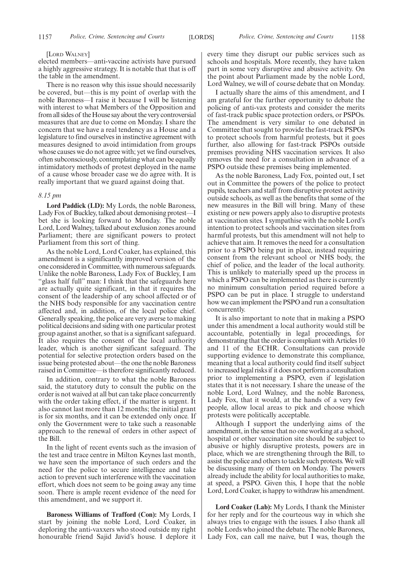#### [LORD WALNEY]

elected members—anti-vaccine activists have pursued a highly aggressive strategy. It is notable that that is off the table in the amendment.

There is no reason why this issue should necessarily be covered, but—this is my point of overlap with the noble Baroness—I raise it because I will be listening with interest to what Members of the Opposition and from all sides of the House say about the very controversial measures that are due to come on Monday. I share the concern that we have a real tendency as a House and a legislature to find ourselves in instinctive agreement with measures designed to avoid intimidation from groups whose causes we do not agree with; yet we find ourselves, often subconsciously, contemplating what can be equally intimidatory methods of protest deployed in the name of a cause whose broader case we do agree with. It is really important that we guard against doing that.

#### *8.15 pm*

**Lord Paddick (LD):** My Lords, the noble Baroness, Lady Fox of Buckley, talked about demonising protest—I bet she is looking forward to Monday. The noble Lord, Lord Walney, talked about exclusion zones around Parliament; there are significant powers to protect Parliament from this sort of thing.

As the noble Lord, Lord Coaker, has explained, this amendment is a significantly improved version of the one considered in Committee, with numerous safeguards. Unlike the noble Baroness, Lady Fox of Buckley, I am "glass half full" man: I think that the safeguards here are actually quite significant, in that it requires the consent of the leadership of any school affected or of the NHS body responsible for any vaccination centre affected and, in addition, of the local police chief. Generally speaking, the police are very averse to making political decisions and siding with one particular protest group against another, so that is a significant safeguard. It also requires the consent of the local authority leader, which is another significant safeguard. The potential for selective protection orders based on the issue being protested about—the one the noble Baroness raised in Committee—is therefore significantly reduced.

In addition, contrary to what the noble Baroness said, the statutory duty to consult the public on the order is not waived at all but can take place concurrently with the order taking effect, if the matter is urgent. It also cannot last more than 12 months; the initial grant is for six months, and it can be extended only once. If only the Government were to take such a reasonable approach to the renewal of orders in other aspect of the Bill.

In the light of recent events such as the invasion of the test and trace centre in Milton Keynes last month, we have seen the importance of such orders and the need for the police to secure intelligence and take action to prevent such interference with the vaccination effort, which does not seem to be going away any time soon. There is ample recent evidence of the need for this amendment, and we support it.

**Baroness Williams of Trafford (Con):** My Lords, I start by joining the noble Lord, Lord Coaker, in deploring the anti-vaxxers who stood outside my right honourable friend Sajid Javid's house. I deplore it every time they disrupt our public services such as schools and hospitals. More recently, they have taken part in some very disruptive and abusive activity. On the point about Parliament made by the noble Lord, Lord Walney, we will of course debate that on Monday.

I actually share the aims of this amendment, and I am grateful for the further opportunity to debate the policing of anti-vax protests and consider the merits of fast-track public space protection orders, or PSPOs. The amendment is very similar to one debated in Committee that sought to provide the fast-track PSPOs to protect schools from harmful protests, but it goes further, also allowing for fast-track PSPOs outside premises providing NHS vaccination services. It also removes the need for a consultation in advance of a PSPO outside these premises being implemented.

As the noble Baroness, Lady Fox, pointed out, I set out in Committee the powers of the police to protect pupils, teachers and staff from disruptive protest activity outside schools, as well as the benefits that some of the new measures in the Bill will bring. Many of these existing or new powers apply also to disruptive protests at vaccination sites. I sympathise with the noble Lord's intention to protect schools and vaccination sites from harmful protests, but this amendment will not help to achieve that aim. It removes the need for a consultation prior to a PSPO being put in place, instead requiring consent from the relevant school or NHS body, the chief of police, and the leader of the local authority. This is unlikely to materially speed up the process in which a PSPO can be implemented as there is currently no minimum consultation period required before a PSPO can be put in place. I struggle to understand how we can implement the PSPO and run a consultation concurrently.

It is also important to note that in making a PSPO under this amendment a local authority would still be accountable, potentially in legal proceedings, for demonstrating that the order is compliant with Articles 10 and 11 of the ECHR. Consultations can provide supporting evidence to demonstrate this compliance, meaning that a local authority could find itself subject to increased legal risks if it does not perform a consultation prior to implementing a PSPO, even if legislation states that it is not necessary. I share the unease of the noble Lord, Lord Walney, and the noble Baroness, Lady Fox, that it would, at the hands of a very few people, allow local areas to pick and choose which protests were politically acceptable.

Although I support the underlying aims of the amendment, in the sense that no one working at a school, hospital or other vaccination site should be subject to abusive or highly disruptive protests, powers are in place, which we are strengthening through the Bill, to assist the police and others to tackle such protests. We will be discussing many of them on Monday. The powers already include the ability for local authorities to make, at speed, a PSPO. Given this, I hope that the noble Lord, Lord Coaker, is happy to withdraw his amendment.

**Lord Coaker (Lab):** My Lords, I thank the Minister for her reply and for the courteous way in which she always tries to engage with the issues. I also thank all noble Lords who joined the debate. The noble Baroness, Lady Fox, can call me naive, but I was, though the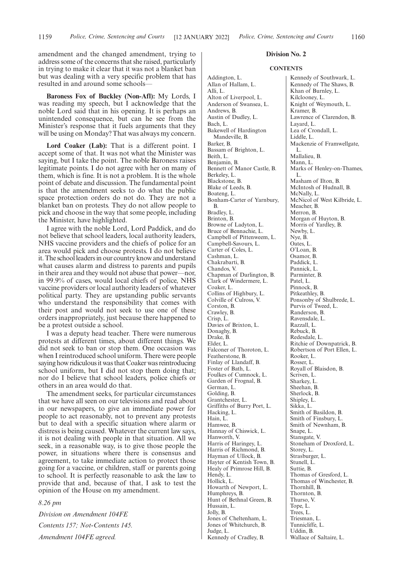amendment and the changed amendment, trying to address some of the concerns that she raised, particularly in trying to make it clear that it was not a blanket ban but was dealing with a very specific problem that has resulted in and around some schools—

**Baroness Fox of Buckley (Non-Afl):** My Lords, I was reading my speech, but I acknowledge that the noble Lord said that in his opening. It is perhaps an unintended consequence, but can he see from the Minister's response that it fuels arguments that they will be using on Monday? That was always my concern.

Lord Coaker (Lab): That is a different point. I accept some of that. It was not what the Minister was saying, but I take the point. The noble Baroness raises legitimate points. I do not agree with her on many of them, which is fine. It is not a problem. It is the whole point of debate and discussion. The fundamental point is that the amendment seeks to do what the public space protection orders do not do. They are not a blanket ban on protests. They do not allow people to pick and choose in the way that some people, including the Minister, have highlighted.

I agree with the noble Lord, Lord Paddick, and do not believe that school leaders, local authority leaders, NHS vaccine providers and the chiefs of police for an area would pick and choose protests. I do not believe it. The school leaders in our country know and understand what causes alarm and distress to parents and pupils in their area and they would not abuse that power—nor, in 99.9% of cases, would local chiefs of police, NHS vaccine providers or local authority leaders of whatever political party. They are upstanding public servants who understand the responsibility that comes with their post and would not seek to use one of these orders inappropriately, just because there happened to be a protest outside a school.

I was a deputy head teacher. There were numerous protests at different times, about different things. We did not seek to ban or stop them. One occasion was when I reintroduced school uniform. There were people saying how ridiculous it was that Coaker was reintroducing school uniform, but I did not stop them doing that; nor do I believe that school leaders, police chiefs or others in an area would do that.

The amendment seeks, for particular circumstances that we have all seen on our televisions and read about in our newspapers, to give an immediate power for people to act reasonably, not to prevent any protests but to deal with a specific situation where alarm or distress is being caused. Whatever the current law says, it is not dealing with people in that situation. All we seek, in a reasonable way, is to give those people the power, in situations where there is consensus and agreement, to take immediate action to protect those going for a vaccine, or children, staff or parents going to school. It is perfectly reasonable to ask the law to provide that and, because of that, I ask to test the opinion of the House on my amendment.

*8.26 pm*

*Division on Amendment 104FE Contents 157; Not-Contents 145. Amendment 104FE agreed.*

#### **Division No. 2**

#### **CONTENTS**

Addington, L. Allan of Hallam, L. Alli, L. Alton of Liverpool, L. Anderson of Swansea, L. Andrews, B. Austin of Dudley, L. Bach, L. Bakewell of Hardington Mandeville, B. Barker, B. Bassam of Brighton, L. Beith, L. Benjamin, B. Bennett of Manor Castle, B. Berkeley, L. Blackstone, B. Blake of Leeds, B. Boateng, L. Bonham-Carter of Yarnbury, B. Bradley, L. Brinton, B. Browne of Ladyton, L. Bruce of Bennachie, L. Campbell of Pittenweem, L. Campbell-Savours, L. Carter of Coles, L. Cashman, L. Chakrabarti, B. Chandos, V. Chapman of Darlington, B. Clark of Windermere, L. Coaker, L. Collins of Highbury, L. Colville of Culross, V. Corston, B. Crawley, B. Crisp, L. Davies of Brixton, L. Donaghy, B. Drake, B. Elder, L. Falconer of Thoroton, L. Featherstone, B. Finlay of Llandaff, B. Foster of Bath, L. Foulkes of Cumnock, L. Garden of Frognal, B. German, L. Golding, B. Grantchester, L. Griffiths of Burry Port, L. Hacking, L. Hain, L. Hamwee, B. Hannay of Chiswick, L. Hanworth, V. Harris of Haringey, L. Harris of Richmond, B. Hayman of Ullock, B. Hayter of Kentish Town, B. Healy of Primrose Hill, B. Hendy, L. Hollick, L. Howarth of Newport, L. Humphreys, B. Hunt of Bethnal Green, B. Hussain, L. Jolly, B. Jones of Cheltenham, L. Jones of Whitchurch, B. Judge, L. Kennedy of Cradley, B.

Kennedy of Southwark, L. Kennedy of The Shaws, B. Khan of Burnley, L. Kilclooney, L. Knight of Weymouth, L. Kramer, B. Lawrence of Clarendon, B. Layard, L. Lea of Crondall, L. Liddle, L. Mackenzie of Framwellgate, L. Mallalieu, B. Mann, L. Marks of Henley-on-Thames, L. Masham of Ilton, B. McIntosh of Hudnall, B. McNally, L. McNicol of West Kilbride, L. Meacher, B. Merron, B. Morgan of Huyton, B. Morris of Yardley, B. Newby, L. Nye, B. Oates, L. O'Loan, B. Osamor, B. Paddick, L. Pannick, L. Parminter, B. Patel, L. Pinnock, B. Pitkeathley, B. Ponsonby of Shulbrede, L. Purvis of Tweed, L. Randerson, B. Ravensdale, L. Razzall, L. Rebuck, B. Redesdale, L. Ritchie of Downpatrick, B. Robertson of Port Ellen, L. Rooker, L. Rosser, L. Royall of Blaisdon, B. Scriven, L. Sharkey, L. Sheehan, B. Sherlock, B. Shipley, L. Sikka, L. Smith of Basildon, B. Smith of Finsbury, L. Smith of Newnham, B. Snape, L. Stansgate, V. Stoneham of Droxford, L. Storey, L. Strasburger, L. Stunell, L. Suttie, B. Thomas of Gresford, L. Thomas of Winchester, B. Thornhill, B. Thornton, B. Thurso, V.

Tope, L. Trees, L. Triesman, L. Tunnicliffe, L. Uddin, B.

Wallace of Saltaire, L.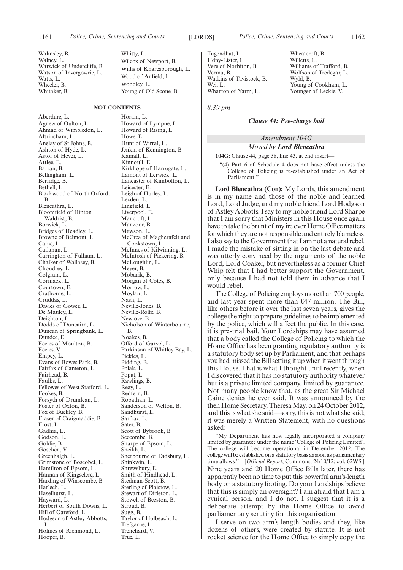Walmsley, B. Walney, L. Warwick of Undercliffe, B. Watson of Invergowrie, L. Watts, L. Wheeler, B. Whitaker, B.

#### **NOT CONTENTS**

Aberdare, L. Agnew of Oulton, L. Ahmad of Wimbledon, L. Altrincham, L. Anelay of St Johns, B. Ashton of Hyde, L. Astor of Hever, L. Attlee, E. Barran, B. Bellingham, L. Berridge, B. Bethell, L. Blackwood of North Oxford, B. Blencathra, L. Bloomfield of Hinton Waldrist, B. Borwick, L. Bridges of Headley, L. Browne of Belmont, L. Caine, L. Callanan, L. Carrington of Fulham, L. Chalker of Wallasey, B. Choudrey, L. Colgrain, L. Cormack, L. Courtown, E. Crathorne, L. Cruddas, L. Davies of Gower, L. De Mauley, L. Deighton, L. Dodds of Duncairn, L. Duncan of Springbank, L. Dundee, E. Eccles of Moulton, B. Eccles, V. Empey, L. Evans of Bowes Park, B. Fairfax of Cameron, L. Fairhead, B. Faulks, L. Fellowes of West Stafford, L. Fookes, B. Forsyth of Drumlean, L. Foster of Oxton, B. Fox of Buckley, B. Fraser of Craigmaddie, B. Frost, L. Gadhia, L. Godson, L. Goldie, B. Goschen, V. Greenhalgh, L. Grimstone of Boscobel, L. Hamilton of Epsom, L. Hannan of Kingsclere, L. Harding of Winscombe, B. Harlech, L. Haselhurst, L. Hayward, L. Herbert of South Downs, L. Hill of Oareford, L. Hodgson of Astley Abbotts, L. Holmes of Richmond, L. Hooper, B.

Whitty, L. Wilcox of Newport, B. Willis of Knaresborough, L. Wood of Anfield, L. Woodley, L. Young of Old Scone, B.

Horam, L. Howard of Lympne, L. Howard of Rising, L. Howe, E. Hunt of Wirral, L. Jenkin of Kennington, B. Kamall, L. Kinnoull, E. Kirkhope of Harrogate, L. Lamont of Lerwick, L. Lancaster of Kimbolton, L. Leicester, E. Leigh of Hurley, L. Lexden, L. Lingfield, L. Liverpool, E. Mancroft, L. Manzoor, B. Mawson, L. McCrea of Magherafelt and Cookstown, L. McInnes of Kilwinning, L. McIntosh of Pickering, B. McLoughlin, L. Meyer, B. Mobarik, B. Morgan of Cotes, B. Morrow<sub>I.</sub> Moylan, L. Nash, L. Neville-Jones, B. Neville-Rolfe, B. Newlove, B. Nicholson of Winterbourne, B. Noakes, B. Offord of Garvel, L. Parkinson of Whitley Bay, L. Pickles, L. Pidding, B. Polak, L. Popat, L. Rawlings, B. Reay, L. Redfern, B. Robathan, L. Sanderson of Welton, B. Sandhurst, L. Sarfraz, L. Sater, B. Scott of Bybrook, B. Seccombe, B. Sharpe of Epsom, L. Sheikh, L. Sherbourne of Didsbury, L. Shinkwin, L. Shrewsbury, E. Smith of Hindhead, L. Stedman-Scott, B. Sterling of Plaistow, L. Stewart of Dirleton, L. Stowell of Beeston, B. Stroud, B. Sugg, B. Taylor of Holbeach, L. Trefgarne, L. Trenchard, V. True, L.

Wyld, B.

Wheatcroft, B. Willetts, L.

Williams of Trafford, B. Wolfson of Tredegar, L.

Young of Cookham, L. Younger of Leckie, V.

Tugendhat, L. Udny-Lister, L. Vere of Norbiton, B. Verma, B. Watkins of Tavistock, B. Wei, L. Wharton of Yarm, L.

*8.39 pm*

#### *Clause 44: Pre-charge bail*

#### *Amendment 104G Moved by Lord Blencathra*

**104G:** Clause 44, page 38, line 43, at end insert—

"(4) Part 6 of Schedule 4 does not have effect unless the College of Policing is re-established under an Act of Parliament."

**Lord Blencathra (Con):** My Lords, this amendment is in my name and those of the noble and learned Lord, Lord Judge, and my noble friend Lord Hodgson of Astley Abbotts. I say to my noble friend Lord Sharpe that I am sorry that Ministers in this House once again have to take the brunt of my ire over Home Office matters for which they are not responsible and entirely blameless. I also say to the Government that I am not a natural rebel. I made the mistake of sitting in on the last debate and was utterly convinced by the arguments of the noble Lord, Lord Coaker, but nevertheless as a former Chief Whip felt that I had better support the Government, only because I had not told them in advance that I would rebel.

The College of Policing employs more than 700 people, and last year spent more than £47 million. The Bill, like others before it over the last seven years, gives the college the right to prepare guidelines to be implemented by the police, which will affect the public. In this case, it is pre-trial bail. Your Lordships may have assumed that a body called the College of Policing to which the Home Office has been granting regulatory authority is a statutory body set up by Parliament, and that perhaps you had missed the Bill setting it up when it went through this House. That is what I thought until recently, when I discovered that it has no statutory authority whatever but is a private limited company, limited by guarantee. Not many people know that, as the great Sir Michael Caine denies he ever said. It was announced by the then Home Secretary, Theresa May, on 24 October 2012, and this is what she said—sorry, this is not what she said; it was merely a Written Statement, with no questions asked:

"My Department has now legally incorporated a company limited by guarantee under the name 'College of Policing Limited'. The college will become operational in December 2012. The college will be established on a statutory basis as soon as parliamentary time allows."—[*Official Report*, Commons, 24/10/12; col. 62WS.] Nine years and 20 Home Office Bills later, there has apparently been no time to put this powerful arm's-length body on a statutory footing. Do your Lordships believe that this is simply an oversight? I am afraid that I am a cynical person, and I do not. I suggest that it is a deliberate attempt by the Home Office to avoid parliamentary scrutiny for this organisation.

I serve on two arm's-length bodies and they, like dozens of others, were created by statute. It is not rocket science for the Home Office to simply copy the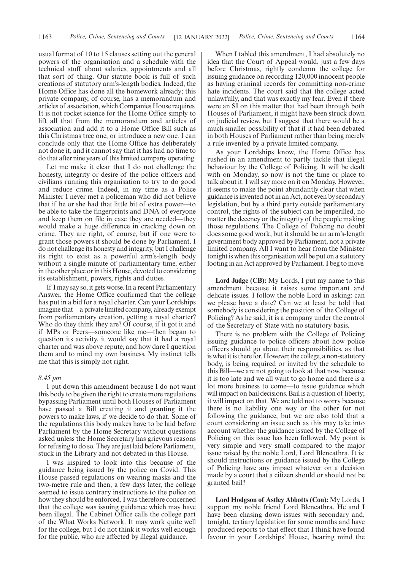usual format of 10 to 15 clauses setting out the general powers of the organisation and a schedule with the technical stuff about salaries, appointments and all that sort of thing. Our statute book is full of such creations of statutory arm's-length bodies. Indeed, the Home Office has done all the homework already; this private company, of course, has a memorandum and articles of association, which Companies House requires. It is not rocket science for the Home Office simply to lift all that from the memorandum and articles of association and add it to a Home Office Bill such as this Christmas tree one, or introduce a new one. I can conclude only that the Home Office has deliberately not done it, and it cannot say that it has had no time to do that after nine years of this limited company operating.

Let me make it clear that I do not challenge the honesty, integrity or desire of the police officers and civilians running this organisation to try to do good and reduce crime. Indeed, in my time as a Police Minister I never met a policeman who did not believe that if he or she had that little bit of extra power—to be able to take the fingerprints and DNA of everyone and keep them on file in case they are needed—they would make a huge difference in cracking down on crime. They are right, of course, but if one were to grant those powers it should be done by Parliament. I do not challenge its honesty and integrity, but I challenge its right to exist as a powerful arm's-length body without a single minute of parliamentary time, either in the other place or in this House, devoted to considering its establishment, powers, rights and duties.

If I may say so, it gets worse. In a recent Parliamentary Answer, the Home Office confirmed that the college has put in a bid for a royal charter. Can your Lordships imagine that—a private limited company, already exempt from parliamentary creation, getting a royal charter? Who do they think they are? Of course, if it got it and if MPs or Peers—someone like me—then began to question its activity, it would say that it had a royal charter and was above repute, and how dare I question them and to mind my own business. My instinct tells me that this is simply not right.

#### *8.45 pm*

I put down this amendment because I do not want this body to be given the right to create more regulations bypassing Parliament until both Houses of Parliament have passed a Bill creating it and granting it the powers to make laws, if we decide to do that. Some of the regulations this body makes have to be laid before Parliament by the Home Secretary without questions asked unless the Home Secretary has grievous reasons for refusing to do so. They are just laid before Parliament, stuck in the Library and not debated in this House.

I was inspired to look into this because of the guidance being issued by the police on Covid. This House passed regulations on wearing masks and the two-metre rule and then, a few days later, the college seemed to issue contrary instructions to the police on how they should be enforced. I was therefore concerned that the college was issuing guidance which may have been illegal. The Cabinet Office calls the college part of the What Works Network. It may work quite well for the college, but I do not think it works well enough for the public, who are affected by illegal guidance.

When I tabled this amendment, I had absolutely no idea that the Court of Appeal would, just a few days before Christmas, rightly condemn the college for issuing guidance on recording 120,000 innocent people as having criminal records for committing non-crime hate incidents. The court said that the college acted unlawfully, and that was exactly my fear. Even if there were an SI on this matter that had been through both Houses of Parliament, it might have been struck down on judicial review, but I suggest that there would be a much smaller possibility of that if it had been debated in both Houses of Parliament rather than being merely a rule invented by a private limited company.

As your Lordships know, the Home Office has rushed in an amendment to partly tackle that illegal behaviour by the College of Policing. It will be dealt with on Monday, so now is not the time or place to talk about it. I will say more on it on Monday. However, it seems to make the point abundantly clear that when guidance is invented not in an Act, not even by secondary legislation, but by a third party outside parliamentary control, the rights of the subject can be imperilled, no matter the decency or the integrity of the people making those regulations. The College of Policing no doubt does some good work, but it should be an arm's-length government body approved by Parliament, not a private limited company. All I want to hear from the Minister tonight is when this organisation will be put on a statutory footing in an Act approved by Parliament. I beg to move.

**Lord Judge (CB):** My Lords, I put my name to this amendment because it raises some important and delicate issues. I follow the noble Lord in asking: can we please have a date? Can we at least be told that somebody is considering the position of the College of Policing? As he said, it is a company under the control of the Secretary of State with no statutory basis.

There is no problem with the College of Policing issuing guidance to police officers about how police officers should go about their responsibilities, as that is what it is there for. However, the college, a non-statutory body, is being required or invited by the schedule to this Bill—we are not going to look at that now, because it is too late and we all want to go home and there is a lot more business to come—to issue guidance which will impact on bail decisions. Bail is a question of liberty; it will impact on that. We are told not to worry because there is no liability one way or the other for not following the guidance, but we are also told that a court considering an issue such as this may take into account whether the guidance issued by the College of Policing on this issue has been followed. My point is very simple and very small compared to the major issue raised by the noble Lord, Lord Blencathra. It is: should instructions or guidance issued by the College of Policing have any impact whatever on a decision made by a court that a citizen should or should not be granted bail?

**Lord Hodgson of Astley Abbotts (Con):** My Lords, I support my noble friend Lord Blencathra. He and I have been chasing down issues with secondary and, tonight, tertiary legislation for some months and have produced reports to that effect that I think have found favour in your Lordships' House, bearing mind the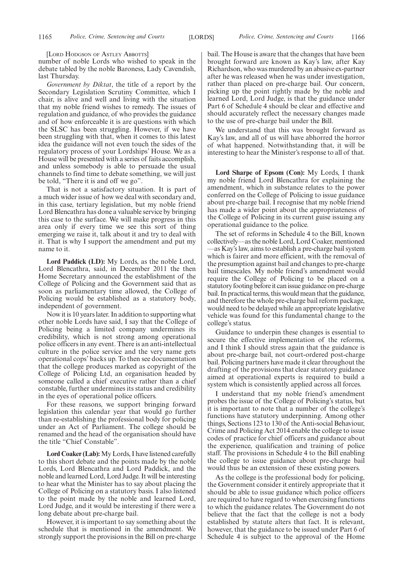[LORD HODGSON OF ASTLEY ABBOTTS]

number of noble Lords who wished to speak in the debate tabled by the noble Baroness, Lady Cavendish, last Thursday.

*Government by Diktat*, the title of a report by the Secondary Legislation Scrutiny Committee, which I chair, is alive and well and living with the situation that my noble friend wishes to remedy. The issues of regulation and guidance, of who provides the guidance and of how enforceable it is are questions with which the SLSC has been struggling. However, if we have been struggling with that, when it comes to this latest idea the guidance will not even touch the sides of the regulatory process of your Lordships' House. We as a House will be presented with a series of faits accomplish, and unless somebody is able to persuade the usual channels to find time to debate something, we will just be told, "There it is and off we go".

That is not a satisfactory situation. It is part of a much wider issue of how we deal with secondary and, in this case, tertiary legislation, but my noble friend Lord Blencathra has done a valuable service by bringing this case to the surface. We will make progress in this area only if every time we see this sort of thing emerging we raise it, talk about it and try to deal with it. That is why I support the amendment and put my name to it.

**Lord Paddick (LD):** My Lords, as the noble Lord, Lord Blencathra, said, in December 2011 the then Home Secretary announced the establishment of the College of Policing and the Government said that as soon as parliamentary time allowed, the College of Policing would be established as a statutory body, independent of government.

Now it is 10 years later. In addition to supporting what other noble Lords have said, I say that the College of Policing being a limited company undermines its credibility, which is not strong among operational police officers in any event. There is an anti-intellectual culture in the police service and the very name gets operational cops' backs up. To then see documentation that the college produces marked as copyright of the College of Policing Ltd, an organisation headed by someone called a chief executive rather than a chief constable, further undermines its status and credibility in the eyes of operational police officers.

For these reasons, we support bringing forward legislation this calendar year that would go further than re-establishing the professional body for policing under an Act of Parliament. The college should be renamed and the head of the organisation should have the title "Chief Constable".

**Lord Coaker (Lab):**My Lords, I have listened carefully to this short debate and the points made by the noble Lords, Lord Blencathra and Lord Paddick, and the noble and learned Lord, Lord Judge. It will be interesting to hear what the Minister has to say about placing the College of Policing on a statutory basis. I also listened to the point made by the noble and learned Lord, Lord Judge, and it would be interesting if there were a long debate about pre-charge bail.

However, it is important to say something about the schedule that is mentioned in the amendment. We strongly support the provisions in the Bill on pre-charge bail. The House is aware that the changes that have been brought forward are known as Kay's law, after Kay Richardson, who was murdered by an abusive ex-partner after he was released when he was under investigation, rather than placed on pre-charge bail. Our concern, picking up the point rightly made by the noble and learned Lord, Lord Judge, is that the guidance under Part 6 of Schedule 4 should be clear and effective and should accurately reflect the necessary changes made to the use of pre-charge bail under the Bill.

We understand that this was brought forward as Kay's law, and all of us will have abhorred the horror of what happened. Notwithstanding that, it will be interesting to hear the Minister's response to all of that.

**Lord Sharpe of Epsom (Con):** My Lords, I thank my noble friend Lord Blencathra for explaining the amendment, which in substance relates to the power conferred on the College of Policing to issue guidance about pre-charge bail. I recognise that my noble friend has made a wider point about the appropriateness of the College of Policing in its current guise issuing any operational guidance to the police.

The set of reforms in Schedule 4 to the Bill, known collectively—as the noble Lord, Lord Coaker, mentioned —as Kay's law, aims to establish a pre-charge bail system which is fairer and more efficient, with the removal of the presumption against bail and changes to pre-charge bail timescales. My noble friend's amendment would require the College of Policing to be placed on a statutory footing before it can issue guidance on pre-charge bail. In practical terms, this would mean that the guidance, and therefore the whole pre-charge bail reform package, would need to be delayed while an appropriate legislative vehicle was found for this fundamental change to the college's status.

Guidance to underpin these changes is essential to secure the effective implementation of the reforms, and I think I should stress again that the guidance is about pre-charge bail, not court-ordered post-charge bail. Policing partners have made it clear throughout the drafting of the provisions that clear statutory guidance aimed at operational experts is required to build a system which is consistently applied across all forces.

I understand that my noble friend's amendment probes the issue of the College of Policing's status, but it is important to note that a number of the college's functions have statutory underpinning. Among other things, Sections 123 to 130 of the Anti-social Behaviour, Crime and Policing Act 2014 enable the college to issue codes of practice for chief officers and guidance about the experience, qualification and training of police staff. The provisions in Schedule 4 to the Bill enabling the college to issue guidance about pre-charge bail would thus be an extension of these existing powers.

As the college is the professional body for policing, the Government consider it entirely appropriate that it should be able to issue guidance which police officers are required to have regard to when exercising functions to which the guidance relates. The Government do not believe that the fact that the college is not a body established by statute alters that fact. It is relevant, however, that the guidance to be issued under Part 6 of Schedule 4 is subject to the approval of the Home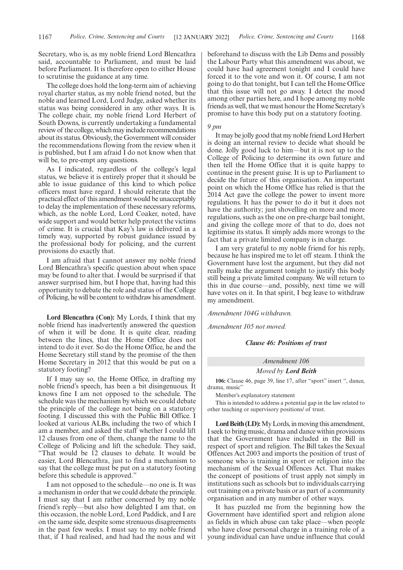Secretary, who is, as my noble friend Lord Blencathra said, accountable to Parliament, and must be laid before Parliament. It is therefore open to either House to scrutinise the guidance at any time.

The college does hold the long-term aim of achieving royal charter status, as my noble friend noted, but the noble and learned Lord, Lord Judge, asked whether its status was being considered in any other ways. It is. The college chair, my noble friend Lord Herbert of South Downs, is currently undertaking a fundamental review of the college, which may include recommendations about its status. Obviously, the Government will consider the recommendations flowing from the review when it is published, but I am afraid I do not know when that will be, to pre-empt any questions.

As I indicated, regardless of the college's legal status, we believe it is entirely proper that it should be able to issue guidance of this kind to which police officers must have regard. I should reiterate that the practical effect of this amendment would be unacceptably to delay the implementation of these necessary reforms, which, as the noble Lord, Lord Coaker, noted, have wide support and would better help protect the victims of crime. It is crucial that Kay's law is delivered in a timely way, supported by robust guidance issued by the professional body for policing, and the current provisions do exactly that.

I am afraid that I cannot answer my noble friend Lord Blencathra's specific question about when space may be found to alter that. I would be surprised if that answer surprised him, but I hope that, having had this opportunity to debate the role and status of the College of Policing, he will be content to withdraw his amendment.

**Lord Blencathra (Con):** My Lords, I think that my noble friend has inadvertently answered the question of when it will be done. It is quite clear, reading between the lines, that the Home Office does not intend to do it ever. So do the Home Office, he and the Home Secretary still stand by the promise of the then Home Secretary in 2012 that this would be put on a statutory footing?

If I may say so, the Home Office, in drafting my noble friend's speech, has been a bit disingenuous. It knows fine I am not opposed to the schedule. The schedule was the mechanism by which we could debate the principle of the college not being on a statutory footing. I discussed this with the Public Bill Office. I looked at various ALBs, including the two of which I am a member, and asked the staff whether I could lift 12 clauses from one of them, change the name to the College of Policing and lift the schedule. They said, "That would be 12 clauses to debate. It would be easier, Lord Blencathra, just to find a mechanism to say that the college must be put on a statutory footing before this schedule is approved."

I am not opposed to the schedule—no one is. It was a mechanism in order that we could debate the principle. I must say that I am rather concerned by my noble friend's reply—but also how delighted I am that, on this occasion, the noble Lord, Lord Paddick, and I are on the same side, despite some strenuous disagreements in the past few weeks. I must say to my noble friend that, if I had realised, and had had the nous and wit beforehand to discuss with the Lib Dems and possibly the Labour Party what this amendment was about, we could have had agreement tonight and I could have forced it to the vote and won it. Of course, I am not going to do that tonight, but I can tell the Home Office that this issue will not go away. I detect the mood among other parties here, and I hope among my noble friends as well, that we must honour the Home Secretary's promise to have this body put on a statutory footing.

#### *9 pm*

It may be jolly good that my noble friend Lord Herbert is doing an internal review to decide what should be done. Jolly good luck to him—but it is not up to the College of Policing to determine its own future and then tell the Home Office that it is quite happy to continue in the present guise. It is up to Parliament to decide the future of this organisation. An important point on which the Home Office has relied is that the 2014 Act gave the college the power to invent more regulations. It has the power to do it but it does not have the authority; just shovelling on more and more regulations, such as the one on pre-charge bail tonight, and giving the college more of that to do, does not legitimise its status. It simply adds more wrongs to the fact that a private limited company is in charge.

I am very grateful to my noble friend for his reply, because he has inspired me to let off steam. I think the Government have lost the argument, but they did not really make the argument tonight to justify this body still being a private limited company. We will return to this in due course—and, possibly, next time we will have votes on it. In that spirit, I beg leave to withdraw my amendment.

*Amendment 104G withdrawn.*

*Amendment 105 not moved.*

#### *Clause 46: Positions of trust*

### *Amendment 106*

*Moved by Lord Beith*

**106:** Clause 46, page 39, line 17, after "sport" insert ", dance, drama, music"

Member's explanatory statement

This is intended to address a potential gap in the law related to other teaching or supervisory positions/ of trust.

Lord Beith (LD): My Lords, in moving this amendment, I seek to bring music, drama and dance within provisions that the Government have included in the Bill in respect of sport and religion. The Bill takes the Sexual Offences Act 2003 and imports the position of trust of someone who is training in sport or religion into the mechanism of the Sexual Offences Act. That makes the concept of positions of trust apply not simply in institutions such as schools but to individuals carrying out training on a private basis or as part of a community organisation and in any number of other ways.

It has puzzled me from the beginning how the Government have identified sport and religion alone as fields in which abuse can take place—when people who have close personal charge in a training role of a young individual can have undue influence that could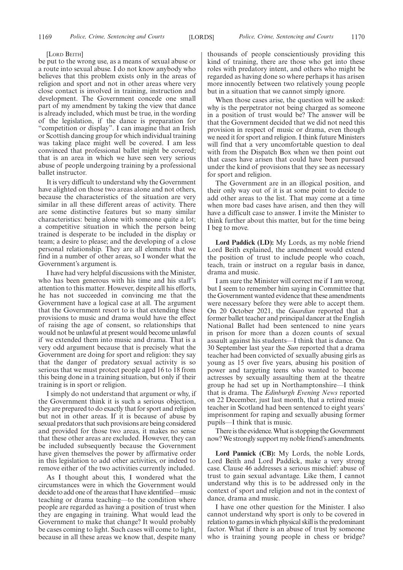#### [LORD BEITH]

be put to the wrong use, as a means of sexual abuse or a route into sexual abuse. I do not know anybody who believes that this problem exists only in the areas of religion and sport and not in other areas where very close contact is involved in training, instruction and development. The Government concede one small part of my amendment by taking the view that dance is already included, which must be true, in the wording of the legislation, if the dance is preparation for "competition or display". I can imagine that an Irish or Scottish dancing group for which individual training was taking place might well be covered. I am less convinced that professional ballet might be covered; that is an area in which we have seen very serious abuse of people undergoing training by a professional ballet instructor.

It is very difficult to understand why the Government have alighted on those two areas alone and not others, because the characteristics of the situation are very similar in all these different areas of activity. There are some distinctive features but so many similar characteristics: being alone with someone quite a lot; a competitive situation in which the person being trained is desperate to be included in the display or team; a desire to please; and the developing of a close personal relationship. They are all elements that we find in a number of other areas, so I wonder what the Government's argument is.

I have had very helpful discussions with the Minister, who has been generous with his time and his staff's attention to this matter. However, despite all his efforts, he has not succeeded in convincing me that the Government have a logical case at all. The argument that the Government resort to is that extending these provisions to music and drama would have the effect of raising the age of consent, so relationships that would not be unlawful at present would become unlawful if we extended them into music and drama. That is a very odd argument because that is precisely what the Government are doing for sport and religion: they say that the danger of predatory sexual activity is so serious that we must protect people aged 16 to 18 from this being done in a training situation, but only if their training is in sport or religion.

I simply do not understand that argument or why, if the Government think it is such a serious objection, they are prepared to do exactly that for sport and religion but not in other areas. If it is because of abuse by sexual predators that such provisions are being considered and provided for those two areas, it makes no sense that these other areas are excluded. However, they can be included subsequently because the Government have given themselves the power by affirmative order in this legislation to add other activities, or indeed to remove either of the two activities currently included.

As I thought about this, I wondered what the circumstances were in which the Government would decide to add one of the areas that I have identified—music teaching or drama teaching—to the condition where people are regarded as having a position of trust when they are engaging in training. What would lead the Government to make that change? It would probably be cases coming to light. Such cases will come to light, because in all these areas we know that, despite many thousands of people conscientiously providing this kind of training, there are those who get into these roles with predatory intent, and others who might be regarded as having done so where perhaps it has arisen more innocently between two relatively young people but in a situation that we cannot simply ignore.

When those cases arise, the question will be asked: why is the perpetrator not being charged as someone in a position of trust would be? The answer will be that the Government decided that we did not need this provision in respect of music or drama, even though we need it for sport and religion. I think future Ministers will find that a very uncomfortable question to deal with from the Dispatch Box when we then point out that cases have arisen that could have been pursued under the kind of provisions that they see as necessary for sport and religion.

The Government are in an illogical position, and their only way out of it is at some point to decide to add other areas to the list. That may come at a time when more bad cases have arisen, and then they will have a difficult case to answer. I invite the Minister to think further about this matter, but for the time being I beg to move.

**Lord Paddick (LD):** My Lords, as my noble friend Lord Beith explained, the amendment would extend the position of trust to include people who coach, teach, train or instruct on a regular basis in dance, drama and music.

I am sure the Minister will correct me if I am wrong, but I seem to remember him saying in Committee that the Government wanted evidence that these amendments were necessary before they were able to accept them. On 20 October 2021, the *Guardian* reported that a former ballet teacher and principal dancer at the English National Ballet had been sentenced to nine years in prison for more than a dozen counts of sexual assault against his students—I think that is dance. On 30 September last year the *Sun* reported that a drama teacher had been convicted of sexually abusing girls as young as 15 over five years, abusing his position of power and targeting teens who wanted to become actresses by sexually assaulting them at the theatre group he had set up in Northamptonshire—I think that is drama. The *Edinburgh Evening News* reported on 22 December, just last month, that a retired music teacher in Scotland had been sentenced to eight years' imprisonment for raping and sexually abusing former pupils—I think that is music.

There is the evidence. What is stopping the Government now? We strongly support my noble friend's amendments.

**Lord Pannick (CB):** My Lords, the noble Lords, Lord Beith and Lord Paddick, make a very strong case. Clause 46 addresses a serious mischief: abuse of trust to gain sexual advantage. Like them, I cannot understand why this is to be addressed only in the context of sport and religion and not in the context of dance, drama and music.

I have one other question for the Minister. I also cannot understand why sport is only to be covered in relation to games in which physical skill is the predominant factor. What if there is an abuse of trust by someone who is training young people in chess or bridge?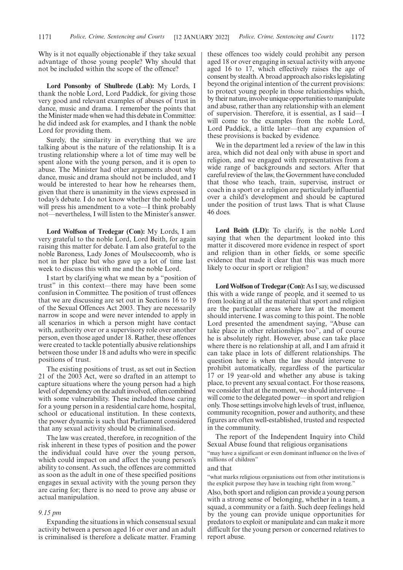Why is it not equally objectionable if they take sexual advantage of those young people? Why should that not be included within the scope of the offence?

**Lord Ponsonby of Shulbrede (Lab):** My Lords, I thank the noble Lord, Lord Paddick, for giving those very good and relevant examples of abuses of trust in dance, music and drama. I remember the points that the Minister made when we had this debate in Committee: he did indeed ask for examples, and I thank the noble Lord for providing them.

Surely, the similarity in everything that we are talking about is the nature of the relationship. It is a trusting relationship where a lot of time may well be spent alone with the young person, and it is open to abuse. The Minister had other arguments about why dance, music and drama should not be included, and I would be interested to hear how he rehearses them, given that there is unanimity in the views expressed in today's debate. I do not know whether the noble Lord will press his amendment to a vote—I think probably not—nevertheless, I will listen to the Minister's answer.

**Lord Wolfson of Tredegar (Con):** My Lords, I am very grateful to the noble Lord, Lord Beith, for again raising this matter for debate. I am also grateful to the noble Baroness, Lady Jones of Moulsecoomb, who is not in her place but who gave up a lot of time last week to discuss this with me and the noble Lord.

I start by clarifying what we mean by a "position of trust" in this context—there may have been some confusion in Committee. The position of trust offences that we are discussing are set out in Sections 16 to 19 of the Sexual Offences Act 2003. They are necessarily narrow in scope and were never intended to apply in all scenarios in which a person might have contact with, authority over or a supervisory role over another person, even those aged under 18. Rather, these offences were created to tackle potentially abusive relationships between those under 18 and adults who were in specific positions of trust.

The existing positions of trust, as set out in Section 21 of the 2003 Act, were so drafted in an attempt to capture situations where the young person had a high level of dependency on the adult involved, often combined with some vulnerability. These included those caring for a young person in a residential care home, hospital, school or educational institution. In these contexts, the power dynamic is such that Parliament considered that any sexual activity should be criminalised.

The law was created, therefore, in recognition of the risk inherent in these types of position and the power the individual could have over the young person, which could impact on and affect the young person's ability to consent. As such, the offences are committed as soon as the adult in one of these specified positions engages in sexual activity with the young person they are caring for; there is no need to prove any abuse or actual manipulation.

#### *9.15 pm*

Expanding the situations in which consensual sexual activity between a person aged 16 or over and an adult is criminalised is therefore a delicate matter. Framing these offences too widely could prohibit any person aged 18 or over engaging in sexual activity with anyone aged 16 to 17, which effectively raises the age of consent by stealth. A broad approach also risks legislating beyond the original intention of the current provisions: to protect young people in those relationships which, by their nature, involve unique opportunities to manipulate and abuse, rather than any relationship with an element of supervision. Therefore, it is essential, as I said—I will come to the examples from the noble Lord, Lord Paddick, a little later—that any expansion of these provisions is backed by evidence.

We in the department led a review of the law in this area, which did not deal only with abuse in sport and religion, and we engaged with representatives from a wide range of backgrounds and sectors. After that careful review of the law, the Government have concluded that those who teach, train, supervise, instruct or coach in a sport or a religion are particularly influential over a child's development and should be captured under the position of trust laws. That is what Clause 46 does.

**Lord Beith (LD):** To clarify, is the noble Lord saying that when the department looked into this matter it discovered more evidence in respect of sport and religion than in other fields, or some specific evidence that made it clear that this was much more likely to occur in sport or religion?

**Lord Wolfson of Tredegar (Con):** As I say, we discussed this with a wide range of people, and it seemed to us from looking at all the material that sport and religion are the particular areas where law at the moment should intervene. I was coming to this point. The noble Lord presented the amendment saying, "Abuse can take place in other relationships too", and of course he is absolutely right. However, abuse can take place where there is no relationship at all, and I am afraid it can take place in lots of different relationships. The question here is when the law should intervene to prohibit automatically, regardless of the particular 17 or 19 year-old and whether any abuse is taking place, to prevent any sexual contact. For those reasons, we consider that at the moment, we should intervene—I will come to the delegated power—in sport and religion only. Those settings involve high levels of trust, influence, community recognition, power and authority, and these figures are often well-established, trusted and respected in the community.

The report of the Independent Inquiry into Child Sexual Abuse found that religious organisations

"may have a significant or even dominant influence on the lives of millions of children"

#### and that

"what marks religious organisations out from other institutions is the explicit purpose they have in teaching right from wrong."

Also, both sport and religion can provide a young person with a strong sense of belonging, whether in a team, a squad, a community or a faith. Such deep feelings held by the young can provide unique opportunities for predators to exploit or manipulate and can make it more difficult for the young person or concerned relatives to report abuse.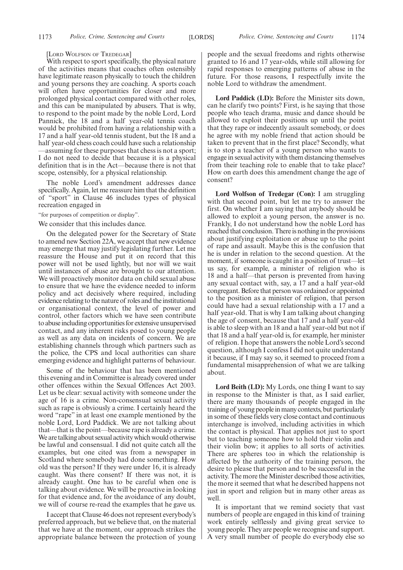#### [LORD WOLFSON OF TREDEGAR]

With respect to sport specifically, the physical nature of the activities means that coaches often ostensibly have legitimate reason physically to touch the children and young persons they are coaching. A sports coach will often have opportunities for closer and more prolonged physical contact compared with other roles, and this can be manipulated by abusers. That is why, to respond to the point made by the noble Lord, Lord Pannick, the 18 and a half year-old tennis coach would be prohibited from having a relationship with a 17 and a half year-old tennis student, but the 18 and a half year-old chess coach could have such a relationship —assuming for these purposes that chess is not a sport; I do not need to decide that because it is a physical definition that is in the Act—because there is not that scope, ostensibly, for a physical relationship.

The noble Lord's amendment addresses dance specifically. Again, let me reassure him that the definition of "sport" in Clause 46 includes types of physical recreation engaged in

"for purposes of competition or display".

We consider that this includes dance.

On the delegated power for the Secretary of State to amend new Section 22A, we accept that new evidence may emerge that may justify legislating further. Let me reassure the House and put it on record that this power will not be used lightly, but nor will we wait until instances of abuse are brought to our attention. We will proactively monitor data on child sexual abuse to ensure that we have the evidence needed to inform policy and act decisively where required, including evidence relating to the nature of roles and the institutional or organisational context, the level of power and control, other factors which we have seen contribute to abuse including opportunities for extensive unsupervised contact, and any inherent risks posed to young people as well as any data on incidents of concern. We are establishing channels through which partners such as the police, the CPS and local authorities can share emerging evidence and highlight patterns of behaviour.

Some of the behaviour that has been mentioned this evening and in Committee is already covered under other offences within the Sexual Offences Act 2003. Let us be clear: sexual activity with someone under the age of 16 is a crime. Non-consensual sexual activity such as rape is obviously a crime. I certainly heard the word "rape" in at least one example mentioned by the noble Lord, Lord Paddick. We are not talking about that—that is the point—because rape is already a crime. We are talking about sexual activity which would otherwise be lawful and consensual. I did not quite catch all the examples, but one cited was from a newspaper in Scotland where somebody had done something. How old was the person? If they were under 16, it is already caught. Was there consent? If there was not, it is already caught. One has to be careful when one is talking about evidence. We will be proactive in looking for that evidence and, for the avoidance of any doubt, we will of course re-read the examples that he gave us.

I accept that Clause 46 does not represent everybody's preferred approach, but we believe that, on the material that we have at the moment, our approach strikes the appropriate balance between the protection of young people and the sexual freedoms and rights otherwise granted to 16 and 17 year-olds, while still allowing for rapid responses to emerging patterns of abuse in the future. For those reasons, I respectfully invite the noble Lord to withdraw the amendment.

**Lord Paddick (LD):** Before the Minister sits down, can he clarify two points? First, is he saying that those people who teach drama, music and dance should be allowed to exploit their positions up until the point that they rape or indecently assault somebody, or does he agree with my noble friend that action should be taken to prevent that in the first place? Secondly, what is to stop a teacher of a young person who wants to engage in sexual activity with them distancing themselves from their teaching role to enable that to take place? How on earth does this amendment change the age of consent?

**Lord Wolfson of Tredegar (Con):** I am struggling with that second point, but let me try to answer the first. On whether I am saying that anybody should be allowed to exploit a young person, the answer is no. Frankly, I do not understand how the noble Lord has reached that conclusion. There is nothing in the provisions about justifying exploitation or abuse up to the point of rape and assault. Maybe this is the confusion that he is under in relation to the second question. At the moment, if someone is caught in a position of trust—let us say, for example, a minister of religion who is 18 and a half—that person is prevented from having any sexual contact with, say, a 17 and a half year-old congregant. Before that person was ordained or appointed to the position as a minister of religion, that person could have had a sexual relationship with a 17 and a half year-old. That is why I am talking about changing the age of consent, because that 17 and a half year-old is able to sleep with an 18 and a half year-old but not if that 18 and a half year-old is, for example, her minister of religion. I hope that answers the noble Lord's second question, although I confess I did not quite understand it because, if I may say so, it seemed to proceed from a fundamental misapprehension of what we are talking about.

**Lord Beith (LD):** My Lords, one thing I want to say in response to the Minister is that, as I said earlier, there are many thousands of people engaged in the training of young people in many contexts, but particularly in some of these fields very close contact and continuous interchange is involved, including activities in which the contact is physical. That applies not just to sport but to teaching someone how to hold their violin and their violin bow; it applies to all sorts of activities. There are spheres too in which the relationship is affected by the authority of the training person, the desire to please that person and to be successful in the activity. The more the Minister described those activities, the more it seemed that what he described happens not just in sport and religion but in many other areas as well.

It is important that we remind society that vast numbers of people are engaged in this kind of training work entirely selflessly and giving great service to young people. They are people we recognise and support. A very small number of people do everybody else so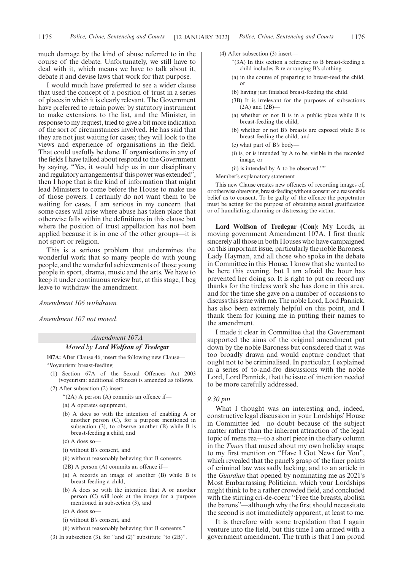much damage by the kind of abuse referred to in the course of the debate. Unfortunately, we still have to deal with it, which means we have to talk about it, debate it and devise laws that work for that purpose.

I would much have preferred to see a wider clause that used the concept of a position of trust in a series of places in which it is clearly relevant. The Government have preferred to retain power by statutory instrument to make extensions to the list, and the Minister, in response to my request, tried to give a bit more indication of the sort of circumstances involved. He has said that they are not just waiting for cases; they will look to the views and experience of organisations in the field. That could usefully be done. If organisations in any of the fields I have talked about respond to the Government by saying, "Yes, it would help us in our disciplinary and regulatory arrangements if this power was extended", then I hope that is the kind of information that might lead Ministers to come before the House to make use of those powers. I certainly do not want them to be waiting for cases. I am serious in my concern that some cases will arise where abuse has taken place that otherwise falls within the definitions in this clause but where the position of trust appellation has not been applied because it is in one of the other groups—it is not sport or religion.

This is a serious problem that undermines the wonderful work that so many people do with young people, and the wonderful achievements of those young people in sport, drama, music and the arts. We have to keep it under continuous review but, at this stage, I beg leave to withdraw the amendment.

*Amendment 106 withdrawn.*

*Amendment 107 not moved.*

#### *Amendment 107A*

#### *Moved by Lord Wolfson of Tredegar*

**107A:** After Clause 46, insert the following new Clause— "Voyeurism: breast-feeding

- (1) Section 67A of the Sexual Offences Act 2003 (voyeurism: additional offences) is amended as follows.
- (2) After subsection (2) insert—
	- " $(2A)$  A person  $(A)$  commits an offence if-
	- (a) A operates equipment,
	- (b) A does so with the intention of enabling A or another person (C), for a purpose mentioned in subsection (3), to observe another (B) while B is breast-feeding a child, and
	- (c) A does so—
	- (i) without B's consent, and
	- (ii) without reasonably believing that B consents.
	- (2B) A person (A) commits an offence if—
	- (a) A records an image of another (B) while B is breast-feeding a child,
	- (b) A does so with the intention that A or another person (C) will look at the image for a purpose mentioned in subsection (3), and
	- (c) A does so—
	- (i) without B's consent, and
	- (ii) without reasonably believing that B consents."
- (3) In subsection (3), for "and (2)" substitute "to  $(2B)$ ".
- (4) After subsection (3) insert—
	- "(3A) In this section a reference to B breast-feeding a child includes B re-arranging B's clothing—
	- (a) in the course of preparing to breast-feed the child, or
	- (b) having just finished breast-feeding the child.
	- (3B) It is irrelevant for the purposes of subsections  $(2A)$  and  $(2B)$ –
	- (a) whether or not B is in a public place while B is breast-feeding the child,
	- (b) whether or not B's breasts are exposed while B is breast-feeding the child, and
	- (c) what part of B's body—
	- (i) is, or is intended by A to be, visible in the recorded image, or
	- (ii) is intended by A to be observed.""
- Member's explanatory statement

This new Clause creates new offences of recording images of, or otherwise observing, breast-feeding without consent or a reasonable belief as to consent. To be guilty of the offence the perpetrator must be acting for the purpose of obtaining sexual gratification or of humiliating, alarming or distressing the victim.

**Lord Wolfson of Tredegar (Con):** My Lords, in moving government Amendment 107A, I first thank sincerely all those in both Houses who have campaigned on this important issue, particularly the noble Baroness, Lady Hayman, and all those who spoke in the debate in Committee in this House. I know that she wanted to be here this evening, but I am afraid the hour has prevented her doing so. It is right to put on record my thanks for the tireless work she has done in this area, and for the time she gave on a number of occasions to discuss this issue with me. The noble Lord, Lord Pannick, has also been extremely helpful on this point, and I thank them for joining me in putting their names to the amendment.

I made it clear in Committee that the Government supported the aims of the original amendment put down by the noble Baroness but considered that it was too broadly drawn and would capture conduct that ought not to be criminalised. In particular, I explained in a series of to-and-fro discussions with the noble Lord, Lord Pannick, that the issue of intention needed to be more carefully addressed.

#### *9.30 pm*

What I thought was an interesting and, indeed, constructive legal discussion in your Lordships' House in Committee led—no doubt because of the subject matter rather than the inherent attraction of the legal topic of mens rea—to a short piece in the diary column in the *Times* that mused about my own holiday snaps; to my first mention on "Have I Got News for You", which revealed that the panel's grasp of the finer points of criminal law was sadly lacking; and to an article in the *Guardian* that opened by nominating me as 2021's Most Embarrassing Politician, which your Lordships might think to be a rather crowded field, and concluded with the stirring cri-de-coeur "Free the breasts, abolish the barons"—although why the first should necessitate the second is not immediately apparent, at least to me.

It is therefore with some trepidation that I again venture into the field, but this time I am armed with a government amendment. The truth is that I am proud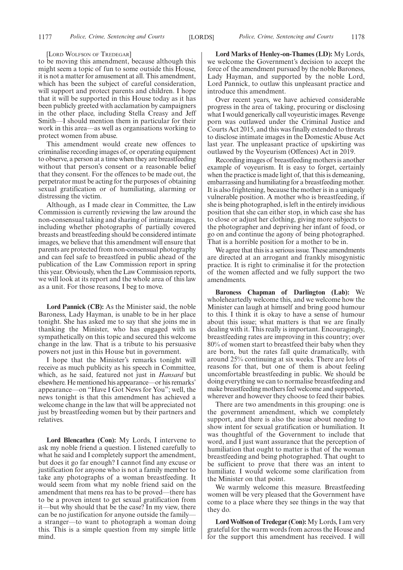[LORD WOLFSON OF TREDEGAR]

to be moving this amendment, because although this might seem a topic of fun to some outside this House, it is not a matter for amusement at all. This amendment, which has been the subject of careful consideration, will support and protect parents and children. I hope that it will be supported in this House today as it has been publicly greeted with acclamation by campaigners in the other place, including Stella Creasy and Jeff Smith—I should mention them in particular for their work in this area—as well as organisations working to protect women from abuse.

This amendment would create new offences to criminalise recording images of, or operating equipment to observe, a person at a time when they are breastfeeding without that person's consent or a reasonable belief that they consent. For the offences to be made out, the perpetrator must be acting for the purposes of obtaining sexual gratification or of humiliating, alarming or distressing the victim.

Although, as I made clear in Committee, the Law Commission is currently reviewing the law around the non-consensual taking and sharing of intimate images, including whether photographs of partially covered breasts and breastfeeding should be considered intimate images, we believe that this amendment will ensure that parents are protected from non-consensual photography and can feel safe to breastfeed in public ahead of the publication of the Law Commission report in spring this year. Obviously, when the Law Commission reports, we will look at its report and the whole area of this law as a unit. For those reasons, I beg to move.

**Lord Pannick (CB):** As the Minister said, the noble Baroness, Lady Hayman, is unable to be in her place tonight. She has asked me to say that she joins me in thanking the Minister, who has engaged with us sympathetically on this topic and secured this welcome change in the law. That is a tribute to his persuasive powers not just in this House but in government.

I hope that the Minister's remarks tonight will receive as much publicity as his speech in Committee, which, as he said, featured not just in *Hansard* but elsewhere. He mentioned his appearance—or his remarks' appearance—on "Have I Got News for You"; well, the news tonight is that this amendment has achieved a welcome change in the law that will be appreciated not just by breastfeeding women but by their partners and relatives.

**Lord Blencathra (Con):** My Lords, I intervene to ask my noble friend a question. I listened carefully to what he said and I completely support the amendment, but does it go far enough? I cannot find any excuse or justification for anyone who is not a family member to take any photographs of a woman breastfeeding. It would seem from what my noble friend said on the amendment that mens rea has to be proved—there has to be a proven intent to get sexual gratification from it—but why should that be the case? In my view, there can be no justification for anyone outside the family a stranger—to want to photograph a woman doing this. This is a simple question from my simple little mind.

**Lord Marks of Henley-on-Thames (LD):** My Lords, we welcome the Government's decision to accept the force of the amendment pursued by the noble Baroness, Lady Hayman, and supported by the noble Lord, Lord Pannick, to outlaw this unpleasant practice and introduce this amendment.

Over recent years, we have achieved considerable progress in the area of taking, procuring or disclosing what I would generically call voyeuristic images. Revenge porn was outlawed under the Criminal Justice and Courts Act 2015, and this was finally extended to threats to disclose intimate images in the Domestic Abuse Act last year. The unpleasant practice of upskirting was outlawed by the Voyeurism (Offences) Act in 2019.

Recording images of breastfeeding mothers is another example of voyeurism. It is easy to forget, certainly when the practice is made light of, that this is demeaning, embarrassing and humiliating for a breastfeeding mother. It is also frightening, because the mother is in a uniquely vulnerable position. A mother who is breastfeeding, if she is being photographed, is left in the entirely invidious position that she can either stop, in which case she has to close or adjust her clothing, giving more subjects to the photographer and depriving her infant of food, or go on and continue the agony of being photographed. That is a horrible position for a mother to be in.

We agree that this is a serious issue. These amendments are directed at an arrogant and frankly misogynistic practice. It is right to criminalise it for the protection of the women affected and we fully support the two amendments.

**Baroness Chapman of Darlington (Lab):** We wholeheartedly welcome this, and we welcome how the Minister can laugh at himself and bring good humour to this. I think it is okay to have a sense of humour about this issue; what matters is that we are finally dealing with it. This really is important. Encouragingly, breastfeeding rates are improving in this country; over 80% of women start to breastfeed their baby when they are born, but the rates fall quite dramatically, with around 25% continuing at six weeks. There are lots of reasons for that, but one of them is about feeling uncomfortable breastfeeding in public. We should be doing everything we can to normalise breastfeeding and make breastfeeding mothers feel welcome and supported, wherever and however they choose to feed their babies.

There are two amendments in this grouping: one is the government amendment, which we completely support, and there is also the issue about needing to show intent for sexual gratification or humiliation. It was thoughtful of the Government to include that word, and I just want assurance that the perception of humiliation that ought to matter is that of the woman breastfeeding and being photographed. That ought to be sufficient to prove that there was an intent to humiliate. I would welcome some clarification from the Minister on that point.

We warmly welcome this measure. Breastfeeding women will be very pleased that the Government have come to a place where they see things in the way that they do.

**Lord Wolfson of Tredegar (Con):** My Lords, I am very grateful for the warm words from across the House and for the support this amendment has received. I will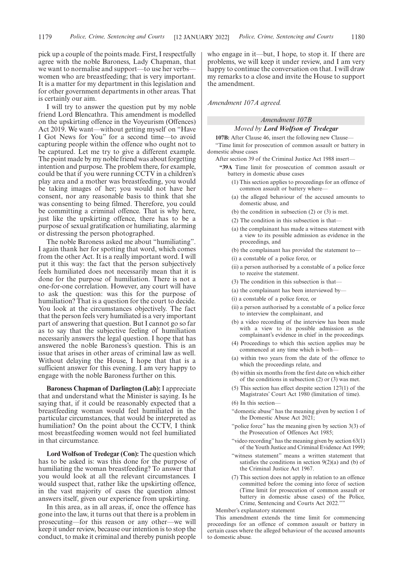pick up a couple of the points made. First, I respectfully agree with the noble Baroness, Lady Chapman, that we want to normalise and support—to use her verbs women who are breastfeeding; that is very important. It is a matter for my department in this legislation and for other government departments in other areas. That is certainly our aim.

I will try to answer the question put by my noble friend Lord Blencathra. This amendment is modelled on the upskirting offence in the Voyeurism (Offences) Act 2019. We want—without getting myself on "Have I Got News for You" for a second time—to avoid capturing people within the offence who ought not to be captured. Let me try to give a different example. The point made by my noble friend was about forgetting intention and purpose. The problem there, for example, could be that if you were running CCTV in a children's play area and a mother was breastfeeding, you would be taking images of her; you would not have her consent, nor any reasonable basis to think that she was consenting to being filmed. Therefore, you could be committing a criminal offence. That is why here, just like the upskirting offence, there has to be a purpose of sexual gratification or humiliating, alarming or distressing the person photographed.

The noble Baroness asked me about "humiliating". I again thank her for spotting that word, which comes from the other Act. It is a really important word. I will put it this way: the fact that the person subjectively feels humiliated does not necessarily mean that it is done for the purpose of humiliation. There is not a one-for-one correlation. However, any court will have to ask the question: was this for the purpose of humiliation? That is a question for the court to decide. You look at the circumstances objectively. The fact that the person feels very humiliated is a very important part of answering that question. But I cannot go so far as to say that the subjective feeling of humiliation necessarily answers the legal question. I hope that has answered the noble Baroness's question. This is an issue that arises in other areas of criminal law as well. Without delaying the House, I hope that that is a sufficient answer for this evening. I am very happy to engage with the noble Baroness further on this.

**Baroness Chapman of Darlington (Lab):** I appreciate that and understand what the Minister is saying. Is he saying that, if it could be reasonably expected that a breastfeeding woman would feel humiliated in the particular circumstances, that would be interpreted as humiliation? On the point about the CCTV, I think most breastfeeding women would not feel humiliated in that circumstance.

**Lord Wolfson of Tredegar (Con):** The question which has to be asked is: was this done for the purpose of humiliating the woman breastfeeding? To answer that you would look at all the relevant circumstances. I would suspect that, rather like the upskirting offence, in the vast majority of cases the question almost answers itself, given our experience from upskirting.

In this area, as in all areas, if, once the offence has gone into the law, it turns out that there is a problem in prosecuting—for this reason or any other—we will keep it under review, because our intention is to stop the conduct, to make it criminal and thereby punish people who engage in it—but, I hope, to stop it. If there are problems, we will keep it under review, and I am very happy to continue the conversation on that. I will draw my remarks to a close and invite the House to support the amendment.

*Amendment 107A agreed.*

## *Amendment 107B*

### *Moved by Lord Wolfson of Tredegar*

**107B:** After Clause 46, insert the following new Clause—

"Time limit for prosecution of common assault or battery in domestic abuse cases

After section 39 of the Criminal Justice Act 1988 insert—

- **"39A** Time limit for prosecution of common assault or battery in domestic abuse cases
	- (1) This section applies to proceedings for an offence of common assault or battery where-
	- (a) the alleged behaviour of the accused amounts to domestic abuse, and
	- (b) the condition in subsection (2) or (3) is met.
	- (2) The condition in this subsection is that—
	- (a) the complainant has made a witness statement with a view to its possible admission as evidence in the proceedings, and
	- (b) the complainant has provided the statement to—
	- (i) a constable of a police force, or
	- (ii) a person authorised by a constable of a police force to receive the statement.
	- (3) The condition in this subsection is that—
	- (a) the complainant has been interviewed by—
	- (i) a constable of a police force, or
	- (ii) a person authorised by a constable of a police force to interview the complainant, and
	- (b) a video recording of the interview has been made with a view to its possible admission as the complainant's evidence in chief in the proceedings.
	- (4) Proceedings to which this section applies may be commenced at any time which is both—
	- (a) within two years from the date of the offence to which the proceedings relate, and
	- (b) within six months from the first date on which either of the conditions in subsection (2) or (3) was met.
	- (5) This section has effect despite section 127(1) of the Magistrates' Court Act 1980 (limitation of time).

(6) In this section—

- "domestic abuse" has the meaning given by section 1 of the Domestic Abuse Act 2021;
- "police force" has the meaning given by section 3(3) of the Prosecution of Offences Act 1985;
- "video recording" has the meaning given by section  $63(1)$ of the Youth Justice and Criminal Evidence Act 1999;
- "witness statement" means a written statement that satisfies the conditions in section  $9(2)(a)$  and (b) of the Criminal Justice Act 1967.
- (7) This section does not apply in relation to an offence committed before the coming into force of section (Time limit for prosecution of common assault or battery in domestic abuse cases) of the Police, Crime, Sentencing and Courts Act 2022.""

Member's explanatory statement

This amendment extends the time limit for commencing proceedings for an offence of common assault or battery in certain cases where the alleged behaviour of the accused amounts to domestic abuse.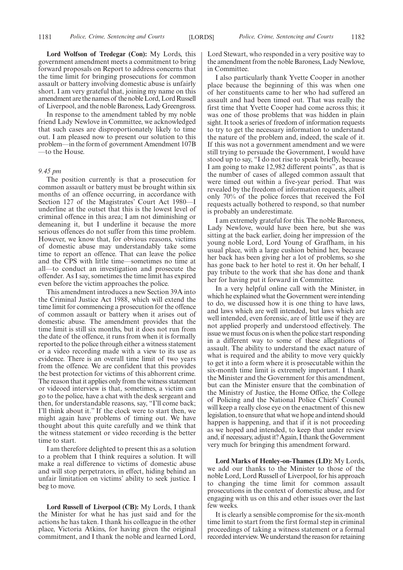**Lord Wolfson of Tredegar (Con):** My Lords, this government amendment meets a commitment to bring forward proposals on Report to address concerns that the time limit for bringing prosecutions for common assault or battery involving domestic abuse is unfairly short. I am very grateful that, joining my name on this amendment are the names of the noble Lord, Lord Russell of Liverpool, and the noble Baroness, Lady Greengross.

In response to the amendment tabled by my noble friend Lady Newlove in Committee, we acknowledged that such cases are disproportionately likely to time out. I am pleased now to present our solution to this problem—in the form of government Amendment 107B —to the House.

#### *9.45 pm*

The position currently is that a prosecution for common assault or battery must be brought within six months of an offence occurring, in accordance with Section 127 of the Magistrates' Court Act 1980—I underline at the outset that this is the lowest level of criminal offence in this area; I am not diminishing or demeaning it, but I underline it because the more serious offences do not suffer from this time problem. However, we know that, for obvious reasons, victims of domestic abuse may understandably take some time to report an offence. That can leave the police and the CPS with little time—sometimes no time at all—to conduct an investigation and prosecute the offender. As I say, sometimes the time limit has expired even before the victim approaches the police.

This amendment introduces a new Section 39A into the Criminal Justice Act 1988, which will extend the time limit for commencing a prosecution for the offence of common assault or battery when it arises out of domestic abuse. The amendment provides that the time limit is still six months, but it does not run from the date of the offence, it runs from when it is formally reported to the police through either a witness statement or a video recording made with a view to its use as evidence. There is an overall time limit of two years from the offence. We are confident that this provides the best protection for victims of this abhorrent crime. The reason that it applies only from the witness statement or videoed interview is that, sometimes, a victim can go to the police, have a chat with the desk sergeant and then, for understandable reasons, say, "I'll come back; I'll think about it." If the clock were to start then, we might again have problems of timing out. We have thought about this quite carefully and we think that the witness statement or video recording is the better time to start.

I am therefore delighted to present this as a solution to a problem that I think requires a solution. It will make a real difference to victims of domestic abuse and will stop perpetrators, in effect, hiding behind an unfair limitation on victims' ability to seek justice. I beg to move.

**Lord Russell of Liverpool (CB):** My Lords, I thank the Minister for what he has just said and for the actions he has taken. I thank his colleague in the other place, Victoria Atkins, for having given the original commitment, and I thank the noble and learned Lord, Lord Stewart, who responded in a very positive way to the amendment from the noble Baroness, Lady Newlove, in Committee.

I also particularly thank Yvette Cooper in another place because the beginning of this was when one of her constituents came to her who had suffered an assault and had been timed out. That was really the first time that Yvette Cooper had come across this; it was one of those problems that was hidden in plain sight. It took a series of freedom of information requests to try to get the necessary information to understand the nature of the problem and, indeed, the scale of it. If this was not a government amendment and we were still trying to persuade the Government, I would have stood up to say, "I do not rise to speak briefly, because I am going to make 12,982 different points", as that is the number of cases of alleged common assault that were timed out within a five-year period. That was revealed by the freedom of information requests, albeit only 70% of the police forces that received the FoI requests actually bothered to respond, so that number is probably an underestimate.

I am extremely grateful for this. The noble Baroness, Lady Newlove, would have been here, but she was sitting at the back earlier, doing her impression of the young noble Lord, Lord Young of Graffham, in his usual place, with a large cushion behind her, because her back has been giving her a lot of problems, so she has gone back to her hotel to rest it. On her behalf, I pay tribute to the work that she has done and thank her for having put it forward in Committee.

In a very helpful online call with the Minister, in which he explained what the Government were intending to do, we discussed how it is one thing to have laws, and laws which are well intended, but laws which are well intended, even forensic, are of little use if they are not applied properly and understood effectively. The issue we must focus on is when the police start responding in a different way to some of these allegations of assault. The ability to understand the exact nature of what is required and the ability to move very quickly to get it into a form where it is prosecutable within the six-month time limit is extremely important. I thank the Minister and the Government for this amendment, but can the Minister ensure that the combination of the Ministry of Justice, the Home Office, the College of Policing and the National Police Chiefs' Council will keep a really close eye on the enactment of this new legislation, to ensure that what we hope and intend should happen is happening, and that if it is not proceeding as we hoped and intended, to keep that under review and, if necessary, adjust it? Again, I thank the Government very much for bringing this amendment forward.

**Lord Marks of Henley-on-Thames (LD):** My Lords, we add our thanks to the Minister to those of the noble Lord, Lord Russell of Liverpool, for his approach to changing the time limit for common assault prosecutions in the context of domestic abuse, and for engaging with us on this and other issues over the last few weeks.

It is clearly a sensible compromise for the six-month time limit to start from the first formal step in criminal proceedings of taking a witness statement or a formal recorded interview. We understand the reason for retaining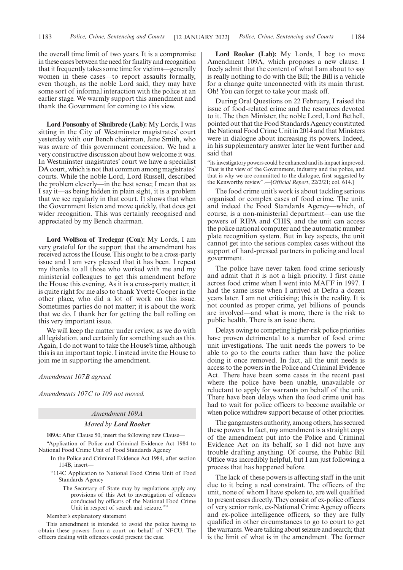the overall time limit of two years. It is a compromise in these cases between the need for finality and recognition that it frequently takes some time for victims—generally women in these cases—to report assaults formally, even though, as the noble Lord said, they may have some sort of informal interaction with the police at an earlier stage. We warmly support this amendment and thank the Government for coming to this view.

**Lord Ponsonby of Shulbrede (Lab):** My Lords, I was sitting in the City of Westminster magistrates' court yesterday with our Bench chairman, Jane Smith, who was aware of this government concession. We had a very constructive discussion about how welcome it was. In Westminster magistrates' court we have a specialist DA court, which is not that common among magistrates' courts. While the noble Lord, Lord Russell, described the problem cleverly—in the best sense; I mean that as I say it—as being hidden in plain sight, it is a problem that we see regularly in that court. It shows that when the Government listen and move quickly, that does get wider recognition. This was certainly recognised and appreciated by my Bench chairman.

**Lord Wolfson of Tredegar (Con):** My Lords, I am very grateful for the support that the amendment has received across the House. This ought to be a cross-party issue and I am very pleased that it has been. I repeat my thanks to all those who worked with me and my ministerial colleagues to get this amendment before the House this evening. As it is a cross-party matter, it is quite right for me also to thank Yvette Cooper in the other place, who did a lot of work on this issue. Sometimes parties do not matter; it is about the work that we do. I thank her for getting the ball rolling on this very important issue.

We will keep the matter under review, as we do with all legislation, and certainly for something such as this. Again, I do not want to take the House's time, although this is an important topic. I instead invite the House to join me in supporting the amendment.

#### *Amendment 107B agreed.*

*Amendments 107C to 109 not moved.*

#### *Amendment 109A*

#### *Moved by Lord Rooker*

**109A:** After Clause 50, insert the following new Clause—

- "Application of Police and Criminal Evidence Act 1984 to National Food Crime Unit of Food Standards Agency
	- In the Police and Criminal Evidence Act 1984, after section 114B, insert—
	- "114C Application to National Food Crime Unit of Food Standards Agency
		- The Secretary of State may by regulations apply any provisions of this Act to investigation of offences conducted by officers of the National Food Crime Unit in respect of search and seizure.""

Member's explanatory statement

This amendment is intended to avoid the police having to obtain these powers from a court on behalf of NFCU. The officers dealing with offences could present the case.

**Lord Rooker (Lab):** My Lords, I beg to move Amendment 109A, which proposes a new clause. I freely admit that the content of what I am about to say is really nothing to do with the Bill; the Bill is a vehicle for a change quite unconnected with its main thrust. Oh! You can forget to take your mask off.

During Oral Questions on 22 February, I raised the issue of food-related crime and the resources devoted to it. The then Minister, the noble Lord, Lord Bethell, pointed out that the Food Standards Agency constituted the National Food Crime Unit in 2014 and that Ministers were in dialogue about increasing its powers. Indeed, in his supplementary answer later he went further and said that

"its investigatory powers could be enhanced and its impact improved. That is the view of the Government, industry and the police, and that is why we are committed to the dialogue, first suggested by the Kenworthy review".—[*Official Report*, 22/2/21; col. 614.]

The food crime unit's work is about tackling serious organised or complex cases of food crime. The unit, and indeed the Food Standards Agency—which, of course, is a non-ministerial department—can use the powers of RIPA and CHIS, and the unit can access the police national computer and the automatic number plate recognition system. But in key aspects, the unit cannot get into the serious complex cases without the support of hard-pressed partners in policing and local government.

The police have never taken food crime seriously and admit that it is not a high priority. I first came across food crime when I went into MAFF in 1997. I had the same issue when I arrived at Defra a dozen years later. I am not criticising; this is the reality. It is not counted as proper crime, yet billions of pounds are involved—and what is more, there is the risk to public health. There is an issue there.

Delays owing to competing higher-risk police priorities have proven detrimental to a number of food crime unit investigations. The unit needs the powers to be able to go to the courts rather than have the police doing it once removed. In fact, all the unit needs is access to the powers in the Police and Criminal Evidence Act. There have been some cases in the recent past where the police have been unable, unavailable or reluctant to apply for warrants on behalf of the unit. There have been delays when the food crime unit has had to wait for police officers to become available or when police withdrew support because of other priorities.

The gangmasters authority, among others, has secured these powers. In fact, my amendment is a straight copy of the amendment put into the Police and Criminal Evidence Act on its behalf, so I did not have any trouble drafting anything. Of course, the Public Bill Office was incredibly helpful, but I am just following a process that has happened before.

The lack of these powers is affecting staff in the unit due to it being a real constraint. The officers of the unit, none of whom I have spoken to, are well qualified to present cases directly. They consist of ex-police officers of very senior rank, ex-National Crime Agency officers and ex-police intelligence officers, so they are fully qualified in other circumstances to go to court to get the warrants. We are talking about seizure and search; that is the limit of what is in the amendment. The former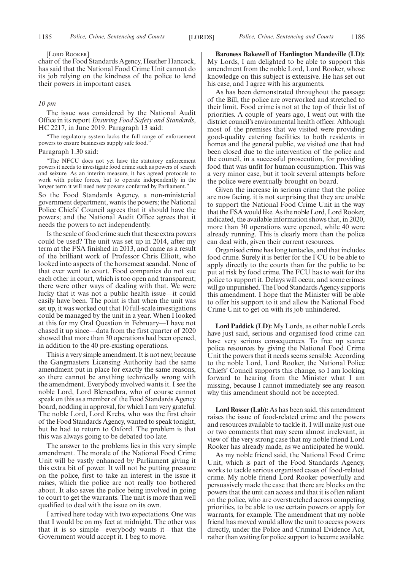#### [LORD ROOKER]

chair of the Food Standards Agency, Heather Hancock, has said that the National Food Crime Unit cannot do its job relying on the kindness of the police to lend their powers in important cases.

#### *10 pm*

The issue was considered by the National Audit Office in its report *Ensuring Food Safety and Standards*, HC 2217, in June 2019. Paragraph 13 said:

"The regulatory system lacks the full range of enforcement powers to ensure businesses supply safe food."

#### Paragraph 1.30 said:

"The NFCU does not yet have the statutory enforcement powers it needs to investigate food crime such as powers of search and seizure. As an interim measure, it has agreed protocols to work with police forces, but to operate independently in the longer term it will need new powers conferred by Parliament."

So the Food Standards Agency, a non-ministerial government department, wants the powers; the National Police Chiefs' Council agrees that it should have the powers; and the National Audit Office agrees that it needs the powers to act independently.

Is the scale of food crime such that these extra powers could be used? The unit was set up in 2014, after my term at the FSA finished in 2013, and came as a result of the brilliant work of Professor Chris Elliott, who looked into aspects of the horsemeat scandal. None of that ever went to court. Food companies do not sue each other in court, which is too open and transparent; there were other ways of dealing with that. We were lucky that it was not a public health issue—it could easily have been. The point is that when the unit was set up, it was worked out that 10 full-scale investigations could be managed by the unit in a year. When I looked at this for my Oral Question in February—I have not chased it up since—data from the first quarter of 2020 showed that more than 30 operations had been opened, in addition to the 40 pre-existing operations.

This is a very simple amendment. It is not new, because the Gangmasters Licensing Authority had the same amendment put in place for exactly the same reasons, so there cannot be anything technically wrong with the amendment. Everybody involved wants it. I see the noble Lord, Lord Blencathra, who of course cannot speak on this as a member of the Food Standards Agency board, nodding in approval, for which I am very grateful. The noble Lord, Lord Krebs, who was the first chair of the Food Standards Agency, wanted to speak tonight, but he had to return to Oxford. The problem is that this was always going to be debated too late.

The answer to the problems lies in this very simple amendment. The morale of the National Food Crime Unit will be vastly enhanced by Parliament giving it this extra bit of power. It will not be putting pressure on the police, first to take an interest in the issue it raises, which the police are not really too bothered about. It also saves the police being involved in going to court to get the warrants. The unit is more than well qualified to deal with the issue on its own.

I arrived here today with two expectations. One was that I would be on my feet at midnight. The other was that it is so simple—everybody wants it—that the Government would accept it. I beg to move.

**Baroness Bakewell of Hardington Mandeville (LD):** My Lords, I am delighted to be able to support this amendment from the noble Lord, Lord Rooker, whose knowledge on this subject is extensive. He has set out his case, and I agree with his arguments.

As has been demonstrated throughout the passage of the Bill, the police are overworked and stretched to their limit. Food crime is not at the top of their list of priorities. A couple of years ago, I went out with the district council's environmental health officer. Although most of the premises that we visited were providing good-quality catering facilities to both residents in homes and the general public, we visited one that had been closed due to the intervention of the police and the council, in a successful prosecution, for providing food that was unfit for human consumption. This was a very minor case, but it took several attempts before the police were eventually brought on board.

Given the increase in serious crime that the police are now facing, it is not surprising that they are unable to support the National Food Crime Unit in the way that the FSA would like. As the noble Lord, Lord Rooker, indicated, the available information shows that, in 2020, more than 30 operations were opened, while 40 were already running. This is clearly more than the police can deal with, given their current resources.

Organised crime has long tentacles, and that includes food crime. Surely it is better for the FCU to be able to apply directly to the courts than for the public to be put at risk by food crime. The FCU has to wait for the police to support it. Delays will occur, and some crimes will go unpunished. The Food Standards Agency supports this amendment. I hope that the Minister will be able to offer his support to it and allow the National Food Crime Unit to get on with its job unhindered.

**Lord Paddick (LD):** My Lords, as other noble Lords have just said, serious and organised food crime can have very serious consequences. To free up scarce police resources by giving the National Food Crime Unit the powers that it needs seems sensible. According to the noble Lord, Lord Rooker, the National Police Chiefs' Council supports this change, so I am looking forward to hearing from the Minister what I am missing, because I cannot immediately see any reason why this amendment should not be accepted.

**Lord Rosser (Lab):** As has been said, this amendment raises the issue of food-related crime and the powers and resources available to tackle it. I will make just one or two comments that may seem almost irrelevant, in view of the very strong case that my noble friend Lord Rooker has already made, as we anticipated he would.

As my noble friend said, the National Food Crime Unit, which is part of the Food Standards Agency, works to tackle serious organised cases of food-related crime. My noble friend Lord Rooker powerfully and persuasively made the case that there are blocks on the powers that the unit can access and that it is often reliant on the police, who are overstretched across competing priorities, to be able to use certain powers or apply for warrants, for example. The amendment that my noble friend has moved would allow the unit to access powers directly, under the Police and Criminal Evidence Act, rather than waiting for police support to become available.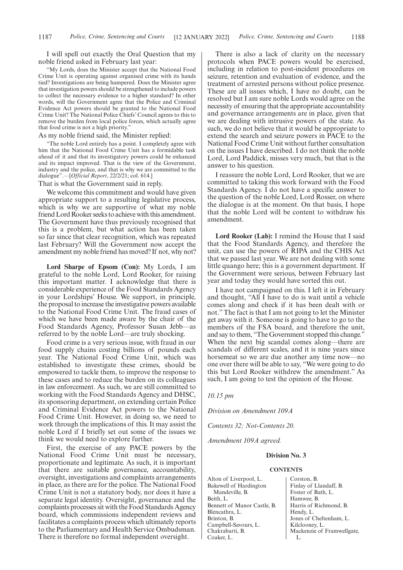I will spell out exactly the Oral Question that my noble friend asked in February last year:

"My Lords, does the Minister accept that the National Food Crime Unit is operating against organised crime with its hands tied? Investigations are being hampered. Does the Minister agree that investigation powers should be strengthened to include powers to collect the necessary evidence to a higher standard? In other words, will the Government agree that the Police and Criminal Evidence Act powers should be granted to the National Food Crime Unit? The National Police Chiefs' Council agrees to this to remove the burden from local police forces, which actually agree that food crime is not a high priority."

#### As my noble friend said, the Minister replied:

"The noble Lord entirely has a point. I completely agree with him that the National Food Crime Unit has a formidable task ahead of it and that its investigatory powers could be enhanced and its impact improved. That is the view of the Government, industry and the police, and that is why we are committed to the dialogue".—[*Official Report*, 22/2/21; col. 614.]

That is what the Government said in reply.

We welcome this commitment and would have given appropriate support to a resulting legislative process, which is why we are supportive of what my noble friend Lord Rooker seeks to achieve with this amendment. The Government have thus previously recognised that this is a problem, but what action has been taken so far since that clear recognition, which was repeated last February? Will the Government now accept the amendment my noble friend has moved? If not, why not?

**Lord Sharpe of Epsom (Con):** My Lords, I am grateful to the noble Lord, Lord Rooker, for raising this important matter. I acknowledge that there is considerable experience of the Food Standards Agency in your Lordships' House. We support, in principle, the proposal to increase the investigative powers available to the National Food Crime Unit. The fraud cases of which we have been made aware by the chair of the Food Standards Agency, Professor Susan Jebb—as referred to by the noble Lord—are truly shocking.

Food crime is a very serious issue, with fraud in our food supply chains costing billions of pounds each year. The National Food Crime Unit, which was established to investigate these crimes, should be empowered to tackle them, to improve the response to these cases and to reduce the burden on its colleagues in law enforcement. As such, we are still committed to working with the Food Standards Agency and DHSC, its sponsoring department, on extending certain Police and Criminal Evidence Act powers to the National Food Crime Unit. However, in doing so, we need to work through the implications of this. It may assist the noble Lord if I briefly set out some of the issues we think we would need to explore further.

First, the exercise of any PACE powers by the National Food Crime Unit must be necessary, proportionate and legitimate. As such, it is important that there are suitable governance, accountability, oversight, investigations and complaints arrangements in place, as there are for the police. The National Food Crime Unit is not a statutory body, nor does it have a separate legal identity. Oversight, governance and the complaints processes sit with the Food Standards Agency board, which commissions independent reviews and facilitates a complaints process which ultimately reports to the Parliamentary and Health Service Ombudsman. There is therefore no formal independent oversight.

There is also a lack of clarity on the necessary protocols when PACE powers would be exercised, including in relation to post-incident procedures on seizure, retention and evaluation of evidence, and the treatment of arrested persons without police presence. These are all issues which, I have no doubt, can be resolved but I am sure noble Lords would agree on the necessity of ensuring that the appropriate accountability and governance arrangements are in place, given that we are dealing with intrusive powers of the state. As such, we do not believe that it would be appropriate to extend the search and seizure powers in PACE to the National Food Crime Unit without further consultation on the issues I have described. I do not think the noble Lord, Lord Paddick, misses very much, but that is the answer to his question.

I reassure the noble Lord, Lord Rooker, that we are committed to taking this work forward with the Food Standards Agency. I do not have a specific answer to the question of the noble Lord, Lord Rosser, on where the dialogue is at the moment. On that basis, I hope that the noble Lord will be content to withdraw his amendment.

**Lord Rooker (Lab):** I remind the House that I said that the Food Standards Agency, and therefore the unit, can use the powers of RIPA and the CHIS Act that we passed last year. We are not dealing with some little quango here; this is a government department. If the Government were serious, between February last year and today they would have sorted this out.

I have not campaigned on this. I left it in February and thought, "All I have to do is wait until a vehicle comes along and check if it has been dealt with or not." The fact is that I am not going to let the Minister get away with it. Someone is going to have to go to the members of the FSA board, and therefore the unit, and say to them, "The Government stopped this change." When the next big scandal comes along—there are scandals of different scales, and it is nine years since horsemeat so we are due another any time now—no one over there will be able to say, "We were going to do this but Lord Rooker withdrew the amendment." As such, I am going to test the opinion of the House.

*10.15 pm*

*Division on Amendment 109A*

*Contents 32; Not-Contents 20.*

*Amendment 109A agreed.*

#### **Division No. 3**

#### **CONTENTS**

Alton of Liverpool, L. Bakewell of Hardington Mandeville, B. Beith, L. Bennett of Manor Castle, B. Blencathra, L. Brinton, B. Campbell-Savours, L. Chakrabarti, B. Coaker, L.

Corston, B. Finlay of Llandaff, B. Foster of Bath, L. Hamwee, B. Harris of Richmond, B. Hendy, L. Jones of Cheltenham, L. Kilclooney, L. Mackenzie of Framwellgate, L.